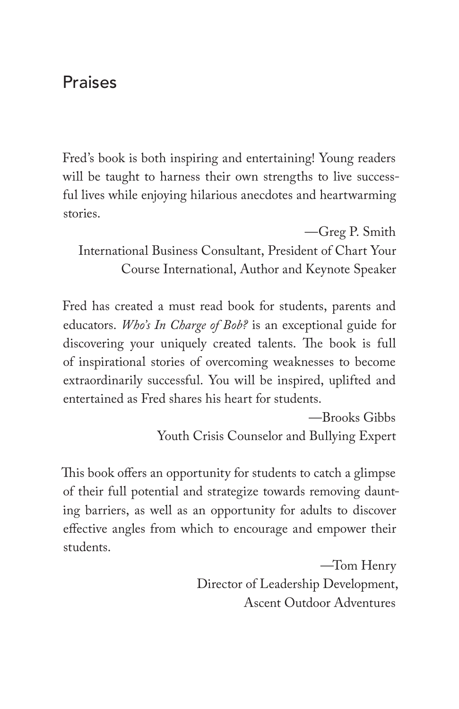## Praises

Fred's book is both inspiring and entertaining! Young readers will be taught to harness their own strengths to live successful lives while enjoying hilarious anecdotes and heartwarming stories.

—Greg P. Smith International Business Consultant, President of Chart Your Course International, Author and Keynote Speaker

Fred has created a must read book for students, parents and educators. *Who's In Charge of Bob?* is an exceptional guide for discovering your uniquely created talents. The book is full of inspirational stories of overcoming weaknesses to become extraordinarily successful. You will be inspired, uplifted and entertained as Fred shares his heart for students.

> —Brooks Gibbs Youth Crisis Counselor and Bullying Expert

This book offers an opportunity for students to catch a glimpse of their full potential and strategize towards removing daunting barriers, as well as an opportunity for adults to discover effective angles from which to encourage and empower their students.

> —Tom Henry Director of Leadership Development, Ascent Outdoor Adventures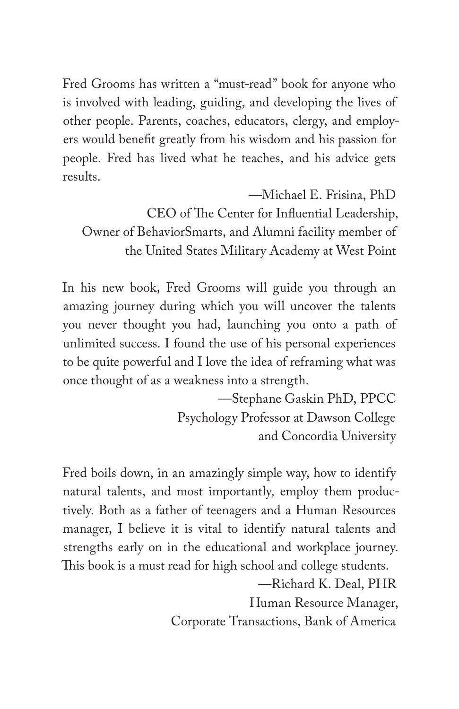Fred Grooms has written a "must-read" book for anyone who is involved with leading, guiding, and developing the lives of other people. Parents, coaches, educators, clergy, and employers would benefit greatly from his wisdom and his passion for people. Fred has lived what he teaches, and his advice gets results.

—Michael E. Frisina, PhD

CEO of The Center for Influential Leadership, Owner of BehaviorSmarts, and Alumni facility member of the United States Military Academy at West Point

In his new book, Fred Grooms will guide you through an amazing journey during which you will uncover the talents you never thought you had, launching you onto a path of unlimited success. I found the use of his personal experiences to be quite powerful and I love the idea of reframing what was once thought of as a weakness into a strength.

> —Stephane Gaskin PhD, PPCC Psychology Professor at Dawson College and Concordia University

Fred boils down, in an amazingly simple way, how to identify natural talents, and most importantly, employ them productively. Both as a father of teenagers and a Human Resources manager, I believe it is vital to identify natural talents and strengths early on in the educational and workplace journey. This book is a must read for high school and college students.

—Richard K. Deal, PHR

Human Resource Manager,

Corporate Transactions, Bank of America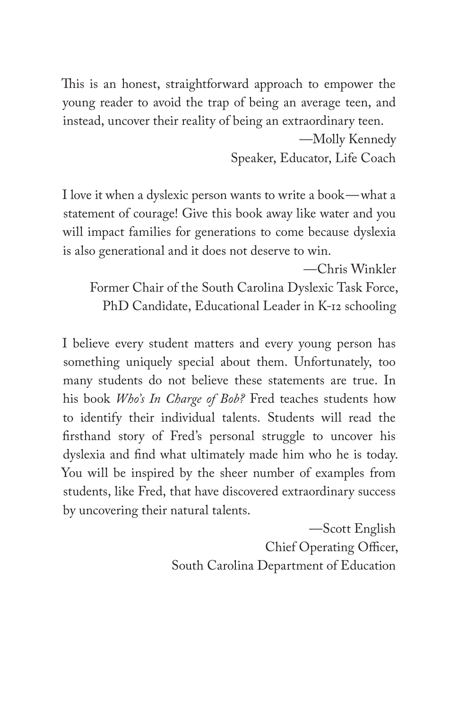This is an honest, straightforward approach to empower the young reader to avoid the trap of being an average teen, and instead, uncover their reality of being an extraordinary teen.

> —Molly Kennedy Speaker, Educator, Life Coach

I love it when a dyslexic person wants to write a book—what a statement of courage! Give this book away like water and you will impact families for generations to come because dyslexia is also generational and it does not deserve to win.

—Chris Winkler Former Chair of the South Carolina Dyslexic Task Force, PhD Candidate, Educational Leader in K-12 schooling

I believe every student matters and every young person has something uniquely special about them. Unfortunately, too many students do not believe these statements are true. In his book *Who's In Charge of Bob?* Fred teaches students how to identify their individual talents. Students will read the firsthand story of Fred's personal struggle to uncover his dyslexia and find what ultimately made him who he is today. You will be inspired by the sheer number of examples from students, like Fred, that have discovered extraordinary success by uncovering their natural talents.

> —Scott English Chief Operating Officer, South Carolina Department of Education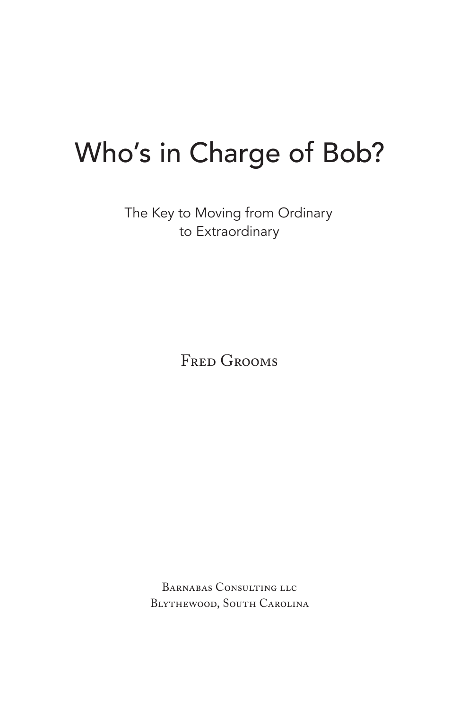# Who's in Charge of Bob?

The Key to Moving from Ordinary to Extraordinary

Fred Grooms

Barnabas Consulting llc Blythewood, South Carolina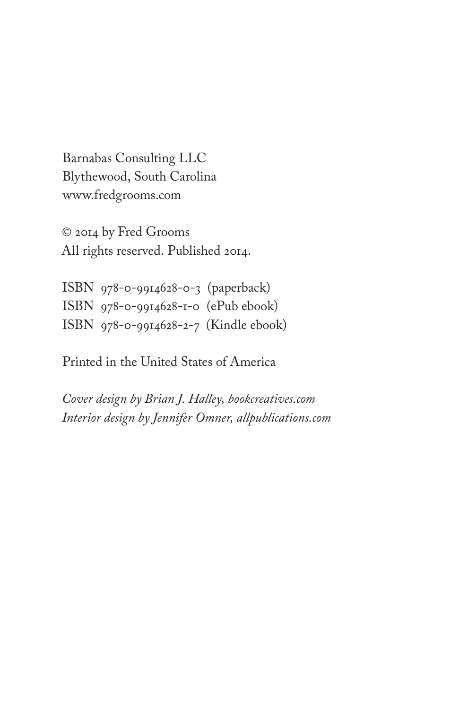Barnabas Consulting LLC Blythewood, South Carolina www.fredgrooms.com

© 2014 by Fred Grooms All rights reserved. Published 2014.

ISBN 978-0-9914628-0-3 (paperback) ISBN 978-0-9914628-1-0 (ePub ebook) ISBN 978-0-9914628-2-7 (Kindle ebook)

Printed in the United States of America

*Cover design by Brian J. Halley, bookcreatives.com Interior design by Jennifer Omner, allpublications.com*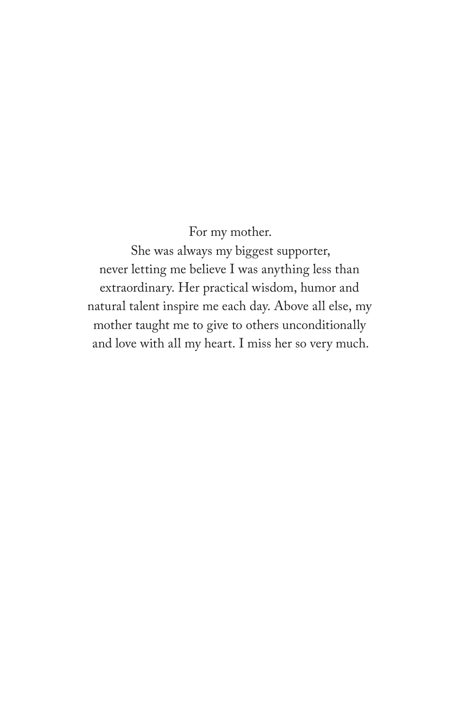For my mother.

She was always my biggest supporter, never letting me believe I was anything less than extraordinary. Her practical wisdom, humor and natural talent inspire me each day. Above all else, my mother taught me to give to others unconditionally and love with all my heart. I miss her so very much.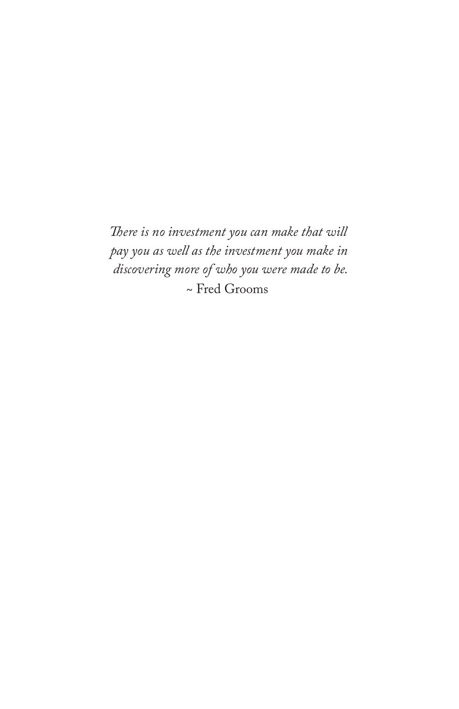*There is no investment you can make that will pay you as well as the investment you make in discovering more of who you were made to be.* ~ Fred Grooms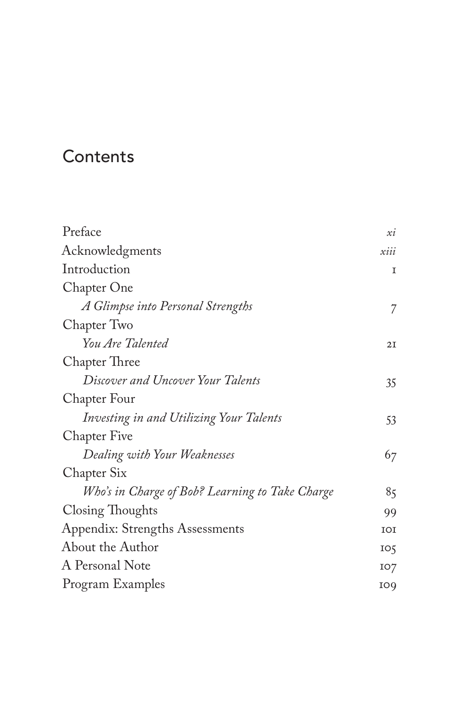## **Contents**

| Preface                                         | xi              |
|-------------------------------------------------|-----------------|
| Acknowledgments                                 | xiii            |
| Introduction                                    | I               |
| Chapter One                                     |                 |
| A Glimpse into Personal Strengths               | 7               |
| Chapter Two                                     |                 |
| You Are Talented                                | 2I              |
| Chapter Three                                   |                 |
| Discover and Uncover Your Talents               | 35              |
| Chapter Four                                    |                 |
| Investing in and Utilizing Your Talents         | 53              |
| <b>Chapter Five</b>                             |                 |
| Dealing with Your Weaknesses                    | 67              |
| Chapter Six                                     |                 |
| Who's in Charge of Bob? Learning to Take Charge | 85              |
| Closing Thoughts                                | 99              |
| Appendix: Strengths Assessments                 | <b>TOT</b>      |
| About the Author                                | IO <sub>5</sub> |
| A Personal Note                                 | IO7             |
| Program Examples                                | IO <sub>9</sub> |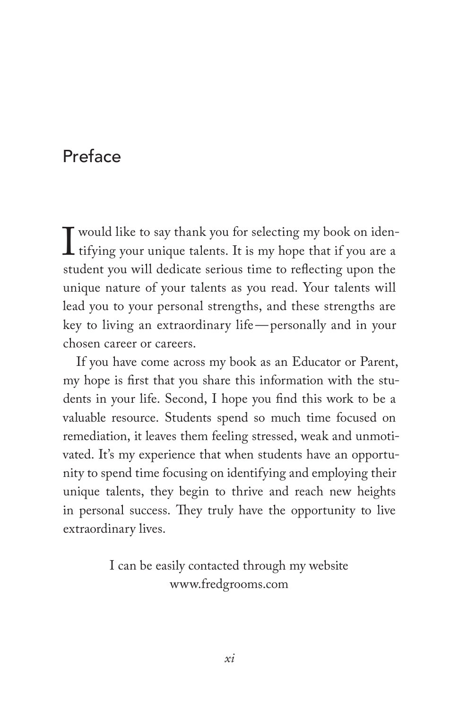## Preface

I would like to say thank you for selecting my book on iden-<br>tifying your unique talents. It is my hope that if you are a<br>student you will dedicate serious time to reflecting upon the tifying your unique talents. It is my hope that if you are a student you will dedicate serious time to reflecting upon the unique nature of your talents as you read. Your talents will lead you to your personal strengths, and these strengths are key to living an extraordinary life—personally and in your chosen career or careers.

If you have come across my book as an Educator or Parent, my hope is first that you share this information with the students in your life. Second, I hope you find this work to be a valuable resource. Students spend so much time focused on remediation, it leaves them feeling stressed, weak and unmotivated. It's my experience that when students have an opportunity to spend time focusing on identifying and employing their unique talents, they begin to thrive and reach new heights in personal success. They truly have the opportunity to live extraordinary lives.

> I can be easily contacted through my website www.fredgrooms.com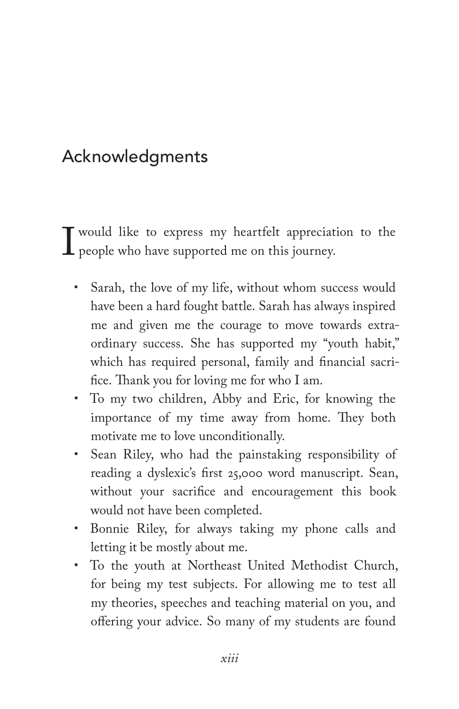# Acknowledgments

I would like to express my heartfelt appreciation to the people who have supported me on this journey. people who have supported me on this journey.

- Sarah, the love of my life, without whom success would have been a hard fought battle. Sarah has always inspired me and given me the courage to move towards extraordinary success. She has supported my "youth habit," which has required personal, family and financial sacrifice. Thank you for loving me for who I am.
- To my two children, Abby and Eric, for knowing the importance of my time away from home. They both motivate me to love unconditionally.
- Sean Riley, who had the painstaking responsibility of reading a dyslexic's first 25,000 word manuscript. Sean, without your sacrifice and encouragement this book would not have been completed.
- Bonnie Riley, for always taking my phone calls and letting it be mostly about me.
- To the youth at Northeast United Methodist Church, for being my test subjects. For allowing me to test all my theories, speeches and teaching material on you, and offering your advice. So many of my students are found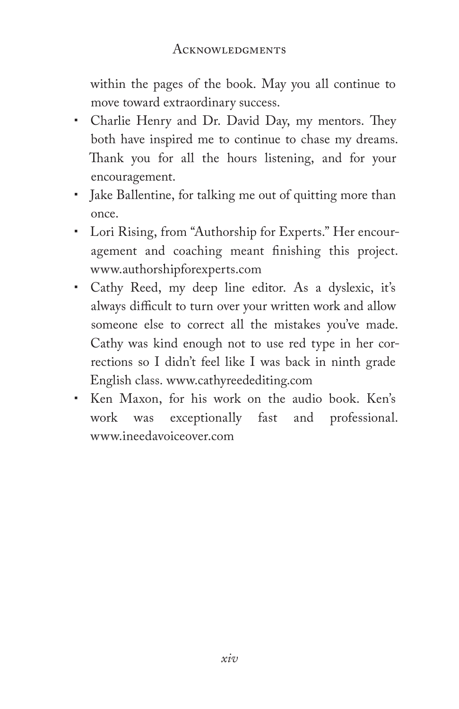within the pages of the book. May you all continue to move toward extraordinary success.

- Charlie Henry and Dr. David Day, my mentors. They both have inspired me to continue to chase my dreams. Thank you for all the hours listening, and for your encouragement.
- Jake Ballentine, for talking me out of quitting more than once.
- Lori Rising, from "Authorship for Experts." Her encouragement and coaching meant finishing this project. www.authorshipforexperts.com
- Cathy Reed, my deep line editor. As a dyslexic, it's always difficult to turn over your written work and allow someone else to correct all the mistakes you've made. Cathy was kind enough not to use red type in her corrections so I didn't feel like I was back in ninth grade English class. www.cathyreedediting.com
- Ken Maxon, for his work on the audio book. Ken's work was exceptionally fast and professional. www.ineedavoiceover.com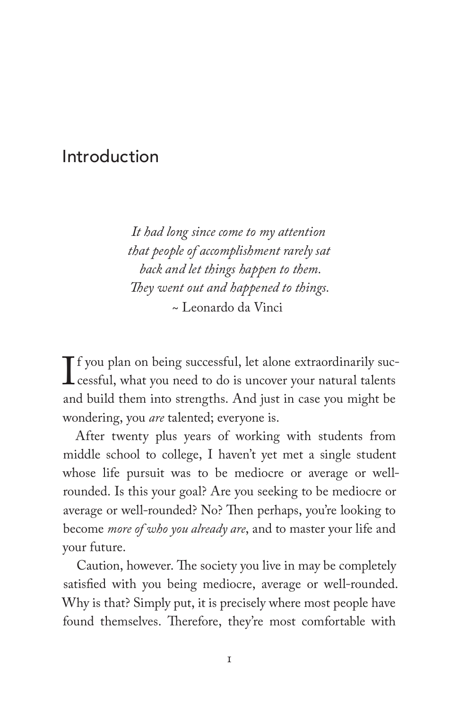## Introduction

*It had long since come to my attention that people of accomplishment rarely sat back and let things happen to them. They went out and happened to things.* ~ Leonardo da Vinci

 $\mathbf{I}$ f you plan on being successful, let alone extraordinarily successful, what you need to do is uncover your natural talents and build them into strengths. And just in case you might be wondering, you *are* talented; everyone is.

After twenty plus years of working with students from middle school to college, I haven't yet met a single student whose life pursuit was to be mediocre or average or wellrounded. Is this your goal? Are you seeking to be mediocre or average or well-rounded? No? Then perhaps, you're looking to become *more of who you already are*, and to master your life and your future.

Caution, however. The society you live in may be completely satisfied with you being mediocre, average or well-rounded. Why is that? Simply put, it is precisely where most people have found themselves. Therefore, they're most comfortable with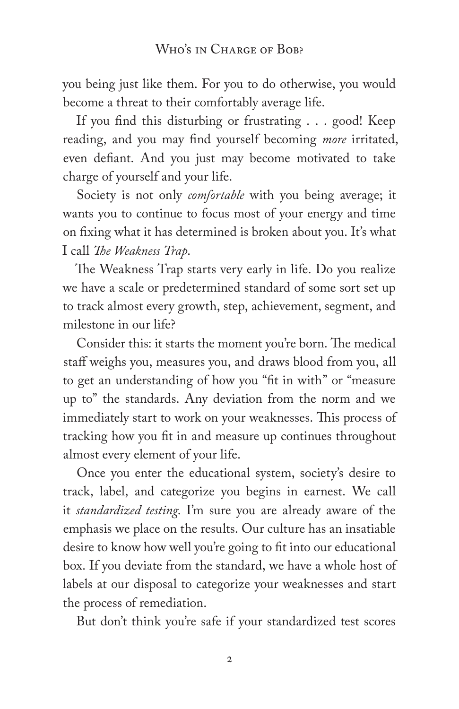you being just like them. For you to do otherwise, you would become a threat to their comfortably average life.

If you find this disturbing or frustrating . . . good! Keep reading, and you may find yourself becoming *more* irritated, even defiant. And you just may become motivated to take charge of yourself and your life.

Society is not only *comfortable* with you being average; it wants you to continue to focus most of your energy and time on fixing what it has determined is broken about you. It's what I call *The Weakness Trap*.

The Weakness Trap starts very early in life. Do you realize we have a scale or predetermined standard of some sort set up to track almost every growth, step, achievement, segment, and milestone in our life?

Consider this: it starts the moment you're born. The medical staff weighs you, measures you, and draws blood from you, all to get an understanding of how you "fit in with" or "measure up to" the standards. Any deviation from the norm and we immediately start to work on your weaknesses. This process of tracking how you fit in and measure up continues throughout almost every element of your life.

Once you enter the educational system, society's desire to track, label, and categorize you begins in earnest. We call it *standardized testing*. I'm sure you are already aware of the emphasis we place on the results. Our culture has an insatiable desire to know how well you're going to fit into our educational box. If you deviate from the standard, we have a whole host of labels at our disposal to categorize your weaknesses and start the process of remediation.

But don't think you're safe if your standardized test scores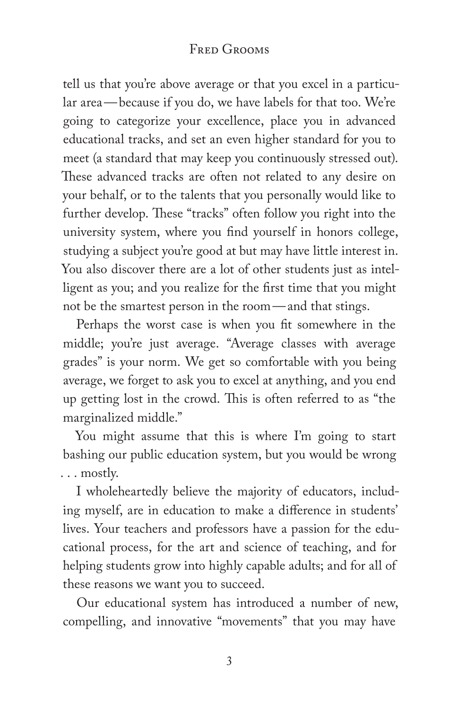#### Fred Grooms

tell us that you're above average or that you excel in a particular area—because if you do, we have labels for that too. We're going to categorize your excellence, place you in advanced educational tracks, and set an even higher standard for you to meet (a standard that may keep you continuously stressed out). These advanced tracks are often not related to any desire on your behalf, or to the talents that you personally would like to further develop. These "tracks" often follow you right into the university system, where you find yourself in honors college, studying a subject you're good at but may have little interest in. You also discover there are a lot of other students just as intelligent as you; and you realize for the first time that you might not be the smartest person in the room—and that stings.

Perhaps the worst case is when you fit somewhere in the middle; you're just average. "Average classes with average grades" is your norm. We get so comfortable with you being average, we forget to ask you to excel at anything, and you end up getting lost in the crowd. This is often referred to as "the marginalized middle."

You might assume that this is where I'm going to start bashing our public education system, but you would be wrong . . . mostly.

I wholeheartedly believe the majority of educators, including myself, are in education to make a difference in students' lives. Your teachers and professors have a passion for the educational process, for the art and science of teaching, and for helping students grow into highly capable adults; and for all of these reasons we want you to succeed.

Our educational system has introduced a number of new, compelling, and innovative "movements" that you may have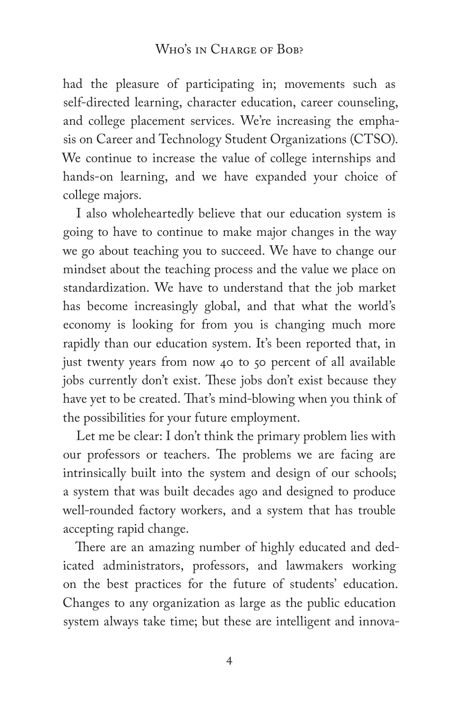#### WHO'S IN CHARGE OF BOB?

had the pleasure of participating in; movements such as self-directed learning, character education, career counseling, and college placement services. We're increasing the emphasis on Career and Technology Student Organizations (CTSO). We continue to increase the value of college internships and hands-on learning, and we have expanded your choice of college majors.

I also wholeheartedly believe that our education system is going to have to continue to make major changes in the way we go about teaching you to succeed. We have to change our mindset about the teaching process and the value we place on standardization. We have to understand that the job market has become increasingly global, and that what the world's economy is looking for from you is changing much more rapidly than our education system. It's been reported that, in just twenty years from now 40 to 50 percent of all available jobs currently don't exist. These jobs don't exist because they have yet to be created. That's mind-blowing when you think of the possibilities for your future employment.

Let me be clear: I don't think the primary problem lies with our professors or teachers. The problems we are facing are intrinsically built into the system and design of our schools; a system that was built decades ago and designed to produce well-rounded factory workers, and a system that has trouble accepting rapid change.

There are an amazing number of highly educated and dedicated administrators, professors, and lawmakers working on the best practices for the future of students' education. Changes to any organization as large as the public education system always take time; but these are intelligent and innova-

4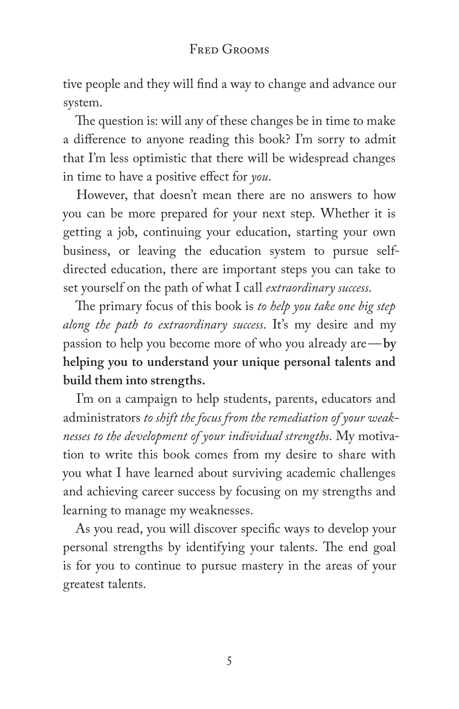tive people and they will find a way to change and advance our system.

The question is: will any of these changes be in time to make a difference to anyone reading this book? I'm sorry to admit that I'm less optimistic that there will be widespread changes in time to have a positive effect for *you*.

However, that doesn't mean there are no answers to how you can be more prepared for your next step. Whether it is getting a job, continuing your education, starting your own business, or leaving the education system to pursue selfdirected education, there are important steps you can take to set yourself on the path of what I call *extraordinary success*.

The primary focus of this book is *to help you take one big step along the path to extraordinary success*. It's my desire and my passion to help you become more of who you already are—**by helping you to understand your unique personal talents and build them into strengths.**

I'm on a campaign to help students, parents, educators and administrators *to shift the focus from the remediation of your weaknesses to the development of your individual strengths*. My motivation to write this book comes from my desire to share with you what I have learned about surviving academic challenges and achieving career success by focusing on my strengths and learning to manage my weaknesses.

As you read, you will discover specific ways to develop your personal strengths by identifying your talents. The end goal is for you to continue to pursue mastery in the areas of your greatest talents.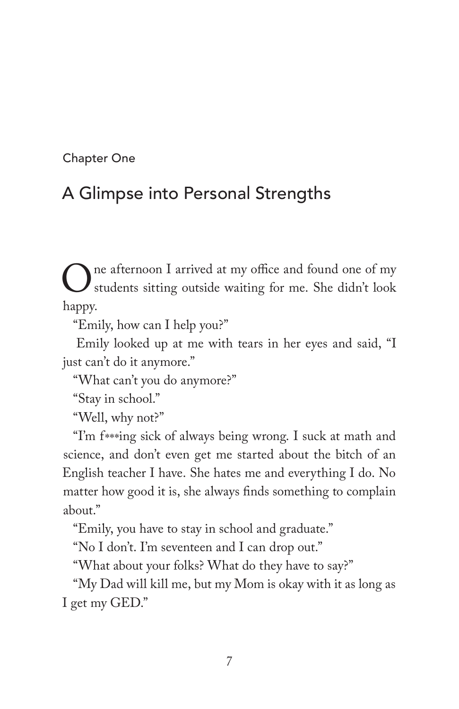Chapter One

# A Glimpse into Personal Strengths

One afternoon I arrived at my office and found one of my<br>students sitting outside waiting for me. She didn't look<br>hanny students sitting outside waiting for me. She didn't look happy.

"Emily, how can I help you?"

Emily looked up at me with tears in her eyes and said, "I just can't do it anymore."

"What can't you do anymore?"

"Stay in school."

"Well, why not?"

"I'm f\*\*\*ing sick of always being wrong. I suck at math and science, and don't even get me started about the bitch of an English teacher I have. She hates me and everything I do. No matter how good it is, she always finds something to complain about."

"Emily, you have to stay in school and graduate."

"No I don't. I'm seventeen and I can drop out."

"What about your folks? What do they have to say?"

"My Dad will kill me, but my Mom is okay with it as long as I get my GED."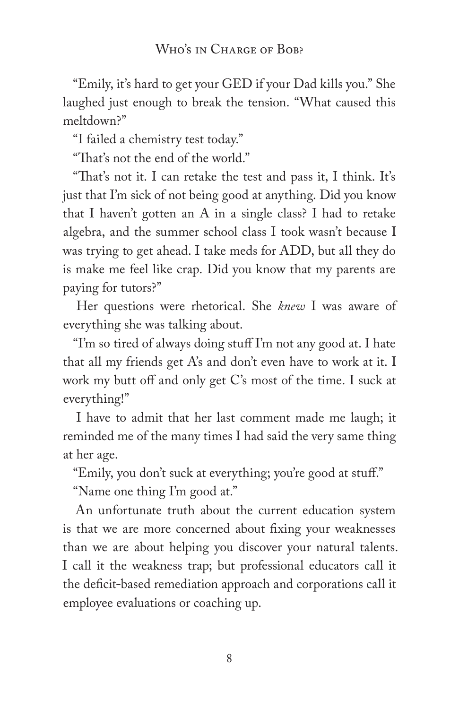"Emily, it's hard to get your GED if your Dad kills you." She laughed just enough to break the tension. "What caused this meltdown?"

"I failed a chemistry test today."

"That's not the end of the world."

"That's not it. I can retake the test and pass it, I think. It's just that I'm sick of not being good at anything. Did you know that I haven't gotten an A in a single class? I had to retake algebra, and the summer school class I took wasn't because I was trying to get ahead. I take meds for ADD, but all they do is make me feel like crap. Did you know that my parents are paying for tutors?"

Her questions were rhetorical. She *knew* I was aware of everything she was talking about.

"I'm so tired of always doing stuff I'm not any good at. I hate that all my friends get A's and don't even have to work at it. I work my butt off and only get C's most of the time. I suck at everything!"

I have to admit that her last comment made me laugh; it reminded me of the many times I had said the very same thing at her age.

"Emily, you don't suck at everything; you're good at stuff."

"Name one thing I'm good at."

An unfortunate truth about the current education system is that we are more concerned about fixing your weaknesses than we are about helping you discover your natural talents. I call it the weakness trap; but professional educators call it the deficit-based remediation approach and corporations call it employee evaluations or coaching up.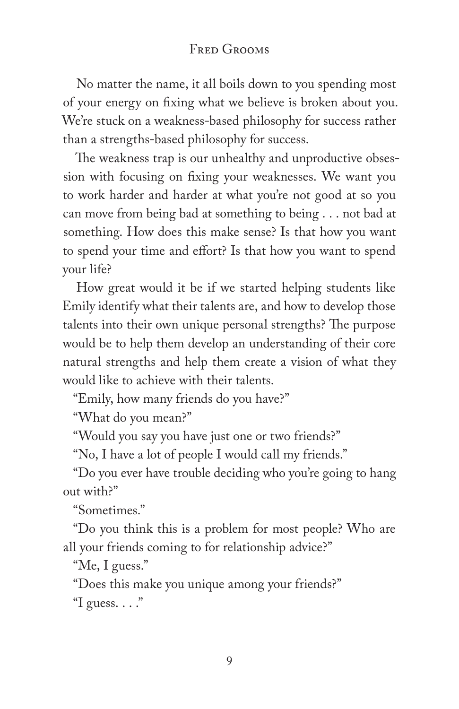#### FRED GROOMS

No matter the name, it all boils down to you spending most of your energy on fixing what we believe is broken about you. We're stuck on a weakness-based philosophy for success rather than a strengths-based philosophy for success.

The weakness trap is our unhealthy and unproductive obsession with focusing on fixing your weaknesses. We want you to work harder and harder at what you're not good at so you can move from being bad at something to being . . . not bad at something. How does this make sense? Is that how you want to spend your time and effort? Is that how you want to spend your life?

How great would it be if we started helping students like Emily identify what their talents are, and how to develop those talents into their own unique personal strengths? The purpose would be to help them develop an understanding of their core natural strengths and help them create a vision of what they would like to achieve with their talents.

"Emily, how many friends do you have?"

"What do you mean?"

"Would you say you have just one or two friends?"

"No, I have a lot of people I would call my friends."

"Do you ever have trouble deciding who you're going to hang out with?"

"Sometimes."

"Do you think this is a problem for most people? Who are all your friends coming to for relationship advice?"

"Me, I guess."

"Does this make you unique among your friends?"

"I guess.  $\ldots$ "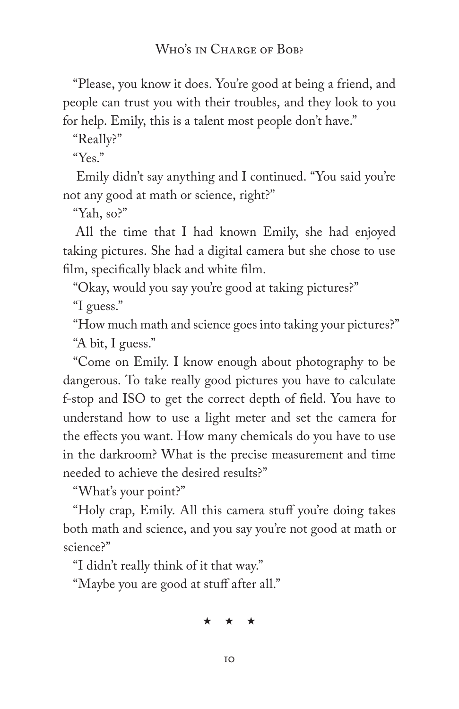"Please, you know it does. You're good at being a friend, and people can trust you with their troubles, and they look to you for help. Emily, this is a talent most people don't have."

"Really?"

"Yes."

Emily didn't say anything and I continued. "You said you're not any good at math or science, right?"

"Yah, so?"

All the time that I had known Emily, she had enjoyed taking pictures. She had a digital camera but she chose to use film, specifically black and white film.

"Okay, would you say you're good at taking pictures?" "I guess."

"How much math and science goes into taking your pictures?" "A bit, I guess."

"Come on Emily. I know enough about photography to be dangerous. To take really good pictures you have to calculate f-stop and ISO to get the correct depth of field. You have to understand how to use a light meter and set the camera for the effects you want. How many chemicals do you have to use in the darkroom? What is the precise measurement and time needed to achieve the desired results?"

"What's your point?"

"Holy crap, Emily. All this camera stuff you're doing takes both math and science, and you say you're not good at math or science?"

"I didn't really think of it that way."

"Maybe you are good at stuff after all."

\* \* \*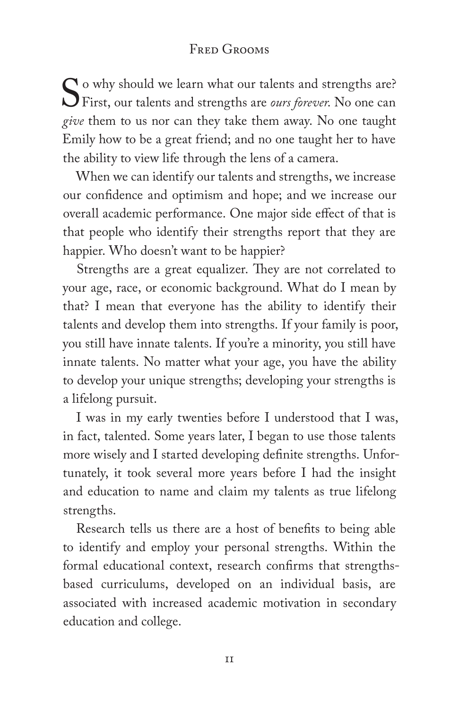#### FRED GROOMS

So why should we learn what our talents and strengths are?<br>First, our talents and strengths are *ours forever*. No one can<br>*give* them to us not can they take them way. No one taught First, our talents and strengths are *ours forever*. No one can *give* them to us nor can they take them away. No one taught Emily how to be a great friend; and no one taught her to have the ability to view life through the lens of a camera.

When we can identify our talents and strengths, we increase our confidence and optimism and hope; and we increase our overall academic performance. One major side effect of that is that people who identify their strengths report that they are happier. Who doesn't want to be happier?

Strengths are a great equalizer. They are not correlated to your age, race, or economic background. What do I mean by that? I mean that everyone has the ability to identify their talents and develop them into strengths. If your family is poor, you still have innate talents. If you're a minority, you still have innate talents. No matter what your age, you have the ability to develop your unique strengths; developing your strengths is a lifelong pursuit.

I was in my early twenties before I understood that I was, in fact, talented. Some years later, I began to use those talents more wisely and I started developing definite strengths. Unfortunately, it took several more years before I had the insight and education to name and claim my talents as true lifelong strengths.

Research tells us there are a host of benefits to being able to identify and employ your personal strengths. Within the formal educational context, research confirms that strengthsbased curriculums, developed on an individual basis, are associated with increased academic motivation in secondary education and college.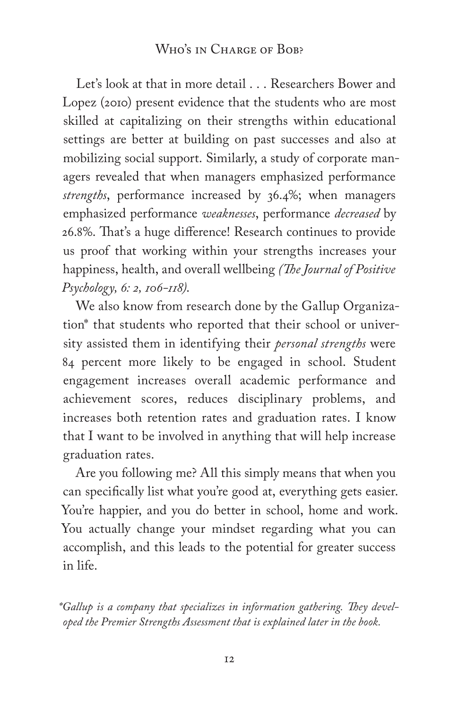Let's look at that in more detail . . . Researchers Bower and Lopez (2010) present evidence that the students who are most skilled at capitalizing on their strengths within educational settings are better at building on past successes and also at mobilizing social support. Similarly, a study of corporate managers revealed that when managers emphasized performance *strengths*, performance increased by 36.4%; when managers emphasized performance *weaknesses*, performance *decreased* by 26.8%. That's a huge difference! Research continues to provide us proof that working within your strengths increases your happiness, health, and overall wellbeing *(The Journal of Positive Psychology, 6: 2, 106-118)*.

We also know from research done by the Gallup Organization\* that students who reported that their school or university assisted them in identifying their *personal strengths* were 84 percent more likely to be engaged in school. Student engagement increases overall academic performance and achievement scores, reduces disciplinary problems, and increases both retention rates and graduation rates. I know that I want to be involved in anything that will help increase graduation rates.

Are you following me? All this simply means that when you can specifically list what you're good at, everything gets easier. You're happier, and you do better in school, home and work. You actually change your mindset regarding what you can accomplish, and this leads to the potential for greater success in life.

*\*Gallup is a company that specializes in information gathering. They developed the Premier Strengths Assessment that is explained later in the book.*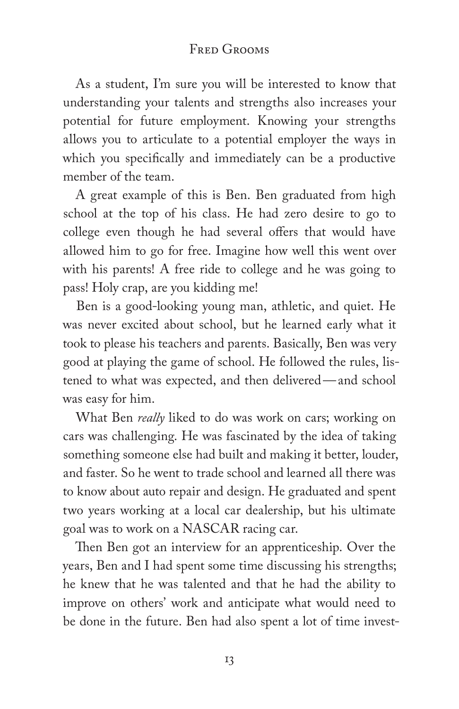#### FRED GROOMS

As a student, I'm sure you will be interested to know that understanding your talents and strengths also increases your potential for future employment. Knowing your strengths allows you to articulate to a potential employer the ways in which you specifically and immediately can be a productive member of the team.

A great example of this is Ben. Ben graduated from high school at the top of his class. He had zero desire to go to college even though he had several offers that would have allowed him to go for free. Imagine how well this went over with his parents! A free ride to college and he was going to pass! Holy crap, are you kidding me!

Ben is a good-looking young man, athletic, and quiet. He was never excited about school, but he learned early what it took to please his teachers and parents. Basically, Ben was very good at playing the game of school. He followed the rules, listened to what was expected, and then delivered—and school was easy for him.

What Ben *really* liked to do was work on cars; working on cars was challenging. He was fascinated by the idea of taking something someone else had built and making it better, louder, and faster. So he went to trade school and learned all there was to know about auto repair and design. He graduated and spent two years working at a local car dealership, but his ultimate goal was to work on a NASCAR racing car.

Then Ben got an interview for an apprenticeship. Over the years, Ben and I had spent some time discussing his strengths; he knew that he was talented and that he had the ability to improve on others' work and anticipate what would need to be done in the future. Ben had also spent a lot of time invest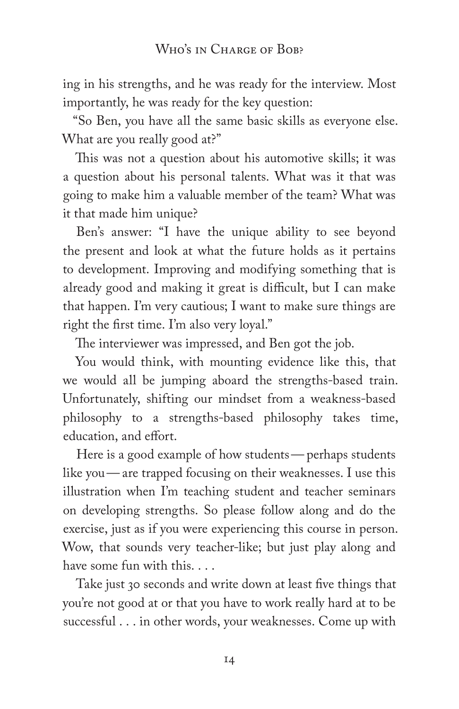ing in his strengths, and he was ready for the interview. Most importantly, he was ready for the key question:

"So Ben, you have all the same basic skills as everyone else. What are you really good at?"

This was not a question about his automotive skills; it was a question about his personal talents. What was it that was going to make him a valuable member of the team? What was it that made him unique?

Ben's answer: "I have the unique ability to see beyond the present and look at what the future holds as it pertains to development. Improving and modifying something that is already good and making it great is difficult, but I can make that happen. I'm very cautious; I want to make sure things are right the first time. I'm also very loyal."

The interviewer was impressed, and Ben got the job.

You would think, with mounting evidence like this, that we would all be jumping aboard the strengths-based train. Unfortunately, shifting our mindset from a weakness-based philosophy to a strengths-based philosophy takes time, education, and effort.

Here is a good example of how students— perhaps students like you— are trapped focusing on their weaknesses. I use this illustration when I'm teaching student and teacher seminars on developing strengths. So please follow along and do the exercise, just as if you were experiencing this course in person. Wow, that sounds very teacher-like; but just play along and have some fun with this. . . .

Take just 30 seconds and write down at least five things that you're not good at or that you have to work really hard at to be successful . . . in other words, your weaknesses. Come up with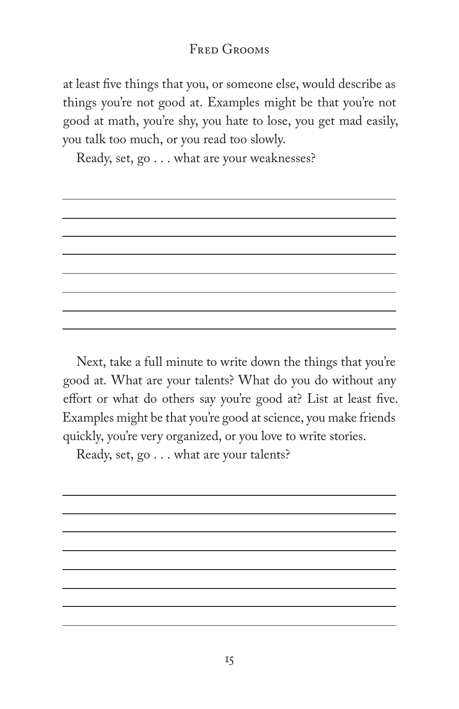#### FRED GROOMS

at least five things that you, or someone else, would describe as things you're not good at. Examples might be that you're not good at math, you're shy, you hate to lose, you get mad easily, you talk too much, or you read too slowly.

Ready, set, go . . . what are your weaknesses?

Next, take a full minute to write down the things that you're good at. What are your talents? What do you do without any effort or what do others say you're good at? List at least five. Examples might be that you're good at science, you make friends quickly, you're very organized, or you love to write stories.

Ready, set, go . . . what are your talents?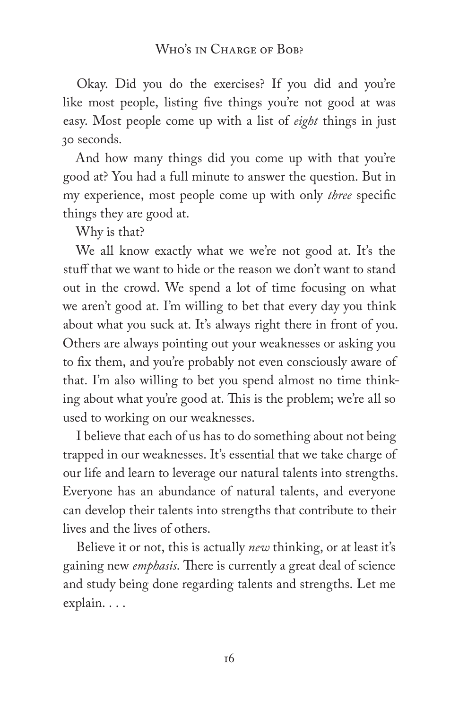Okay. Did you do the exercises? If you did and you're like most people, listing five things you're not good at was easy. Most people come up with a list of *eight* things in just 30 seconds.

And how many things did you come up with that you're good at? You had a full minute to answer the question. But in my experience, most people come up with only *three* specific things they are good at.

Why is that?

We all know exactly what we we're not good at. It's the stuff that we want to hide or the reason we don't want to stand out in the crowd. We spend a lot of time focusing on what we aren't good at. I'm willing to bet that every day you think about what you suck at. It's always right there in front of you. Others are always pointing out your weaknesses or asking you to fix them, and you're probably not even consciously aware of that. I'm also willing to bet you spend almost no time thinking about what you're good at. This is the problem; we're all so used to working on our weaknesses.

I believe that each of us has to do something about not being trapped in our weaknesses. It's essential that we take charge of our life and learn to leverage our natural talents into strengths. Everyone has an abundance of natural talents, and everyone can develop their talents into strengths that contribute to their lives and the lives of others.

Believe it or not, this is actually *new* thinking, or at least it's gaining new *emphasis*. There is currently a great deal of science and study being done regarding talents and strengths. Let me explain. . . .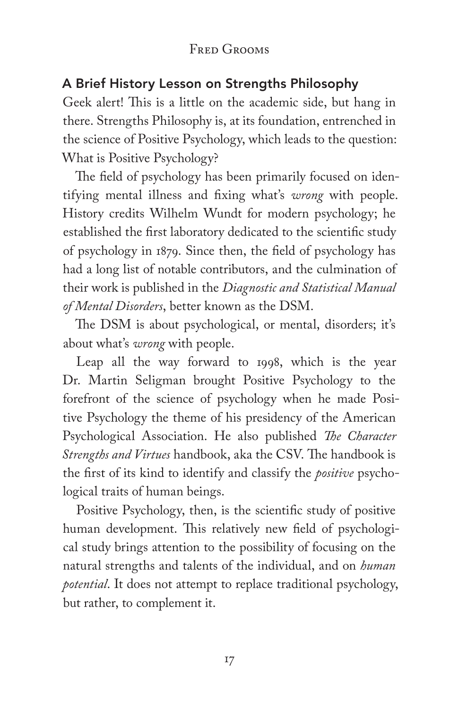#### FRED GROOMS

#### A Brief History Lesson on Strengths Philosophy

Geek alert! This is a little on the academic side, but hang in there. Strengths Philosophy is, at its foundation, entrenched in the science of Positive Psychology, which leads to the question: What is Positive Psychology?

The field of psychology has been primarily focused on identifying mental illness and fixing what's *wrong* with people. History credits Wilhelm Wundt for modern psychology; he established the first laboratory dedicated to the scientific study of psychology in 1879. Since then, the field of psychology has had a long list of notable contributors, and the culmination of their work is published in the *Diagnostic and Statistical Manual of Mental Disorders*, better known as the DSM.

The DSM is about psychological, or mental, disorders; it's about what's *wrong* with people.

Leap all the way forward to 1998, which is the year Dr. Martin Seligman brought Positive Psychology to the forefront of the science of psychology when he made Positive Psychology the theme of his presidency of the American Psychological Association. He also published *The Character Strengths and Virtues* handbook, aka the CSV. The handbook is the first of its kind to identify and classify the *positive* psychological traits of human beings.

Positive Psychology, then, is the scientific study of positive human development. This relatively new field of psychological study brings attention to the possibility of focusing on the natural strengths and talents of the individual, and on *human potential*. It does not attempt to replace traditional psychology, but rather, to complement it.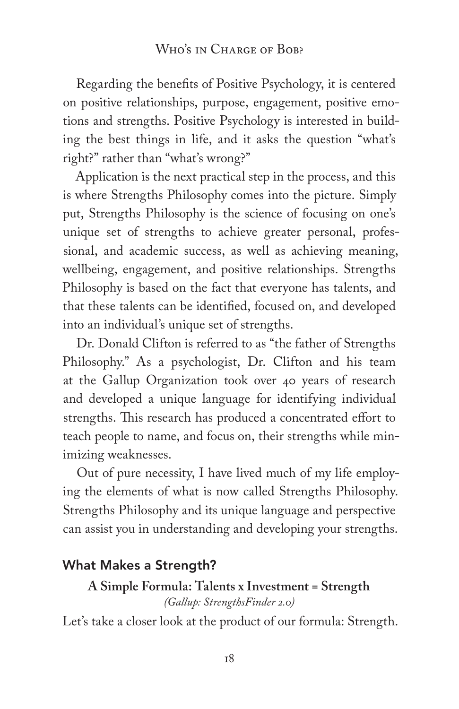Regarding the benefits of Positive Psychology, it is centered on positive relationships, purpose, engagement, positive emotions and strengths. Positive Psychology is interested in building the best things in life, and it asks the question "what's right?" rather than "what's wrong?"

Application is the next practical step in the process, and this is where Strengths Philosophy comes into the picture. Simply put, Strengths Philosophy is the science of focusing on one's unique set of strengths to achieve greater personal, professional, and academic success, as well as achieving meaning, wellbeing, engagement, and positive relationships. Strengths Philosophy is based on the fact that everyone has talents, and that these talents can be identified, focused on, and developed into an individual's unique set of strengths.

Dr. Donald Clifton is referred to as "the father of Strengths Philosophy." As a psychologist, Dr. Clifton and his team at the Gallup Organization took over 40 years of research and developed a unique language for identifying individual strengths. This research has produced a concentrated effort to teach people to name, and focus on, their strengths while minimizing weaknesses.

Out of pure necessity, I have lived much of my life employing the elements of what is now called Strengths Philosophy. Strengths Philosophy and its unique language and perspective can assist you in understanding and developing your strengths.

#### What Makes a Strength?

# **A Simple Formula: Talents x Investment = Strength**

*(Gallup: StrengthsFinder 2.0)*

Let's take a closer look at the product of our formula: Strength.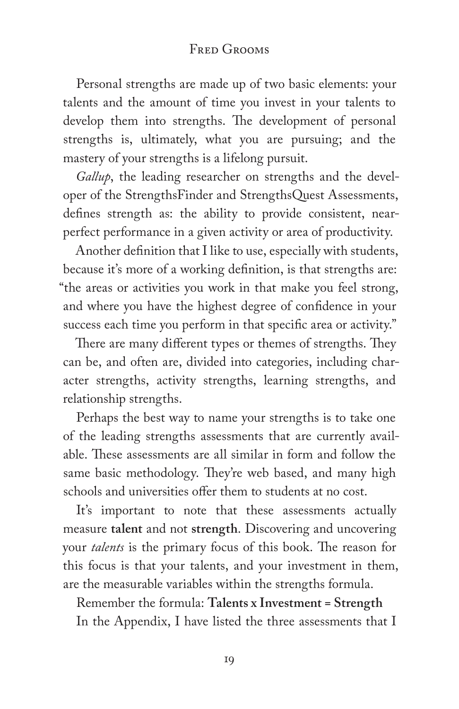#### FRED GROOMS

Personal strengths are made up of two basic elements: your talents and the amount of time you invest in your talents to develop them into strengths. The development of personal strengths is, ultimately, what you are pursuing; and the mastery of your strengths is a lifelong pursuit.

*Gallup*, the leading researcher on strengths and the developer of the StrengthsFinder and StrengthsQuest Assessments, defines strength as: the ability to provide consistent, nearperfect performance in a given activity or area of productivity.

Another definition that I like to use, especially with students, because it's more of a working definition, is that strengths are: "the areas or activities you work in that make you feel strong, and where you have the highest degree of confidence in your success each time you perform in that specific area or activity."

There are many different types or themes of strengths. They can be, and often are, divided into categories, including character strengths, activity strengths, learning strengths, and relationship strengths.

Perhaps the best way to name your strengths is to take one of the leading strengths assessments that are currently available. These assessments are all similar in form and follow the same basic methodology. They're web based, and many high schools and universities offer them to students at no cost.

It's important to note that these assessments actually measure **talent** and not **strength**. Discovering and uncovering your *talents* is the primary focus of this book. The reason for this focus is that your talents, and your investment in them, are the measurable variables within the strengths formula.

Remember the formula: **Talents x Investment = Strength** In the Appendix, I have listed the three assessments that I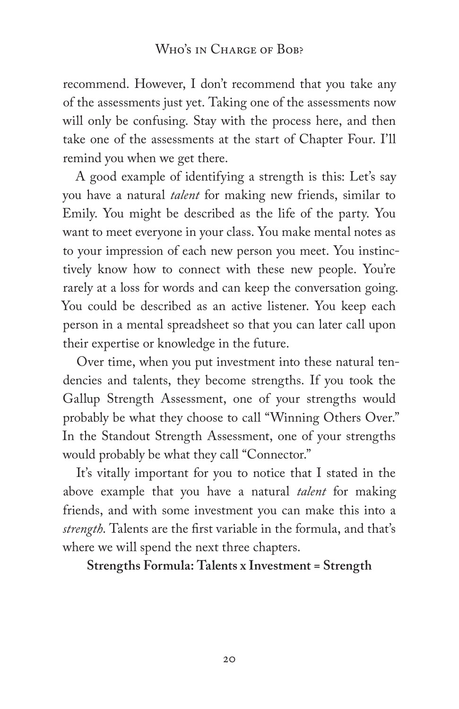recommend. However, I don't recommend that you take any of the assessments just yet. Taking one of the assessments now will only be confusing. Stay with the process here, and then take one of the assessments at the start of Chapter Four. I'll remind you when we get there.

A good example of identifying a strength is this: Let's say you have a natural *talent* for making new friends, similar to Emily. You might be described as the life of the party. You want to meet everyone in your class. You make mental notes as to your impression of each new person you meet. You instinctively know how to connect with these new people. You're rarely at a loss for words and can keep the conversation going. You could be described as an active listener. You keep each person in a mental spreadsheet so that you can later call upon their expertise or knowledge in the future.

Over time, when you put investment into these natural tendencies and talents, they become strengths. If you took the Gallup Strength Assessment, one of your strengths would probably be what they choose to call "Winning Others Over." In the Standout Strength Assessment, one of your strengths would probably be what they call "Connector."

It's vitally important for you to notice that I stated in the above example that you have a natural *talent* for making friends, and with some investment you can make this into a *strength*. Talents are the first variable in the formula, and that's where we will spend the next three chapters.

**Strengths Formula: Talents x Investment = Strength**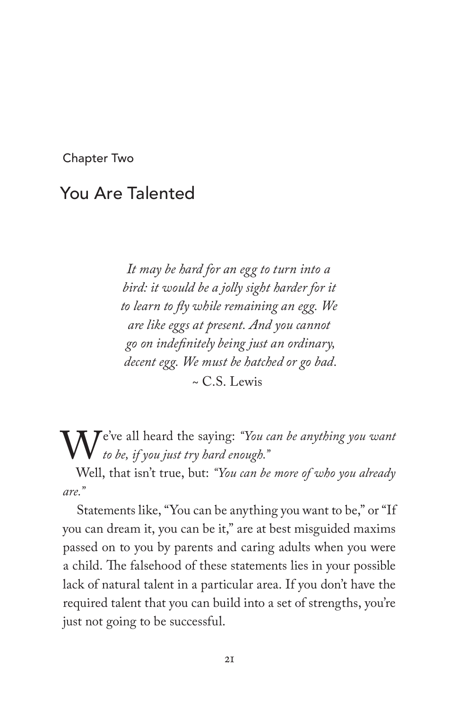Chapter Two

### You Are Talented

*It may be hard for an egg to turn into a bird: it would be a jolly sight harder for it to learn to fly while remaining an egg. We are like eggs at present. And you cannot go on indefinitely being just an ordinary, decent egg. We must be hatched or go bad.*  $\sim$  C.S. Lewis

We've all heard the saying: *"You can be anything you want to be, if you just try hard enough."*

Well, that isn't true, but: *"You can be more of who you already are."*

Statements like, "You can be anything you want to be," or "If you can dream it, you can be it," are at best misguided maxims passed on to you by parents and caring adults when you were a child. The falsehood of these statements lies in your possible lack of natural talent in a particular area. If you don't have the required talent that you can build into a set of strengths, you're just not going to be successful.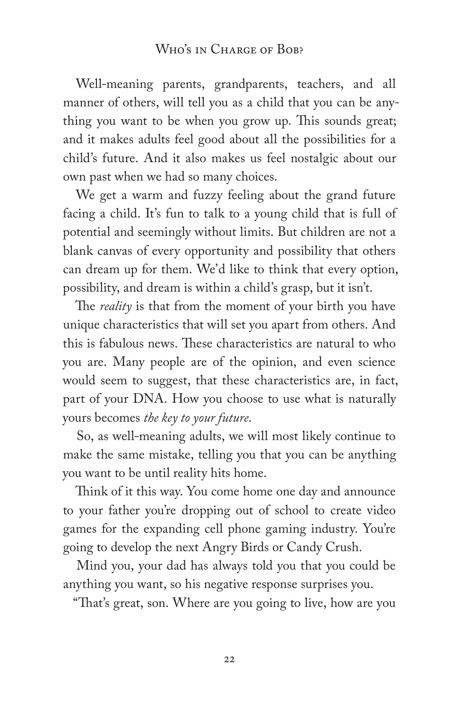Well-meaning parents, grandparents, teachers, and all manner of others, will tell you as a child that you can be anything you want to be when you grow up. This sounds great; and it makes adults feel good about all the possibilities for a child's future. And it also makes us feel nostalgic about our own past when we had so many choices.

We get a warm and fuzzy feeling about the grand future facing a child. It's fun to talk to a young child that is full of potential and seemingly without limits. But children are not a blank canvas of every opportunity and possibility that others can dream up for them. We'd like to think that every option, possibility, and dream is within a child's grasp, but it isn't.

The *reality* is that from the moment of your birth you have unique characteristics that will set you apart from others. And this is fabulous news. These characteristics are natural to who you are. Many people are of the opinion, and even science would seem to suggest, that these characteristics are, in fact, part of your DNA. How you choose to use what is naturally yours becomes *the key to your future*.

So, as well-meaning adults, we will most likely continue to make the same mistake, telling you that you can be anything you want to be until reality hits home.

Think of it this way. You come home one day and announce to your father you're dropping out of school to create video games for the expanding cell phone gaming industry. You're going to develop the next Angry Birds or Candy Crush.

Mind you, your dad has always told you that you could be anything you want, so his negative response surprises you.

"That's great, son. Where are you going to live, how are you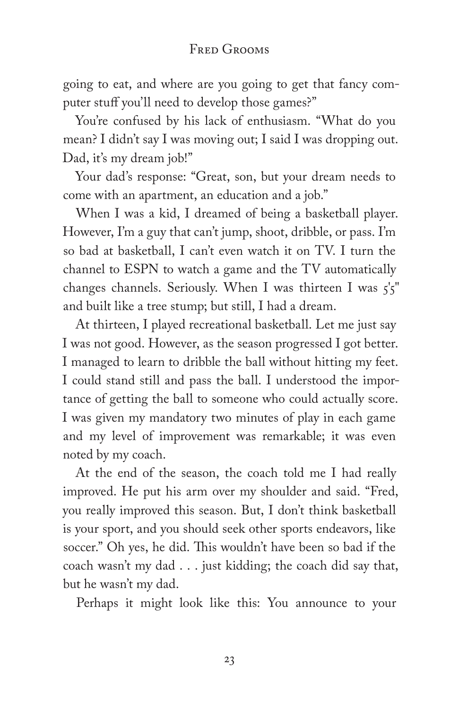#### Fred Grooms

going to eat, and where are you going to get that fancy computer stuff you'll need to develop those games?"

You're confused by his lack of enthusiasm. "What do you mean? I didn't say I was moving out; I said I was dropping out. Dad, it's my dream job!"

Your dad's response: "Great, son, but your dream needs to come with an apartment, an education and a job."

When I was a kid, I dreamed of being a basketball player. However, I'm a guy that can't jump, shoot, dribble, or pass. I'm so bad at basketball, I can't even watch it on TV. I turn the channel to ESPN to watch a game and the TV automatically changes channels. Seriously. When I was thirteen I was  $\zeta \zeta''$ and built like a tree stump; but still, I had a dream.

At thirteen, I played recreational basketball. Let me just say I was not good. However, as the season progressed I got better. I managed to learn to dribble the ball without hitting my feet. I could stand still and pass the ball. I understood the importance of getting the ball to someone who could actually score. I was given my mandatory two minutes of play in each game and my level of improvement was remarkable; it was even noted by my coach.

At the end of the season, the coach told me I had really improved. He put his arm over my shoulder and said. "Fred, you really improved this season. But, I don't think basketball is your sport, and you should seek other sports endeavors, like soccer." Oh yes, he did. This wouldn't have been so bad if the coach wasn't my dad . . . just kidding; the coach did say that, but he wasn't my dad.

Perhaps it might look like this: You announce to your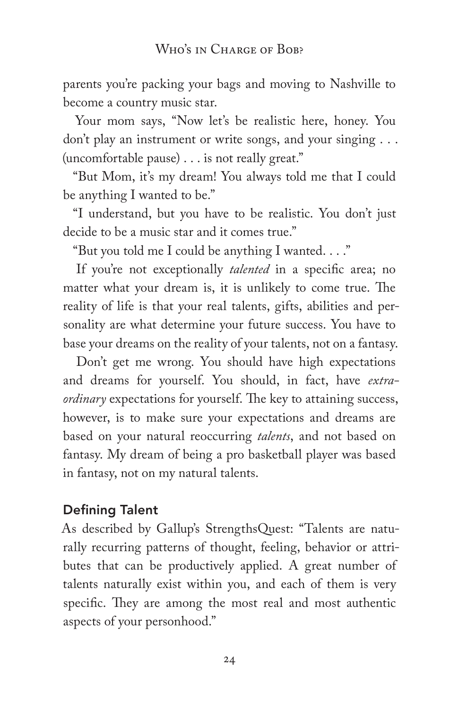parents you're packing your bags and moving to Nashville to become a country music star.

Your mom says, "Now let's be realistic here, honey. You don't play an instrument or write songs, and your singing . . . (uncomfortable pause) . . . is not really great."

"But Mom, it's my dream! You always told me that I could be anything I wanted to be."

"I understand, but you have to be realistic. You don't just decide to be a music star and it comes true."

"But you told me I could be anything I wanted. . . ."

If you're not exceptionally *talented* in a specific area; no matter what your dream is, it is unlikely to come true. The reality of life is that your real talents, gifts, abilities and personality are what determine your future success. You have to base your dreams on the reality of your talents, not on a fantasy.

Don't get me wrong. You should have high expectations and dreams for yourself. You should, in fact, have *extraordinary* expectations for yourself. The key to attaining success, however, is to make sure your expectations and dreams are based on your natural reoccurring *talents*, and not based on fantasy. My dream of being a pro basketball player was based in fantasy, not on my natural talents.

## Defining Talent

As described by Gallup's StrengthsQuest: "Talents are naturally recurring patterns of thought, feeling, behavior or attributes that can be productively applied. A great number of talents naturally exist within you, and each of them is very specific. They are among the most real and most authentic aspects of your personhood."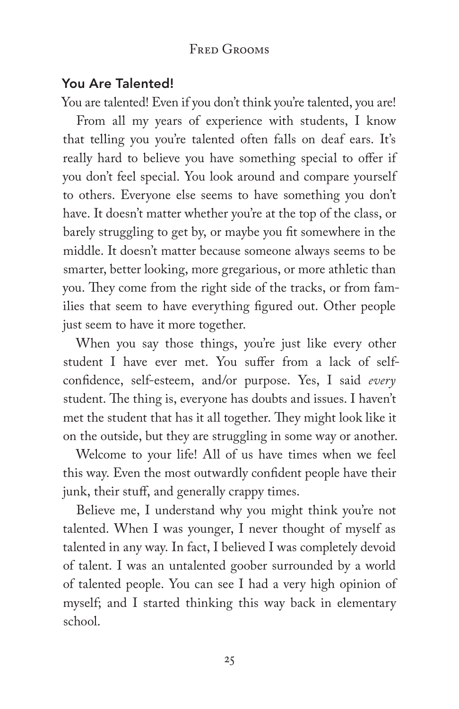## You Are Talented!

You are talented! Even if you don't think you're talented, you are!

From all my years of experience with students, I know that telling you you're talented often falls on deaf ears. It's really hard to believe you have something special to offer if you don't feel special. You look around and compare yourself to others. Everyone else seems to have something you don't have. It doesn't matter whether you're at the top of the class, or barely struggling to get by, or maybe you fit somewhere in the middle. It doesn't matter because someone always seems to be smarter, better looking, more gregarious, or more athletic than you. They come from the right side of the tracks, or from families that seem to have everything figured out. Other people just seem to have it more together.

When you say those things, you're just like every other student I have ever met. You suffer from a lack of selfconfidence, self-esteem, and/or purpose. Yes, I said *every* student. The thing is, everyone has doubts and issues. I haven't met the student that has it all together. They might look like it on the outside, but they are struggling in some way or another.

Welcome to your life! All of us have times when we feel this way. Even the most outwardly confident people have their junk, their stuff, and generally crappy times.

Believe me, I understand why you might think you're not talented. When I was younger, I never thought of myself as talented in any way. In fact, I believed I was completely devoid of talent. I was an untalented goober surrounded by a world of talented people. You can see I had a very high opinion of myself; and I started thinking this way back in elementary school.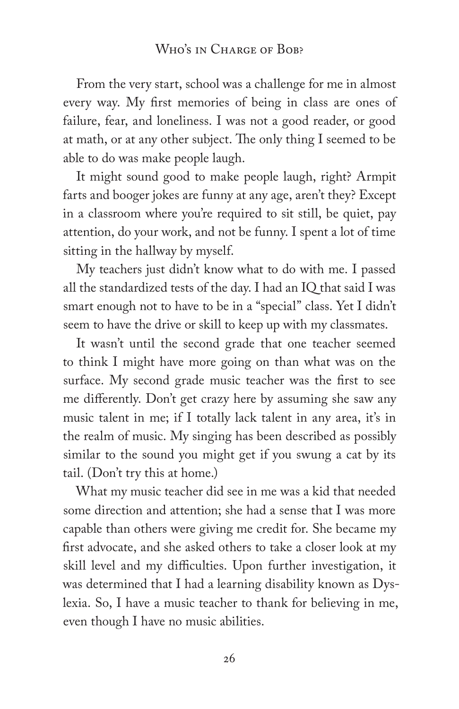From the very start, school was a challenge for me in almost every way. My first memories of being in class are ones of failure, fear, and loneliness. I was not a good reader, or good at math, or at any other subject. The only thing I seemed to be able to do was make people laugh.

It might sound good to make people laugh, right? Armpit farts and booger jokes are funny at any age, aren't they? Except in a classroom where you're required to sit still, be quiet, pay attention, do your work, and not be funny. I spent a lot of time sitting in the hallway by myself.

My teachers just didn't know what to do with me. I passed all the standardized tests of the day. I had an IQ that said I was smart enough not to have to be in a "special" class. Yet I didn't seem to have the drive or skill to keep up with my classmates.

It wasn't until the second grade that one teacher seemed to think I might have more going on than what was on the surface. My second grade music teacher was the first to see me differently. Don't get crazy here by assuming she saw any music talent in me; if I totally lack talent in any area, it's in the realm of music. My singing has been described as possibly similar to the sound you might get if you swung a cat by its tail. (Don't try this at home.)

What my music teacher did see in me was a kid that needed some direction and attention; she had a sense that I was more capable than others were giving me credit for. She became my first advocate, and she asked others to take a closer look at my skill level and my difficulties. Upon further investigation, it was determined that I had a learning disability known as Dyslexia. So, I have a music teacher to thank for believing in me, even though I have no music abilities.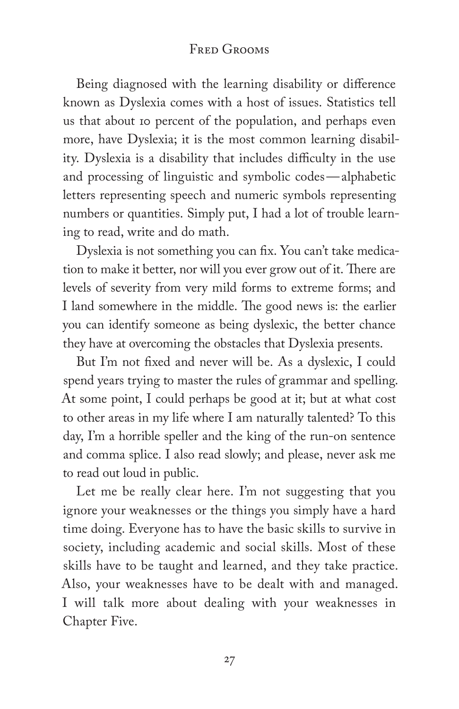Being diagnosed with the learning disability or difference known as Dyslexia comes with a host of issues. Statistics tell us that about 10 percent of the population, and perhaps even more, have Dyslexia; it is the most common learning disability. Dyslexia is a disability that includes difficulty in the use and processing of linguistic and symbolic codes—alphabetic letters representing speech and numeric symbols representing numbers or quantities. Simply put, I had a lot of trouble learning to read, write and do math.

Dyslexia is not something you can fix. You can't take medication to make it better, nor will you ever grow out of it. There are levels of severity from very mild forms to extreme forms; and I land somewhere in the middle. The good news is: the earlier you can identify someone as being dyslexic, the better chance they have at overcoming the obstacles that Dyslexia presents.

But I'm not fixed and never will be. As a dyslexic, I could spend years trying to master the rules of grammar and spelling. At some point, I could perhaps be good at it; but at what cost to other areas in my life where I am naturally talented? To this day, I'm a horrible speller and the king of the run-on sentence and comma splice. I also read slowly; and please, never ask me to read out loud in public.

Let me be really clear here. I'm not suggesting that you ignore your weaknesses or the things you simply have a hard time doing. Everyone has to have the basic skills to survive in society, including academic and social skills. Most of these skills have to be taught and learned, and they take practice. Also, your weaknesses have to be dealt with and managed. I will talk more about dealing with your weaknesses in Chapter Five.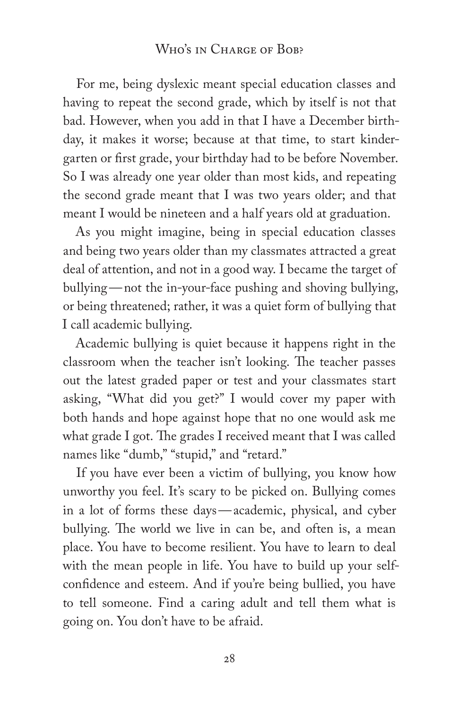#### WHO'S IN CHARGE OF BOB?

For me, being dyslexic meant special education classes and having to repeat the second grade, which by itself is not that bad. However, when you add in that I have a December birthday, it makes it worse; because at that time, to start kindergarten or first grade, your birthday had to be before November. So I was already one year older than most kids, and repeating the second grade meant that I was two years older; and that meant I would be nineteen and a half years old at graduation.

As you might imagine, being in special education classes and being two years older than my classmates attracted a great deal of attention, and not in a good way. I became the target of bullying—not the in-your-face pushing and shoving bullying, or being threatened; rather, it was a quiet form of bullying that I call academic bullying.

Academic bullying is quiet because it happens right in the classroom when the teacher isn't looking. The teacher passes out the latest graded paper or test and your classmates start asking, "What did you get?" I would cover my paper with both hands and hope against hope that no one would ask me what grade I got. The grades I received meant that I was called names like "dumb," "stupid," and "retard."

If you have ever been a victim of bullying, you know how unworthy you feel. It's scary to be picked on. Bullying comes in a lot of forms these days—academic, physical, and cyber bullying. The world we live in can be, and often is, a mean place. You have to become resilient. You have to learn to deal with the mean people in life. You have to build up your selfconfidence and esteem. And if you're being bullied, you have to tell someone. Find a caring adult and tell them what is going on. You don't have to be afraid.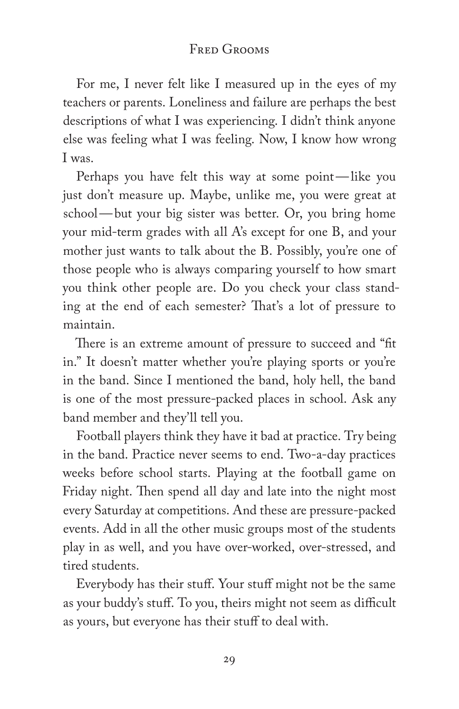For me, I never felt like I measured up in the eyes of my teachers or parents. Loneliness and failure are perhaps the best descriptions of what I was experiencing. I didn't think anyone else was feeling what I was feeling. Now, I know how wrong I was.

Perhaps you have felt this way at some point—like you just don't measure up. Maybe, unlike me, you were great at school—but your big sister was better. Or, you bring home your mid-term grades with all A's except for one B, and your mother just wants to talk about the B. Possibly, you're one of those people who is always comparing yourself to how smart you think other people are. Do you check your class standing at the end of each semester? That's a lot of pressure to maintain.

There is an extreme amount of pressure to succeed and "fit in." It doesn't matter whether you're playing sports or you're in the band. Since I mentioned the band, holy hell, the band is one of the most pressure-packed places in school. Ask any band member and they'll tell you.

Football players think they have it bad at practice. Try being in the band. Practice never seems to end. Two-a-day practices weeks before school starts. Playing at the football game on Friday night. Then spend all day and late into the night most every Saturday at competitions. And these are pressure-packed events. Add in all the other music groups most of the students play in as well, and you have over-worked, over-stressed, and tired students.

Everybody has their stuff. Your stuff might not be the same as your buddy's stuff. To you, theirs might not seem as difficult as yours, but everyone has their stuff to deal with.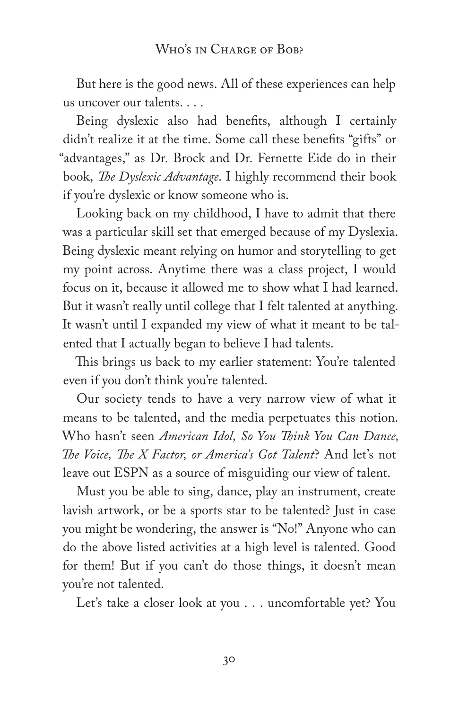But here is the good news. All of these experiences can help us uncover our talents. . . .

Being dyslexic also had benefits, although I certainly didn't realize it at the time. Some call these benefits "gifts" or "advantages," as Dr. Brock and Dr. Fernette Eide do in their book, *The Dyslexic Advantage*. I highly recommend their book if you're dyslexic or know someone who is.

Looking back on my childhood, I have to admit that there was a particular skill set that emerged because of my Dyslexia. Being dyslexic meant relying on humor and storytelling to get my point across. Anytime there was a class project, I would focus on it, because it allowed me to show what I had learned. But it wasn't really until college that I felt talented at anything. It wasn't until I expanded my view of what it meant to be talented that I actually began to believe I had talents.

This brings us back to my earlier statement: You're talented even if you don't think you're talented.

Our society tends to have a very narrow view of what it means to be talented, and the media perpetuates this notion. Who hasn't seen *American Idol, So You Think You Can Dance, The Voice, The X Factor, or America's Got Talent*? And let's not leave out ESPN as a source of misguiding our view of talent.

Must you be able to sing, dance, play an instrument, create lavish artwork, or be a sports star to be talented? Just in case you might be wondering, the answer is "No!" Anyone who can do the above listed activities at a high level is talented. Good for them! But if you can't do those things, it doesn't mean you're not talented.

Let's take a closer look at you . . . uncomfortable yet? You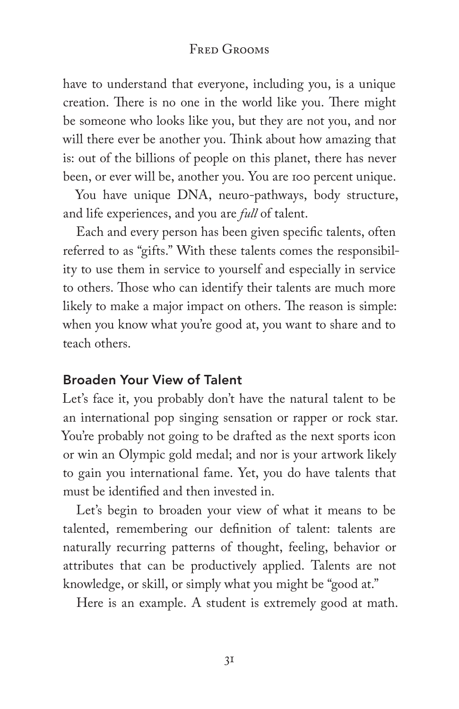have to understand that everyone, including you, is a unique creation. There is no one in the world like you. There might be someone who looks like you, but they are not you, and nor will there ever be another you. Think about how amazing that is: out of the billions of people on this planet, there has never been, or ever will be, another you. You are 100 percent unique.

You have unique DNA, neuro-pathways, body structure, and life experiences, and you are *full* of talent.

Each and every person has been given specific talents, often referred to as "gifts." With these talents comes the responsibility to use them in service to yourself and especially in service to others. Those who can identify their talents are much more likely to make a major impact on others. The reason is simple: when you know what you're good at, you want to share and to teach others.

#### Broaden Your View of Talent

Let's face it, you probably don't have the natural talent to be an international pop singing sensation or rapper or rock star. You're probably not going to be drafted as the next sports icon or win an Olympic gold medal; and nor is your artwork likely to gain you international fame. Yet, you do have talents that must be identified and then invested in.

Let's begin to broaden your view of what it means to be talented, remembering our definition of talent: talents are naturally recurring patterns of thought, feeling, behavior or attributes that can be productively applied. Talents are not knowledge, or skill, or simply what you might be "good at."

Here is an example. A student is extremely good at math.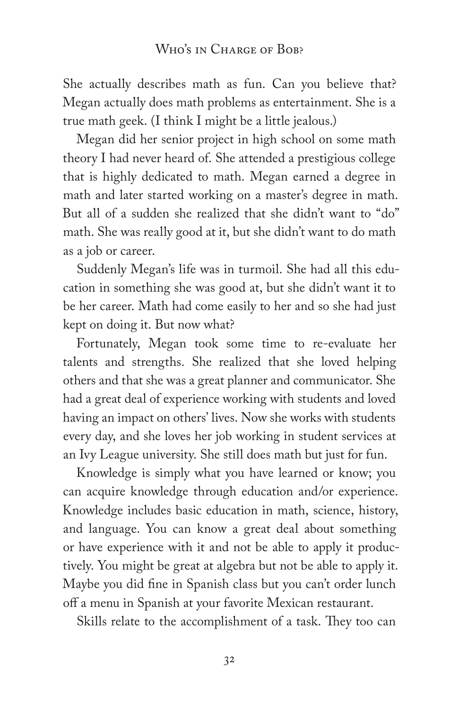She actually describes math as fun. Can you believe that? Megan actually does math problems as entertainment. She is a true math geek. (I think I might be a little jealous.)

Megan did her senior project in high school on some math theory I had never heard of. She attended a prestigious college that is highly dedicated to math. Megan earned a degree in math and later started working on a master's degree in math. But all of a sudden she realized that she didn't want to "do" math. She was really good at it, but she didn't want to do math as a job or career.

Suddenly Megan's life was in turmoil. She had all this education in something she was good at, but she didn't want it to be her career. Math had come easily to her and so she had just kept on doing it. But now what?

Fortunately, Megan took some time to re-evaluate her talents and strengths. She realized that she loved helping others and that she was a great planner and communicator. She had a great deal of experience working with students and loved having an impact on others' lives. Now she works with students every day, and she loves her job working in student services at an Ivy League university. She still does math but just for fun.

Knowledge is simply what you have learned or know; you can acquire knowledge through education and/or experience. Knowledge includes basic education in math, science, history, and language. You can know a great deal about something or have experience with it and not be able to apply it productively. You might be great at algebra but not be able to apply it. Maybe you did fine in Spanish class but you can't order lunch off a menu in Spanish at your favorite Mexican restaurant.

Skills relate to the accomplishment of a task. They too can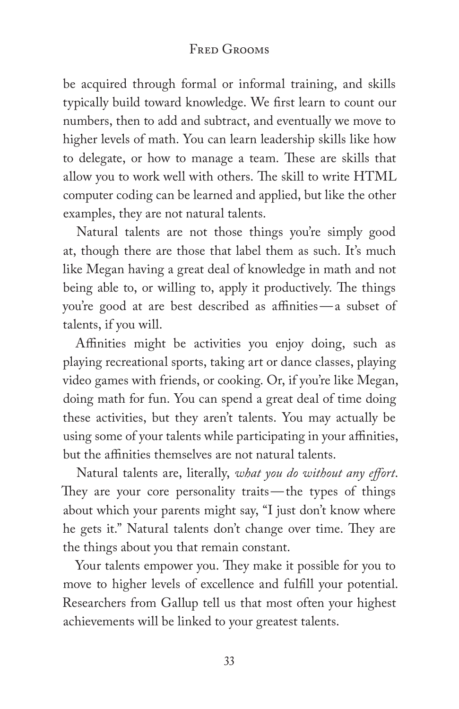be acquired through formal or informal training, and skills typically build toward knowledge. We first learn to count our numbers, then to add and subtract, and eventually we move to higher levels of math. You can learn leadership skills like how to delegate, or how to manage a team. These are skills that allow you to work well with others. The skill to write HTML computer coding can be learned and applied, but like the other examples, they are not natural talents.

Natural talents are not those things you're simply good at, though there are those that label them as such. It's much like Megan having a great deal of knowledge in math and not being able to, or willing to, apply it productively. The things you're good at are best described as affinities—a subset of talents, if you will.

Affinities might be activities you enjoy doing, such as playing recreational sports, taking art or dance classes, playing video games with friends, or cooking. Or, if you're like Megan, doing math for fun. You can spend a great deal of time doing these activities, but they aren't talents. You may actually be using some of your talents while participating in your affinities, but the affinities themselves are not natural talents.

Natural talents are, literally, *what you do without any effort*. They are your core personality traits—the types of things about which your parents might say, "I just don't know where he gets it." Natural talents don't change over time. They are the things about you that remain constant.

Your talents empower you. They make it possible for you to move to higher levels of excellence and fulfill your potential. Researchers from Gallup tell us that most often your highest achievements will be linked to your greatest talents.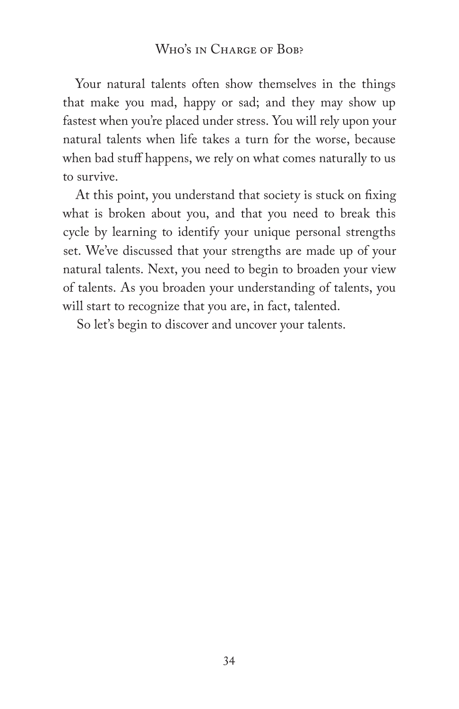#### WHO'S IN CHARGE OF BOB?

Your natural talents often show themselves in the things that make you mad, happy or sad; and they may show up fastest when you're placed under stress. You will rely upon your natural talents when life takes a turn for the worse, because when bad stuff happens, we rely on what comes naturally to us to survive.

At this point, you understand that society is stuck on fixing what is broken about you, and that you need to break this cycle by learning to identify your unique personal strengths set. We've discussed that your strengths are made up of your natural talents. Next, you need to begin to broaden your view of talents. As you broaden your understanding of talents, you will start to recognize that you are, in fact, talented.

So let's begin to discover and uncover your talents.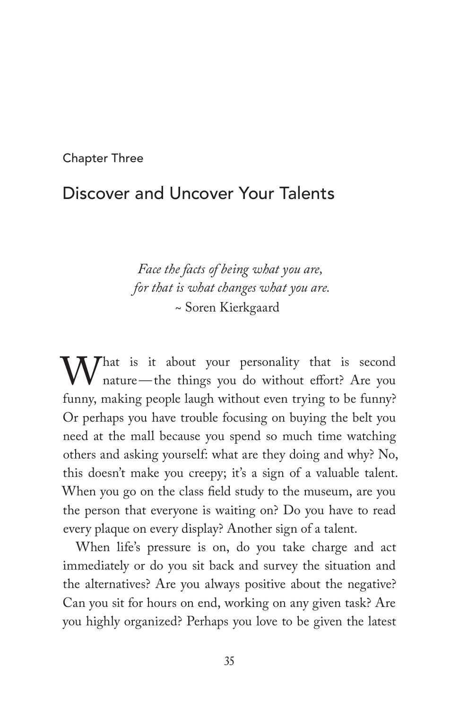Chapter Three

## Discover and Uncover Your Talents

*Face the facts of being what you are, for that is what changes what you are.* ~ Soren Kierkgaard

What is it about your personality that is second<br>nature—the things you do without effort? Are you<br>funny making people laugh without even trying to be funny? nature—the things you do without effort? Are you funny, making people laugh without even trying to be funny? Or perhaps you have trouble focusing on buying the belt you need at the mall because you spend so much time watching others and asking yourself: what are they doing and why? No, this doesn't make you creepy; it's a sign of a valuable talent. When you go on the class field study to the museum, are you the person that everyone is waiting on? Do you have to read every plaque on every display? Another sign of a talent.

When life's pressure is on, do you take charge and act immediately or do you sit back and survey the situation and the alternatives? Are you always positive about the negative? Can you sit for hours on end, working on any given task? Are you highly organized? Perhaps you love to be given the latest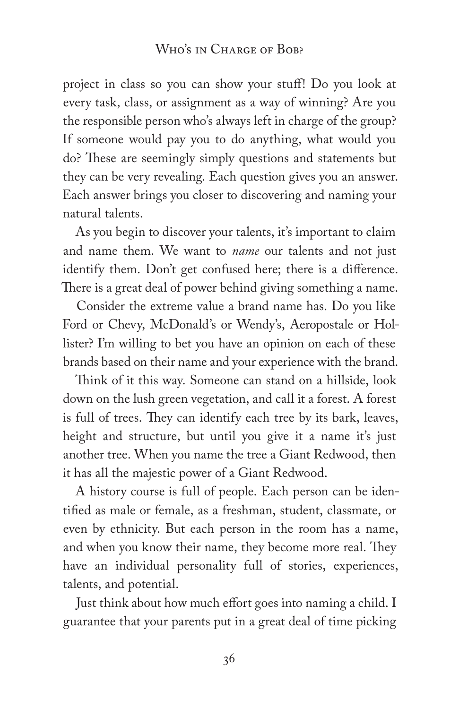#### WHO'S IN CHARGE OF BOB?

project in class so you can show your stuff! Do you look at every task, class, or assignment as a way of winning? Are you the responsible person who's always left in charge of the group? If someone would pay you to do anything, what would you do? These are seemingly simply questions and statements but they can be very revealing. Each question gives you an answer. Each answer brings you closer to discovering and naming your natural talents.

As you begin to discover your talents, it's important to claim and name them. We want to *name* our talents and not just identify them. Don't get confused here; there is a difference. There is a great deal of power behind giving something a name.

Consider the extreme value a brand name has. Do you like Ford or Chevy, McDonald's or Wendy's, Aeropostale or Hollister? I'm willing to bet you have an opinion on each of these brands based on their name and your experience with the brand.

Think of it this way. Someone can stand on a hillside, look down on the lush green vegetation, and call it a forest. A forest is full of trees. They can identify each tree by its bark, leaves, height and structure, but until you give it a name it's just another tree. When you name the tree a Giant Redwood, then it has all the majestic power of a Giant Redwood.

A history course is full of people. Each person can be identified as male or female, as a freshman, student, classmate, or even by ethnicity. But each person in the room has a name, and when you know their name, they become more real. They have an individual personality full of stories, experiences, talents, and potential.

Just think about how much effort goes into naming a child. I guarantee that your parents put in a great deal of time picking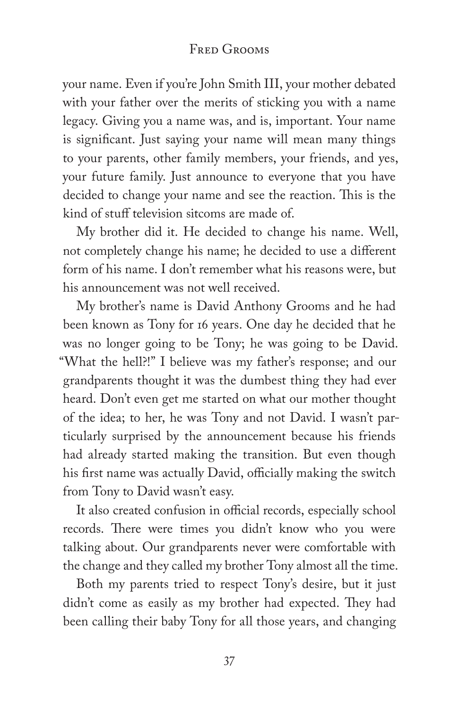your name. Even if you're John Smith III, your mother debated with your father over the merits of sticking you with a name legacy. Giving you a name was, and is, important. Your name is significant. Just saying your name will mean many things to your parents, other family members, your friends, and yes, your future family. Just announce to everyone that you have decided to change your name and see the reaction. This is the kind of stuff television sitcoms are made of.

My brother did it. He decided to change his name. Well, not completely change his name; he decided to use a different form of his name. I don't remember what his reasons were, but his announcement was not well received.

My brother's name is David Anthony Grooms and he had been known as Tony for 16 years. One day he decided that he was no longer going to be Tony; he was going to be David. "What the hell?!" I believe was my father's response; and our grandparents thought it was the dumbest thing they had ever heard. Don't even get me started on what our mother thought of the idea; to her, he was Tony and not David. I wasn't particularly surprised by the announcement because his friends had already started making the transition. But even though his first name was actually David, officially making the switch from Tony to David wasn't easy.

It also created confusion in official records, especially school records. There were times you didn't know who you were talking about. Our grandparents never were comfortable with the change and they called my brother Tony almost all the time.

Both my parents tried to respect Tony's desire, but it just didn't come as easily as my brother had expected. They had been calling their baby Tony for all those years, and changing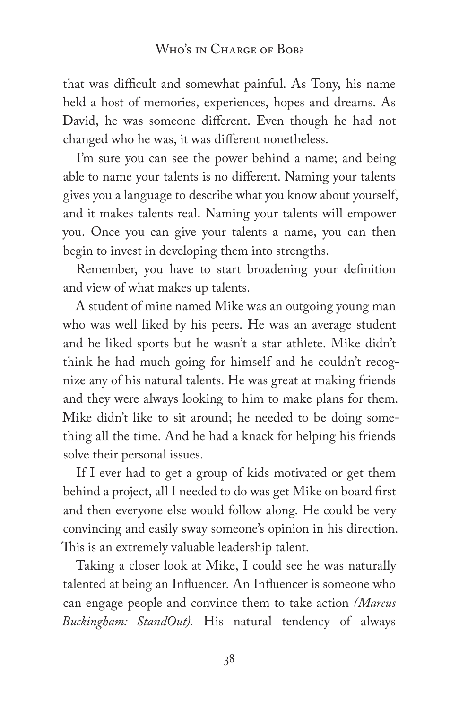that was difficult and somewhat painful. As Tony, his name held a host of memories, experiences, hopes and dreams. As David, he was someone different. Even though he had not changed who he was, it was different nonetheless.

I'm sure you can see the power behind a name; and being able to name your talents is no different. Naming your talents gives you a language to describe what you know about yourself, and it makes talents real. Naming your talents will empower you. Once you can give your talents a name, you can then begin to invest in developing them into strengths.

Remember, you have to start broadening your definition and view of what makes up talents.

A student of mine named Mike was an outgoing young man who was well liked by his peers. He was an average student and he liked sports but he wasn't a star athlete. Mike didn't think he had much going for himself and he couldn't recognize any of his natural talents. He was great at making friends and they were always looking to him to make plans for them. Mike didn't like to sit around; he needed to be doing something all the time. And he had a knack for helping his friends solve their personal issues.

If I ever had to get a group of kids motivated or get them behind a project, all I needed to do was get Mike on board first and then everyone else would follow along. He could be very convincing and easily sway someone's opinion in his direction. This is an extremely valuable leadership talent.

Taking a closer look at Mike, I could see he was naturally talented at being an Influencer. An Influencer is someone who can engage people and convince them to take action *(Marcus Buckingham: StandOut).* His natural tendency of always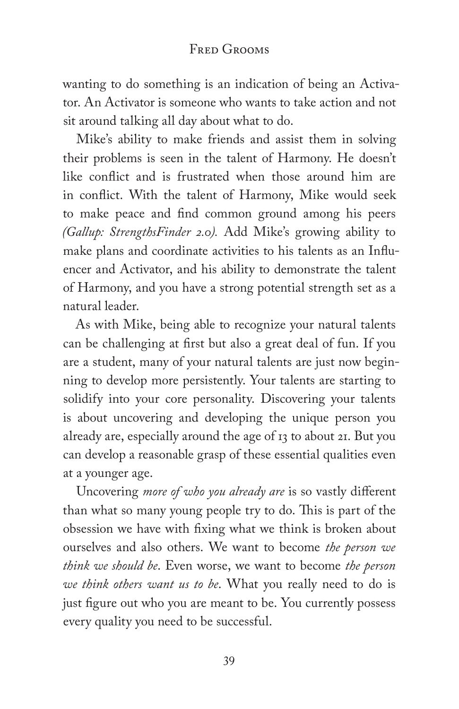wanting to do something is an indication of being an Activator. An Activator is someone who wants to take action and not sit around talking all day about what to do.

Mike's ability to make friends and assist them in solving their problems is seen in the talent of Harmony. He doesn't like conflict and is frustrated when those around him are in conflict. With the talent of Harmony, Mike would seek to make peace and find common ground among his peers *(Gallup: StrengthsFinder 2.0).* Add Mike's growing ability to make plans and coordinate activities to his talents as an Influencer and Activator, and his ability to demonstrate the talent of Harmony, and you have a strong potential strength set as a natural leader.

As with Mike, being able to recognize your natural talents can be challenging at first but also a great deal of fun. If you are a student, many of your natural talents are just now beginning to develop more persistently. Your talents are starting to solidify into your core personality. Discovering your talents is about uncovering and developing the unique person you already are, especially around the age of 13 to about 21. But you can develop a reasonable grasp of these essential qualities even at a younger age.

Uncovering *more of who you already are* is so vastly different than what so many young people try to do. This is part of the obsession we have with fixing what we think is broken about ourselves and also others. We want to become *the person we think we should be*. Even worse, we want to become *the person we think others want us to be*. What you really need to do is just figure out who you are meant to be. You currently possess every quality you need to be successful.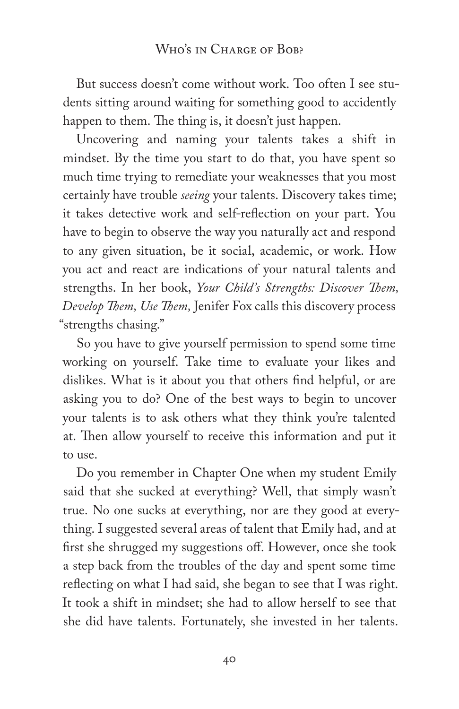But success doesn't come without work. Too often I see students sitting around waiting for something good to accidently happen to them. The thing is, it doesn't just happen.

Uncovering and naming your talents takes a shift in mindset. By the time you start to do that, you have spent so much time trying to remediate your weaknesses that you most certainly have trouble *seeing* your talents. Discovery takes time; it takes detective work and self-reflection on your part. You have to begin to observe the way you naturally act and respond to any given situation, be it social, academic, or work. How you act and react are indications of your natural talents and strengths. In her book, *Your Child's Strengths: Discover Them, Develop Them, Use Them,* Jenifer Fox calls this discovery process "strengths chasing."

So you have to give yourself permission to spend some time working on yourself. Take time to evaluate your likes and dislikes. What is it about you that others find helpful, or are asking you to do? One of the best ways to begin to uncover your talents is to ask others what they think you're talented at. Then allow yourself to receive this information and put it to use.

Do you remember in Chapter One when my student Emily said that she sucked at everything? Well, that simply wasn't true. No one sucks at everything, nor are they good at everything. I suggested several areas of talent that Emily had, and at first she shrugged my suggestions off. However, once she took a step back from the troubles of the day and spent some time reflecting on what I had said, she began to see that I was right. It took a shift in mindset; she had to allow herself to see that she did have talents. Fortunately, she invested in her talents.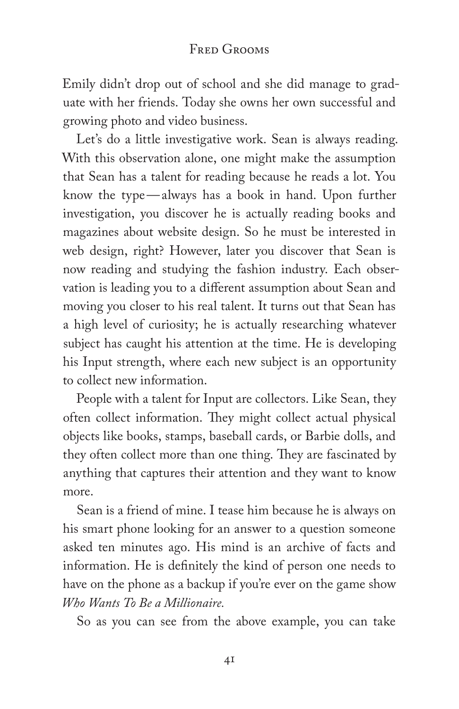Emily didn't drop out of school and she did manage to graduate with her friends. Today she owns her own successful and growing photo and video business.

Let's do a little investigative work. Sean is always reading. With this observation alone, one might make the assumption that Sean has a talent for reading because he reads a lot. You know the type—always has a book in hand. Upon further investigation, you discover he is actually reading books and magazines about website design. So he must be interested in web design, right? However, later you discover that Sean is now reading and studying the fashion industry. Each observation is leading you to a different assumption about Sean and moving you closer to his real talent. It turns out that Sean has a high level of curiosity; he is actually researching whatever subject has caught his attention at the time. He is developing his Input strength, where each new subject is an opportunity to collect new information.

People with a talent for Input are collectors. Like Sean, they often collect information. They might collect actual physical objects like books, stamps, baseball cards, or Barbie dolls, and they often collect more than one thing. They are fascinated by anything that captures their attention and they want to know more.

Sean is a friend of mine. I tease him because he is always on his smart phone looking for an answer to a question someone asked ten minutes ago. His mind is an archive of facts and information. He is definitely the kind of person one needs to have on the phone as a backup if you're ever on the game show *Who Wants To Be a Millionaire.*

So as you can see from the above example, you can take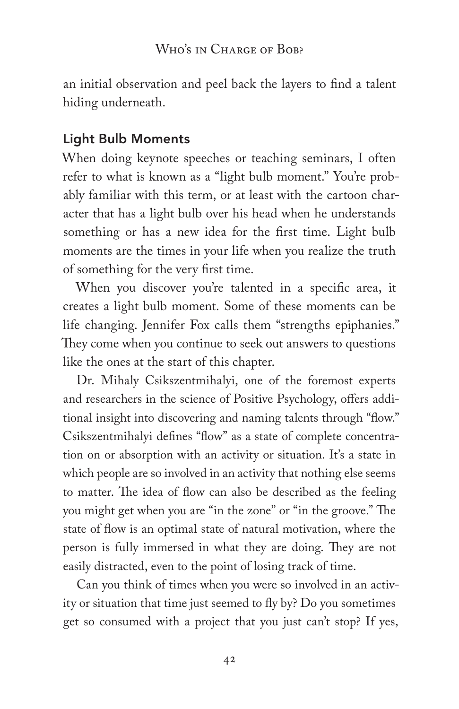an initial observation and peel back the layers to find a talent hiding underneath.

#### Light Bulb Moments

When doing keynote speeches or teaching seminars, I often refer to what is known as a "light bulb moment." You're probably familiar with this term, or at least with the cartoon character that has a light bulb over his head when he understands something or has a new idea for the first time. Light bulb moments are the times in your life when you realize the truth of something for the very first time.

When you discover you're talented in a specific area, it creates a light bulb moment. Some of these moments can be life changing. Jennifer Fox calls them "strengths epiphanies." They come when you continue to seek out answers to questions like the ones at the start of this chapter.

Dr. Mihaly Csikszentmihalyi, one of the foremost experts and researchers in the science of Positive Psychology, offers additional insight into discovering and naming talents through "flow." Csikszentmihalyi defines "flow" as a state of complete concentration on or absorption with an activity or situation. It's a state in which people are so involved in an activity that nothing else seems to matter. The idea of flow can also be described as the feeling you might get when you are "in the zone" or "in the groove." The state of flow is an optimal state of natural motivation, where the person is fully immersed in what they are doing. They are not easily distracted, even to the point of losing track of time.

Can you think of times when you were so involved in an activity or situation that time just seemed to fly by? Do you sometimes get so consumed with a project that you just can't stop? If yes,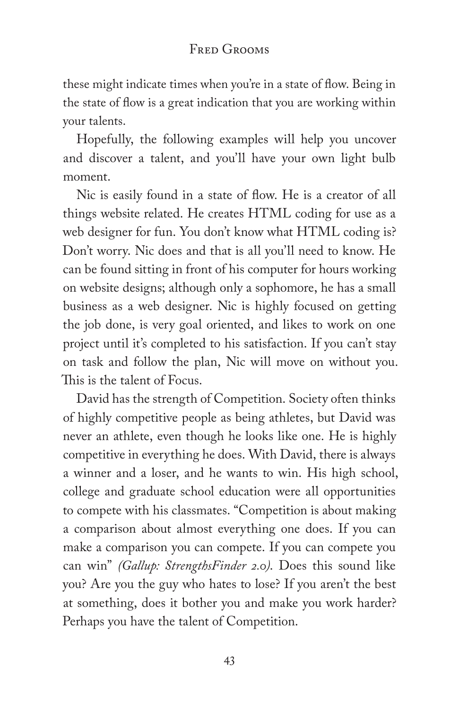these might indicate times when you're in a state of flow. Being in the state of flow is a great indication that you are working within your talents.

Hopefully, the following examples will help you uncover and discover a talent, and you'll have your own light bulb moment.

Nic is easily found in a state of flow. He is a creator of all things website related. He creates HTML coding for use as a web designer for fun. You don't know what HTML coding is? Don't worry. Nic does and that is all you'll need to know. He can be found sitting in front of his computer for hours working on website designs; although only a sophomore, he has a small business as a web designer. Nic is highly focused on getting the job done, is very goal oriented, and likes to work on one project until it's completed to his satisfaction. If you can't stay on task and follow the plan, Nic will move on without you. This is the talent of Focus.

David has the strength of Competition. Society often thinks of highly competitive people as being athletes, but David was never an athlete, even though he looks like one. He is highly competitive in everything he does. With David, there is always a winner and a loser, and he wants to win. His high school, college and graduate school education were all opportunities to compete with his classmates. "Competition is about making a comparison about almost everything one does. If you can make a comparison you can compete. If you can compete you can win" *(Gallup: StrengthsFinder 2.0)*. Does this sound like you? Are you the guy who hates to lose? If you aren't the best at something, does it bother you and make you work harder? Perhaps you have the talent of Competition.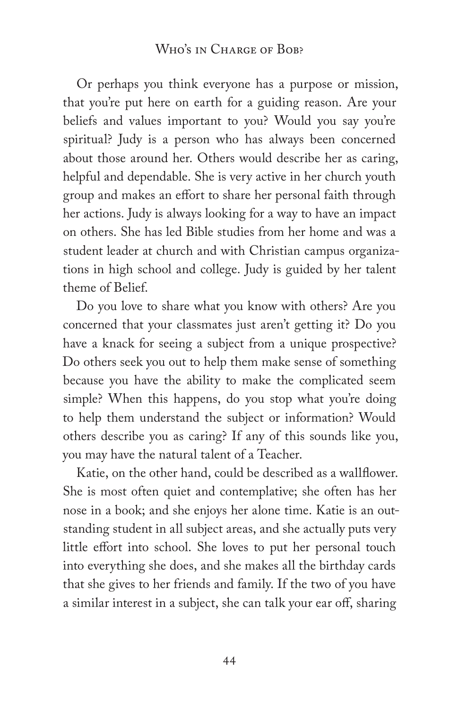Or perhaps you think everyone has a purpose or mission, that you're put here on earth for a guiding reason. Are your beliefs and values important to you? Would you say you're spiritual? Judy is a person who has always been concerned about those around her. Others would describe her as caring, helpful and dependable. She is very active in her church youth group and makes an effort to share her personal faith through her actions. Judy is always looking for a way to have an impact on others. She has led Bible studies from her home and was a student leader at church and with Christian campus organizations in high school and college. Judy is guided by her talent theme of Belief.

Do you love to share what you know with others? Are you concerned that your classmates just aren't getting it? Do you have a knack for seeing a subject from a unique prospective? Do others seek you out to help them make sense of something because you have the ability to make the complicated seem simple? When this happens, do you stop what you're doing to help them understand the subject or information? Would others describe you as caring? If any of this sounds like you, you may have the natural talent of a Teacher.

Katie, on the other hand, could be described as a wallflower. She is most often quiet and contemplative; she often has her nose in a book; and she enjoys her alone time. Katie is an outstanding student in all subject areas, and she actually puts very little effort into school. She loves to put her personal touch into everything she does, and she makes all the birthday cards that she gives to her friends and family. If the two of you have a similar interest in a subject, she can talk your ear off, sharing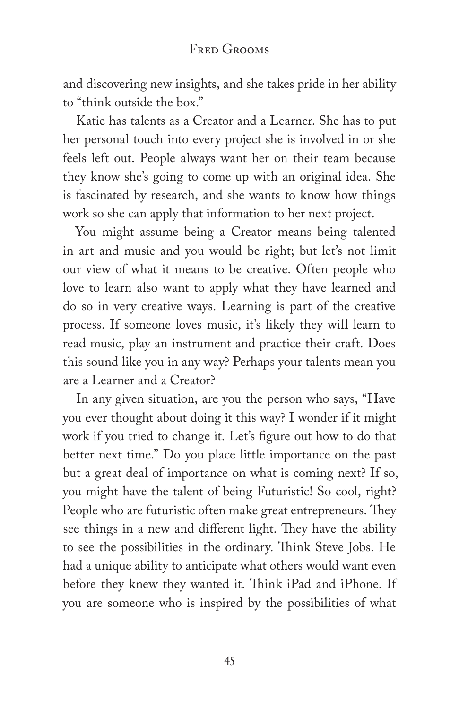and discovering new insights, and she takes pride in her ability to "think outside the box."

Katie has talents as a Creator and a Learner. She has to put her personal touch into every project she is involved in or she feels left out. People always want her on their team because they know she's going to come up with an original idea. She is fascinated by research, and she wants to know how things work so she can apply that information to her next project.

You might assume being a Creator means being talented in art and music and you would be right; but let's not limit our view of what it means to be creative. Often people who love to learn also want to apply what they have learned and do so in very creative ways. Learning is part of the creative process. If someone loves music, it's likely they will learn to read music, play an instrument and practice their craft. Does this sound like you in any way? Perhaps your talents mean you are a Learner and a Creator?

In any given situation, are you the person who says, "Have you ever thought about doing it this way? I wonder if it might work if you tried to change it. Let's figure out how to do that better next time." Do you place little importance on the past but a great deal of importance on what is coming next? If so, you might have the talent of being Futuristic! So cool, right? People who are futuristic often make great entrepreneurs. They see things in a new and different light. They have the ability to see the possibilities in the ordinary. Think Steve Jobs. He had a unique ability to anticipate what others would want even before they knew they wanted it. Think iPad and iPhone. If you are someone who is inspired by the possibilities of what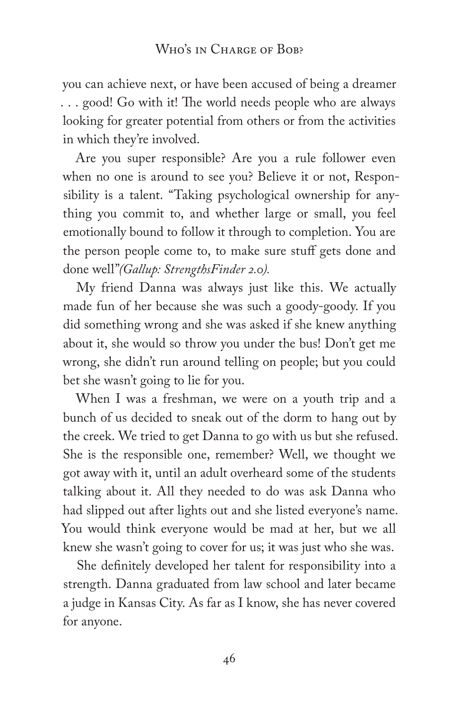you can achieve next, or have been accused of being a dreamer . . . good! Go with it! The world needs people who are always looking for greater potential from others or from the activities in which they're involved.

Are you super responsible? Are you a rule follower even when no one is around to see you? Believe it or not, Responsibility is a talent. "Taking psychological ownership for anything you commit to, and whether large or small, you feel emotionally bound to follow it through to completion. You are the person people come to, to make sure stuff gets done and done well"*(Gallup: StrengthsFinder 2.0).*

My friend Danna was always just like this. We actually made fun of her because she was such a goody-goody. If you did something wrong and she was asked if she knew anything about it, she would so throw you under the bus! Don't get me wrong, she didn't run around telling on people; but you could bet she wasn't going to lie for you.

When I was a freshman, we were on a youth trip and a bunch of us decided to sneak out of the dorm to hang out by the creek. We tried to get Danna to go with us but she refused. She is the responsible one, remember? Well, we thought we got away with it, until an adult overheard some of the students talking about it. All they needed to do was ask Danna who had slipped out after lights out and she listed everyone's name. You would think everyone would be mad at her, but we all knew she wasn't going to cover for us; it was just who she was.

She definitely developed her talent for responsibility into a strength. Danna graduated from law school and later became a judge in Kansas City. As far as I know, she has never covered for anyone.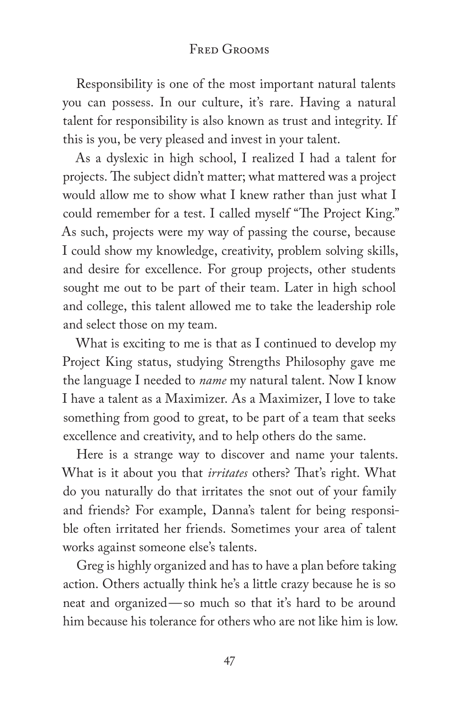Responsibility is one of the most important natural talents you can possess. In our culture, it's rare. Having a natural talent for responsibility is also known as trust and integrity. If this is you, be very pleased and invest in your talent.

As a dyslexic in high school, I realized I had a talent for projects. The subject didn't matter; what mattered was a project would allow me to show what I knew rather than just what I could remember for a test. I called myself "The Project King." As such, projects were my way of passing the course, because I could show my knowledge, creativity, problem solving skills, and desire for excellence. For group projects, other students sought me out to be part of their team. Later in high school and college, this talent allowed me to take the leadership role and select those on my team.

What is exciting to me is that as I continued to develop my Project King status, studying Strengths Philosophy gave me the language I needed to *name* my natural talent. Now I know I have a talent as a Maximizer. As a Maximizer, I love to take something from good to great, to be part of a team that seeks excellence and creativity, and to help others do the same.

Here is a strange way to discover and name your talents. What is it about you that *irritates* others? That's right. What do you naturally do that irritates the snot out of your family and friends? For example, Danna's talent for being responsible often irritated her friends. Sometimes your area of talent works against someone else's talents.

Greg is highly organized and has to have a plan before taking action. Others actually think he's a little crazy because he is so neat and organized—so much so that it's hard to be around him because his tolerance for others who are not like him is low.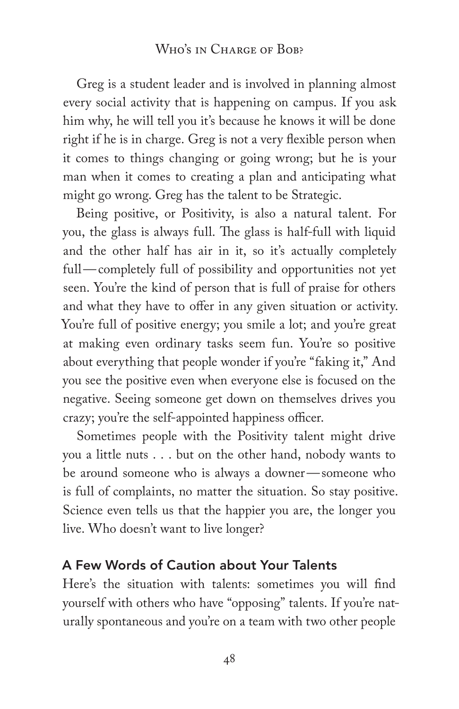#### WHO'S IN CHARGE OF BOB?

Greg is a student leader and is involved in planning almost every social activity that is happening on campus. If you ask him why, he will tell you it's because he knows it will be done right if he is in charge. Greg is not a very flexible person when it comes to things changing or going wrong; but he is your man when it comes to creating a plan and anticipating what might go wrong. Greg has the talent to be Strategic.

Being positive, or Positivity, is also a natural talent. For you, the glass is always full. The glass is half-full with liquid and the other half has air in it, so it's actually completely full—completely full of possibility and opportunities not yet seen. You're the kind of person that is full of praise for others and what they have to offer in any given situation or activity. You're full of positive energy; you smile a lot; and you're great at making even ordinary tasks seem fun. You're so positive about everything that people wonder if you're "faking it," And you see the positive even when everyone else is focused on the negative. Seeing someone get down on themselves drives you crazy; you're the self-appointed happiness officer.

Sometimes people with the Positivity talent might drive you a little nuts . . . but on the other hand, nobody wants to be around someone who is always a downer—someone who is full of complaints, no matter the situation. So stay positive. Science even tells us that the happier you are, the longer you live. Who doesn't want to live longer?

#### A Few Words of Caution about Your Talents

Here's the situation with talents: sometimes you will find yourself with others who have "opposing" talents. If you're naturally spontaneous and you're on a team with two other people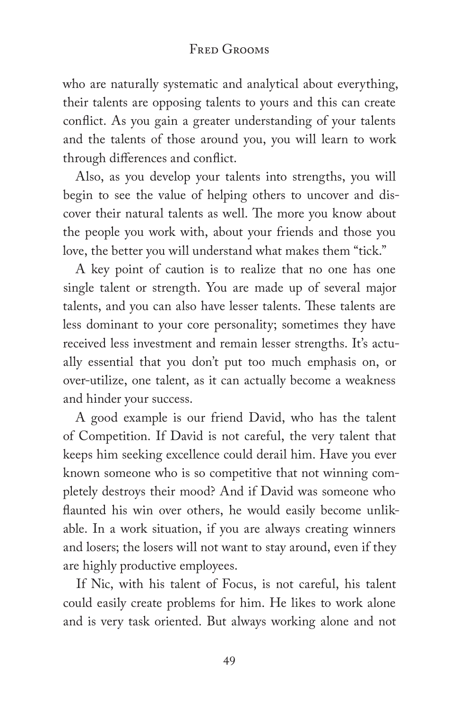#### Fred Grooms

who are naturally systematic and analytical about everything, their talents are opposing talents to yours and this can create conflict. As you gain a greater understanding of your talents and the talents of those around you, you will learn to work through differences and conflict.

Also, as you develop your talents into strengths, you will begin to see the value of helping others to uncover and discover their natural talents as well. The more you know about the people you work with, about your friends and those you love, the better you will understand what makes them "tick."

A key point of caution is to realize that no one has one single talent or strength. You are made up of several major talents, and you can also have lesser talents. These talents are less dominant to your core personality; sometimes they have received less investment and remain lesser strengths. It's actually essential that you don't put too much emphasis on, or over-utilize, one talent, as it can actually become a weakness and hinder your success.

A good example is our friend David, who has the talent of Competition. If David is not careful, the very talent that keeps him seeking excellence could derail him. Have you ever known someone who is so competitive that not winning completely destroys their mood? And if David was someone who flaunted his win over others, he would easily become unlikable. In a work situation, if you are always creating winners and losers; the losers will not want to stay around, even if they are highly productive employees.

If Nic, with his talent of Focus, is not careful, his talent could easily create problems for him. He likes to work alone and is very task oriented. But always working alone and not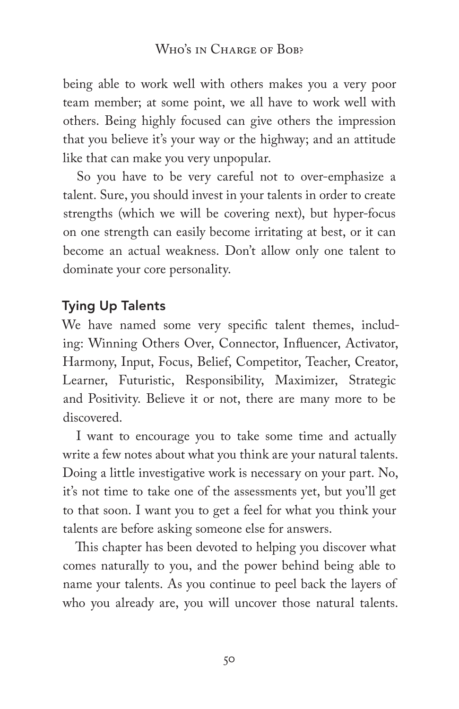being able to work well with others makes you a very poor team member; at some point, we all have to work well with others. Being highly focused can give others the impression that you believe it's your way or the highway; and an attitude like that can make you very unpopular.

So you have to be very careful not to over-emphasize a talent. Sure, you should invest in your talents in order to create strengths (which we will be covering next), but hyper-focus on one strength can easily become irritating at best, or it can become an actual weakness. Don't allow only one talent to dominate your core personality.

## Tying Up Talents

We have named some very specific talent themes, including: Winning Others Over, Connector, Influencer, Activator, Harmony, Input, Focus, Belief, Competitor, Teacher, Creator, Learner, Futuristic, Responsibility, Maximizer, Strategic and Positivity. Believe it or not, there are many more to be discovered.

I want to encourage you to take some time and actually write a few notes about what you think are your natural talents. Doing a little investigative work is necessary on your part. No, it's not time to take one of the assessments yet, but you'll get to that soon. I want you to get a feel for what you think your talents are before asking someone else for answers.

This chapter has been devoted to helping you discover what comes naturally to you, and the power behind being able to name your talents. As you continue to peel back the layers of who you already are, you will uncover those natural talents.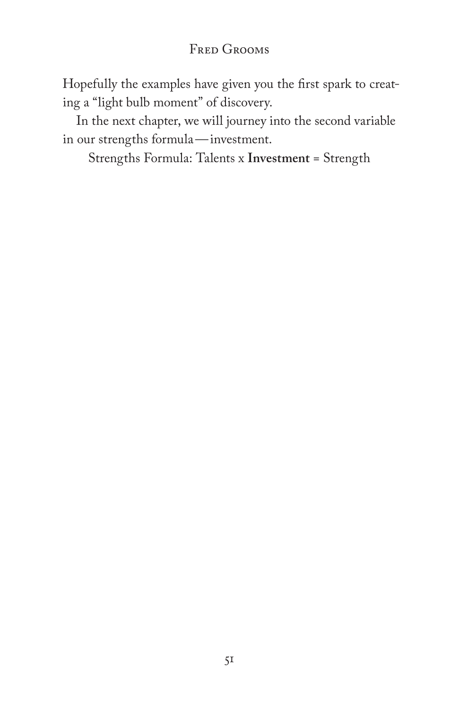Hopefully the examples have given you the first spark to creating a "light bulb moment" of discovery.

In the next chapter, we will journey into the second variable in our strengths formula—investment.

Strengths Formula: Talents x **Investment** = Strength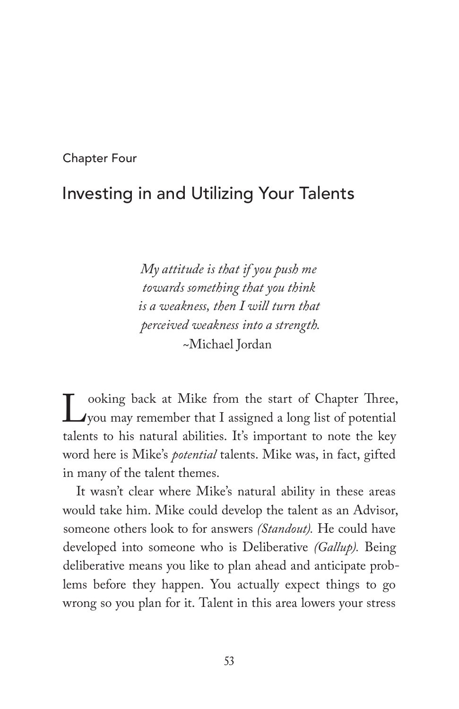Chapter Four

# Investing in and Utilizing Your Talents

*My attitude is that if you push me towards something that you think is a weakness, then I will turn that perceived weakness into a strength.* ~Michael Jordan

Looking back at Mike from the start of Chapter Three,<br>you may remember that I assigned a long list of potential<br>talents to bis natural abilities. It's important to note the key you may remember that I assigned a long list of potential talents to his natural abilities. It's important to note the key word here is Mike's *potential* talents. Mike was, in fact, gifted in many of the talent themes.

It wasn't clear where Mike's natural ability in these areas would take him. Mike could develop the talent as an Advisor, someone others look to for answers *(Standout).* He could have developed into someone who is Deliberative *(Gallup).* Being deliberative means you like to plan ahead and anticipate problems before they happen. You actually expect things to go wrong so you plan for it. Talent in this area lowers your stress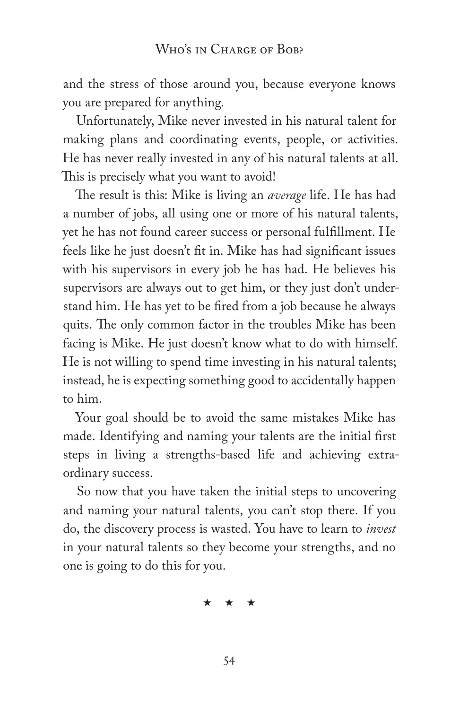and the stress of those around you, because everyone knows you are prepared for anything.

Unfortunately, Mike never invested in his natural talent for making plans and coordinating events, people, or activities. He has never really invested in any of his natural talents at all. This is precisely what you want to avoid!

The result is this: Mike is living an *average* life. He has had a number of jobs, all using one or more of his natural talents, yet he has not found career success or personal fulfillment. He feels like he just doesn't fit in. Mike has had significant issues with his supervisors in every job he has had. He believes his supervisors are always out to get him, or they just don't understand him. He has yet to be fired from a job because he always quits. The only common factor in the troubles Mike has been facing is Mike. He just doesn't know what to do with himself. He is not willing to spend time investing in his natural talents; instead, he is expecting something good to accidentally happen to him.

Your goal should be to avoid the same mistakes Mike has made. Identifying and naming your talents are the initial first steps in living a strengths-based life and achieving extraordinary success.

So now that you have taken the initial steps to uncovering and naming your natural talents, you can't stop there. If you do, the discovery process is wasted. You have to learn to *invest* in your natural talents so they become your strengths, and no one is going to do this for you.

\* \* \*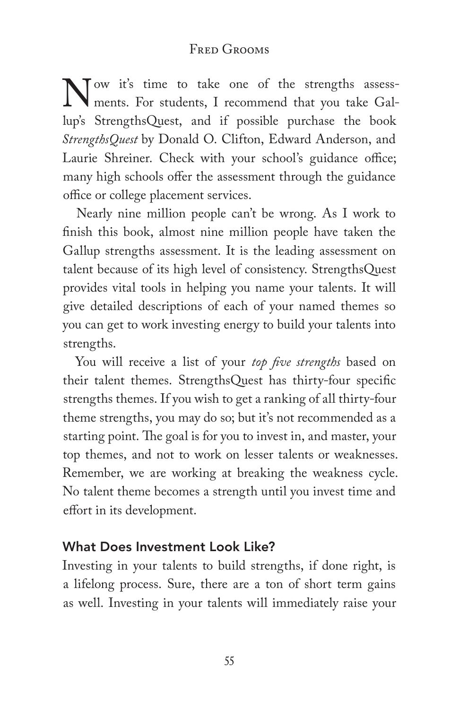Now it's time to take one of the strengths assessments. For students, I recommend that you take Gallup's StrengthsQuest, and if possible purchase the book *StrengthsQuest* by Donald O. Clifton, Edward Anderson, and Laurie Shreiner. Check with your school's guidance office; many high schools offer the assessment through the guidance office or college placement services.

Nearly nine million people can't be wrong. As I work to finish this book, almost nine million people have taken the Gallup strengths assessment. It is the leading assessment on talent because of its high level of consistency. StrengthsQuest provides vital tools in helping you name your talents. It will give detailed descriptions of each of your named themes so you can get to work investing energy to build your talents into strengths.

You will receive a list of your *top five strengths* based on their talent themes. StrengthsQuest has thirty-four specific strengths themes. If you wish to get a ranking of all thirty-four theme strengths, you may do so; but it's not recommended as a starting point. The goal is for you to invest in, and master, your top themes, and not to work on lesser talents or weaknesses. Remember, we are working at breaking the weakness cycle. No talent theme becomes a strength until you invest time and effort in its development.

## What Does Investment Look Like?

Investing in your talents to build strengths, if done right, is a lifelong process. Sure, there are a ton of short term gains as well. Investing in your talents will immediately raise your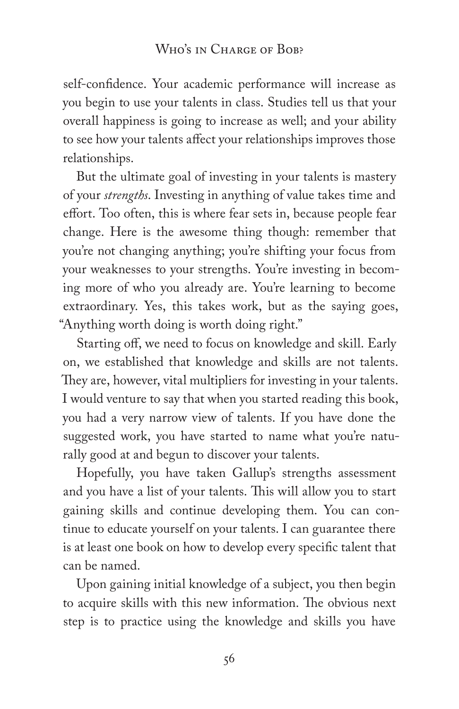self-confidence. Your academic performance will increase as you begin to use your talents in class. Studies tell us that your overall happiness is going to increase as well; and your ability to see how your talents affect your relationships improves those relationships.

But the ultimate goal of investing in your talents is mastery of your *strengths*. Investing in anything of value takes time and effort. Too often, this is where fear sets in, because people fear change. Here is the awesome thing though: remember that you're not changing anything; you're shifting your focus from your weaknesses to your strengths. You're investing in becoming more of who you already are. You're learning to become extraordinary. Yes, this takes work, but as the saying goes, "Anything worth doing is worth doing right."

Starting off, we need to focus on knowledge and skill. Early on, we established that knowledge and skills are not talents. They are, however, vital multipliers for investing in your talents. I would venture to say that when you started reading this book, you had a very narrow view of talents. If you have done the suggested work, you have started to name what you're naturally good at and begun to discover your talents.

Hopefully, you have taken Gallup's strengths assessment and you have a list of your talents. This will allow you to start gaining skills and continue developing them. You can continue to educate yourself on your talents. I can guarantee there is at least one book on how to develop every specific talent that can be named.

Upon gaining initial knowledge of a subject, you then begin to acquire skills with this new information. The obvious next step is to practice using the knowledge and skills you have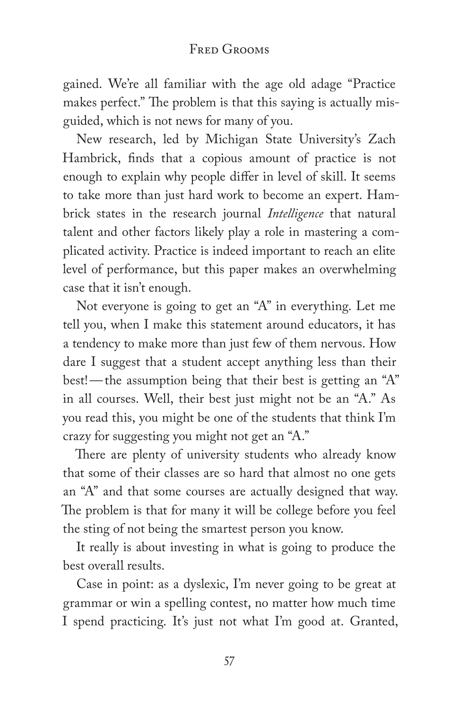gained. We're all familiar with the age old adage "Practice makes perfect." The problem is that this saying is actually misguided, which is not news for many of you.

New research, led by Michigan State University's Zach Hambrick, finds that a copious amount of practice is not enough to explain why people differ in level of skill. It seems to take more than just hard work to become an expert. Hambrick states in the research journal *Intelligence* that natural talent and other factors likely play a role in mastering a complicated activity. Practice is indeed important to reach an elite level of performance, but this paper makes an overwhelming case that it isn't enough.

Not everyone is going to get an "A" in everything. Let me tell you, when I make this statement around educators, it has a tendency to make more than just few of them nervous. How dare I suggest that a student accept anything less than their best!—the assumption being that their best is getting an "A" in all courses. Well, their best just might not be an "A." As you read this, you might be one of the students that think I'm crazy for suggesting you might not get an "A."

There are plenty of university students who already know that some of their classes are so hard that almost no one gets an "A" and that some courses are actually designed that way. The problem is that for many it will be college before you feel the sting of not being the smartest person you know.

It really is about investing in what is going to produce the best overall results.

Case in point: as a dyslexic, I'm never going to be great at grammar or win a spelling contest, no matter how much time I spend practicing. It's just not what I'm good at. Granted,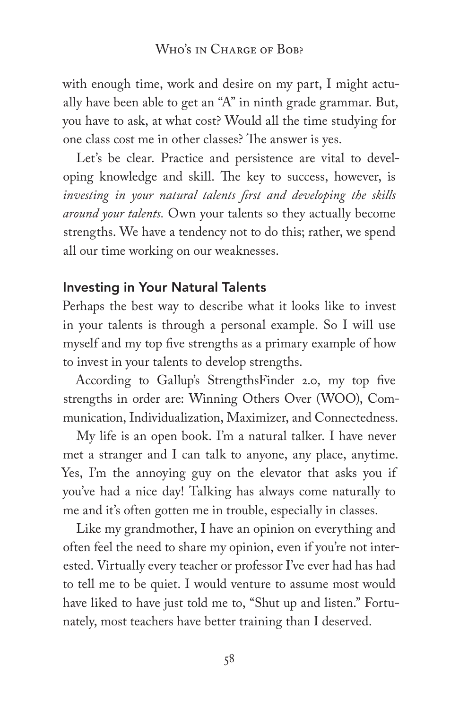with enough time, work and desire on my part, I might actually have been able to get an "A" in ninth grade grammar. But, you have to ask, at what cost? Would all the time studying for one class cost me in other classes? The answer is yes.

Let's be clear. Practice and persistence are vital to developing knowledge and skill. The key to success, however, is *investing in your natural talents first and developing the skills around your talents.* Own your talents so they actually become strengths. We have a tendency not to do this; rather, we spend all our time working on our weaknesses.

#### Investing in Your Natural Talents

Perhaps the best way to describe what it looks like to invest in your talents is through a personal example. So I will use myself and my top five strengths as a primary example of how to invest in your talents to develop strengths.

According to Gallup's StrengthsFinder 2.0, my top five strengths in order are: Winning Others Over (WOO), Communication, Individualization, Maximizer, and Connectedness.

My life is an open book. I'm a natural talker. I have never met a stranger and I can talk to anyone, any place, anytime. Yes, I'm the annoying guy on the elevator that asks you if you've had a nice day! Talking has always come naturally to me and it's often gotten me in trouble, especially in classes.

Like my grandmother, I have an opinion on everything and often feel the need to share my opinion, even if you're not interested. Virtually every teacher or professor I've ever had has had to tell me to be quiet. I would venture to assume most would have liked to have just told me to, "Shut up and listen." Fortunately, most teachers have better training than I deserved.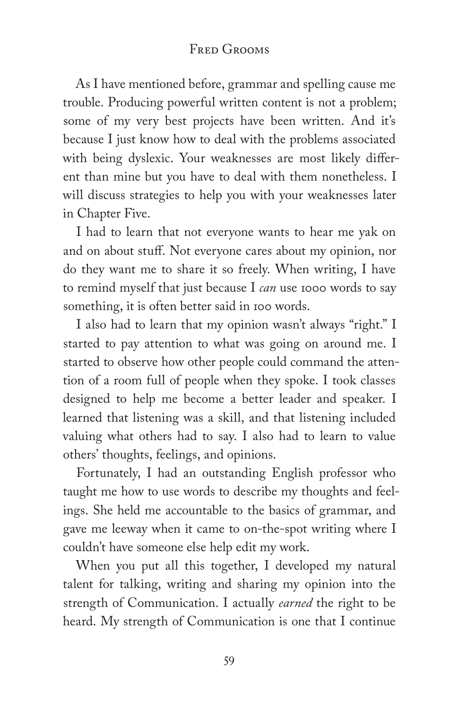As I have mentioned before, grammar and spelling cause me trouble. Producing powerful written content is not a problem; some of my very best projects have been written. And it's because I just know how to deal with the problems associated with being dyslexic. Your weaknesses are most likely different than mine but you have to deal with them nonetheless. I will discuss strategies to help you with your weaknesses later in Chapter Five.

I had to learn that not everyone wants to hear me yak on and on about stuff. Not everyone cares about my opinion, nor do they want me to share it so freely. When writing, I have to remind myself that just because I *can* use 1000 words to say something, it is often better said in 100 words.

I also had to learn that my opinion wasn't always "right." I started to pay attention to what was going on around me. I started to observe how other people could command the attention of a room full of people when they spoke. I took classes designed to help me become a better leader and speaker. I learned that listening was a skill, and that listening included valuing what others had to say. I also had to learn to value others' thoughts, feelings, and opinions.

Fortunately, I had an outstanding English professor who taught me how to use words to describe my thoughts and feelings. She held me accountable to the basics of grammar, and gave me leeway when it came to on-the-spot writing where I couldn't have someone else help edit my work.

When you put all this together, I developed my natural talent for talking, writing and sharing my opinion into the strength of Communication. I actually *earned* the right to be heard. My strength of Communication is one that I continue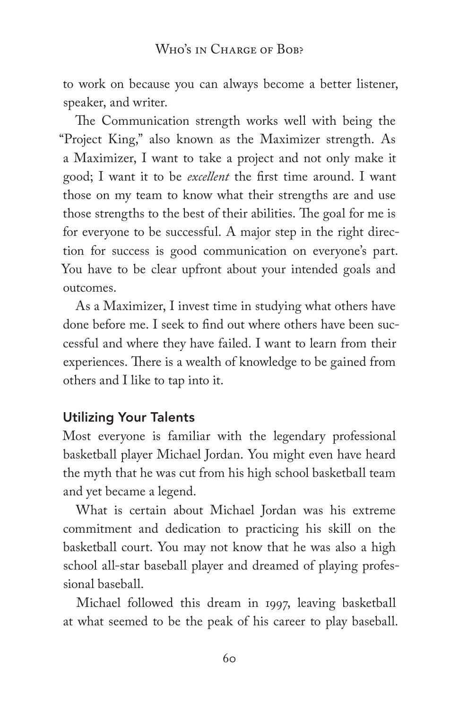to work on because you can always become a better listener, speaker, and writer.

The Communication strength works well with being the "Project King," also known as the Maximizer strength. As a Maximizer, I want to take a project and not only make it good; I want it to be *excellent* the first time around. I want those on my team to know what their strengths are and use those strengths to the best of their abilities. The goal for me is for everyone to be successful. A major step in the right direction for success is good communication on everyone's part. You have to be clear upfront about your intended goals and outcomes.

As a Maximizer, I invest time in studying what others have done before me. I seek to find out where others have been successful and where they have failed. I want to learn from their experiences. There is a wealth of knowledge to be gained from others and I like to tap into it.

### Utilizing Your Talents

Most everyone is familiar with the legendary professional basketball player Michael Jordan. You might even have heard the myth that he was cut from his high school basketball team and yet became a legend.

What is certain about Michael Jordan was his extreme commitment and dedication to practicing his skill on the basketball court. You may not know that he was also a high school all-star baseball player and dreamed of playing professional baseball.

Michael followed this dream in 1997, leaving basketball at what seemed to be the peak of his career to play baseball.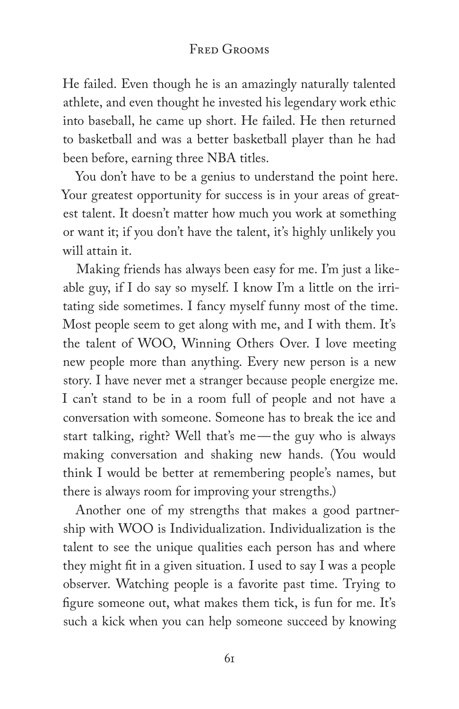He failed. Even though he is an amazingly naturally talented athlete, and even thought he invested his legendary work ethic into baseball, he came up short. He failed. He then returned to basketball and was a better basketball player than he had been before, earning three NBA titles.

You don't have to be a genius to understand the point here. Your greatest opportunity for success is in your areas of greatest talent. It doesn't matter how much you work at something or want it; if you don't have the talent, it's highly unlikely you will attain it.

Making friends has always been easy for me. I'm just a likeable guy, if I do say so myself. I know I'm a little on the irritating side sometimes. I fancy myself funny most of the time. Most people seem to get along with me, and I with them. It's the talent of WOO, Winning Others Over. I love meeting new people more than anything. Every new person is a new story. I have never met a stranger because people energize me. I can't stand to be in a room full of people and not have a conversation with someone. Someone has to break the ice and start talking, right? Well that's me—the guy who is always making conversation and shaking new hands. (You would think I would be better at remembering people's names, but there is always room for improving your strengths.)

Another one of my strengths that makes a good partnership with WOO is Individualization. Individualization is the talent to see the unique qualities each person has and where they might fit in a given situation. I used to say I was a people observer. Watching people is a favorite past time. Trying to figure someone out, what makes them tick, is fun for me. It's such a kick when you can help someone succeed by knowing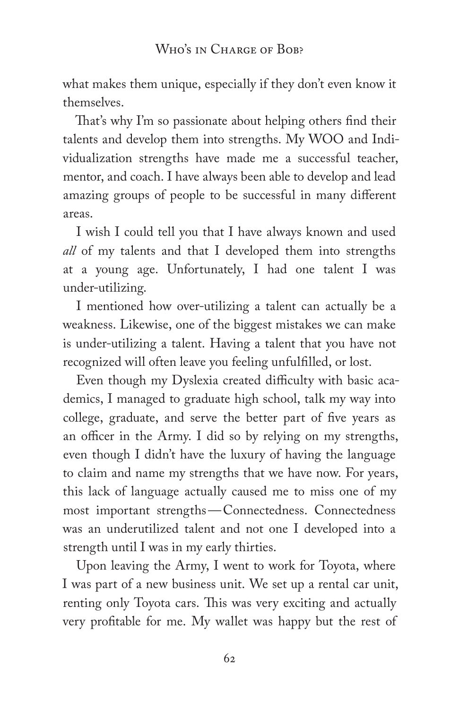what makes them unique, especially if they don't even know it themselves.

That's why I'm so passionate about helping others find their talents and develop them into strengths. My WOO and Individualization strengths have made me a successful teacher, mentor, and coach. I have always been able to develop and lead amazing groups of people to be successful in many different areas.

I wish I could tell you that I have always known and used *all* of my talents and that I developed them into strengths at a young age. Unfortunately, I had one talent I was under-utilizing.

I mentioned how over-utilizing a talent can actually be a weakness. Likewise, one of the biggest mistakes we can make is under-utilizing a talent. Having a talent that you have not recognized will often leave you feeling unfulfilled, or lost.

Even though my Dyslexia created difficulty with basic academics, I managed to graduate high school, talk my way into college, graduate, and serve the better part of five years as an officer in the Army. I did so by relying on my strengths, even though I didn't have the luxury of having the language to claim and name my strengths that we have now. For years, this lack of language actually caused me to miss one of my most important strengths—Connectedness. Connectedness was an underutilized talent and not one I developed into a strength until I was in my early thirties.

Upon leaving the Army, I went to work for Toyota, where I was part of a new business unit. We set up a rental car unit, renting only Toyota cars. This was very exciting and actually very profitable for me. My wallet was happy but the rest of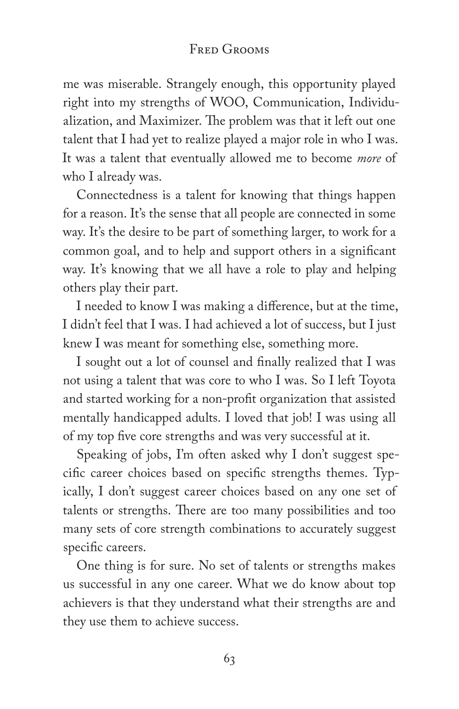me was miserable. Strangely enough, this opportunity played right into my strengths of WOO, Communication, Individualization, and Maximizer. The problem was that it left out one talent that I had yet to realize played a major role in who I was. It was a talent that eventually allowed me to become *more* of who I already was.

Connectedness is a talent for knowing that things happen for a reason. It's the sense that all people are connected in some way. It's the desire to be part of something larger, to work for a common goal, and to help and support others in a significant way. It's knowing that we all have a role to play and helping others play their part.

I needed to know I was making a difference, but at the time, I didn't feel that I was. I had achieved a lot of success, but I just knew I was meant for something else, something more.

I sought out a lot of counsel and finally realized that I was not using a talent that was core to who I was. So I left Toyota and started working for a non-profit organization that assisted mentally handicapped adults. I loved that job! I was using all of my top five core strengths and was very successful at it.

Speaking of jobs, I'm often asked why I don't suggest specific career choices based on specific strengths themes. Typically, I don't suggest career choices based on any one set of talents or strengths. There are too many possibilities and too many sets of core strength combinations to accurately suggest specific careers.

One thing is for sure. No set of talents or strengths makes us successful in any one career. What we do know about top achievers is that they understand what their strengths are and they use them to achieve success.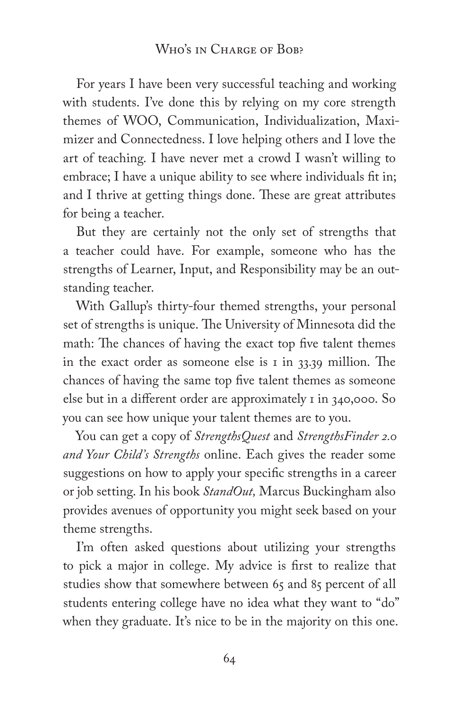For years I have been very successful teaching and working with students. I've done this by relying on my core strength themes of WOO, Communication, Individualization, Maximizer and Connectedness. I love helping others and I love the art of teaching. I have never met a crowd I wasn't willing to embrace; I have a unique ability to see where individuals fit in; and I thrive at getting things done. These are great attributes for being a teacher.

But they are certainly not the only set of strengths that a teacher could have. For example, someone who has the strengths of Learner, Input, and Responsibility may be an outstanding teacher.

With Gallup's thirty-four themed strengths, your personal set of strengths is unique. The University of Minnesota did the math: The chances of having the exact top five talent themes in the exact order as someone else is  $\bar{1}$  in 33.39 million. The chances of having the same top five talent themes as someone else but in a different order are approximately 1 in 340,000. So you can see how unique your talent themes are to you.

You can get a copy of *StrengthsQuest* and *StrengthsFinder 2.0 and Your Child's Strengths* online. Each gives the reader some suggestions on how to apply your specific strengths in a career or job setting. In his book *StandOut,* Marcus Buckingham also provides avenues of opportunity you might seek based on your theme strengths.

I'm often asked questions about utilizing your strengths to pick a major in college. My advice is first to realize that studies show that somewhere between 65 and 85 percent of all students entering college have no idea what they want to "do" when they graduate. It's nice to be in the majority on this one.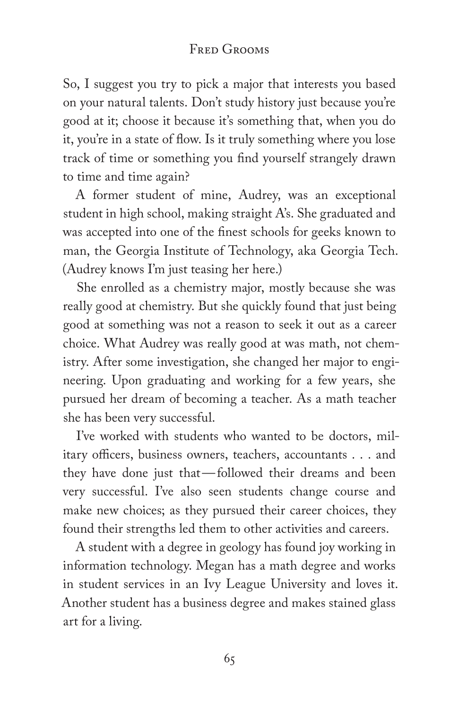### Fred Grooms

So, I suggest you try to pick a major that interests you based on your natural talents. Don't study history just because you're good at it; choose it because it's something that, when you do it, you're in a state of flow. Is it truly something where you lose track of time or something you find yourself strangely drawn to time and time again?

A former student of mine, Audrey, was an exceptional student in high school, making straight A's. She graduated and was accepted into one of the finest schools for geeks known to man, the Georgia Institute of Technology, aka Georgia Tech. (Audrey knows I'm just teasing her here.)

She enrolled as a chemistry major, mostly because she was really good at chemistry. But she quickly found that just being good at something was not a reason to seek it out as a career choice. What Audrey was really good at was math, not chemistry. After some investigation, she changed her major to engineering. Upon graduating and working for a few years, she pursued her dream of becoming a teacher. As a math teacher she has been very successful.

I've worked with students who wanted to be doctors, military officers, business owners, teachers, accountants . . . and they have done just that—followed their dreams and been very successful. I've also seen students change course and make new choices; as they pursued their career choices, they found their strengths led them to other activities and careers.

A student with a degree in geology has found joy working in information technology. Megan has a math degree and works in student services in an Ivy League University and loves it. Another student has a business degree and makes stained glass art for a living.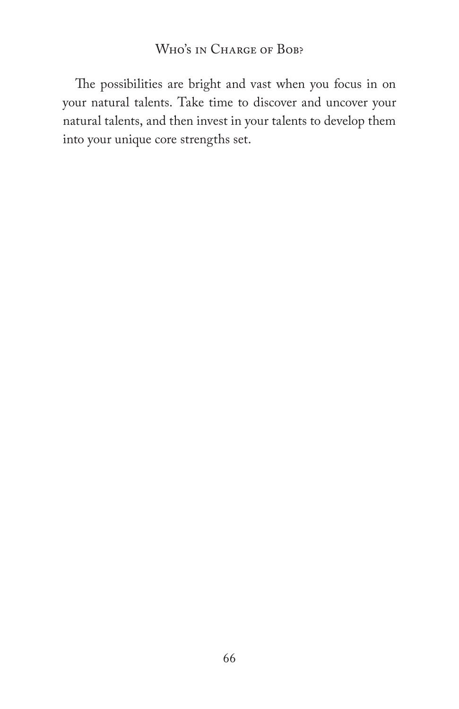### Who's in Charge of Bob?

The possibilities are bright and vast when you focus in on your natural talents. Take time to discover and uncover your natural talents, and then invest in your talents to develop them into your unique core strengths set.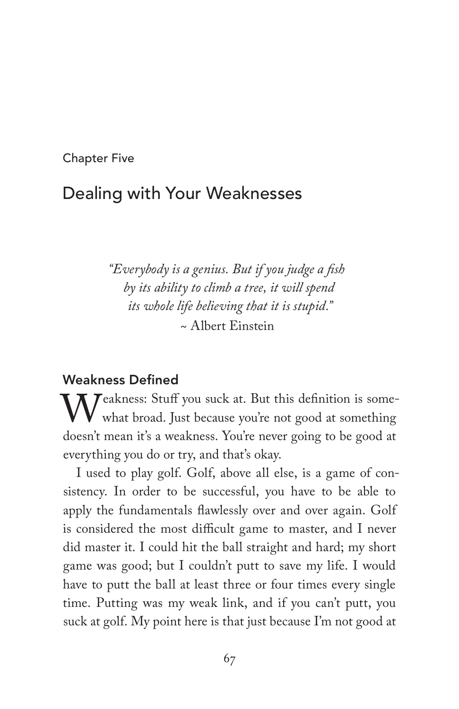Chapter Five

# Dealing with Your Weaknesses

*"Everybody is a genius. But if you judge a fish by its ability to climb a tree, it will spend its whole life believing that it is stupid."* ~ Albert Einstein

#### Weakness Defined

Weakness: Stuff you suck at. But this definition is some-<br>what broad. Just because you're not good at something<br>doesn't mean it's a weakness. You're never going to be good at what broad. Just because you're not good at something doesn't mean it's a weakness. You're never going to be good at everything you do or try, and that's okay.

I used to play golf. Golf, above all else, is a game of consistency. In order to be successful, you have to be able to apply the fundamentals flawlessly over and over again. Golf is considered the most difficult game to master, and I never did master it. I could hit the ball straight and hard; my short game was good; but I couldn't putt to save my life. I would have to putt the ball at least three or four times every single time. Putting was my weak link, and if you can't putt, you suck at golf. My point here is that just because I'm not good at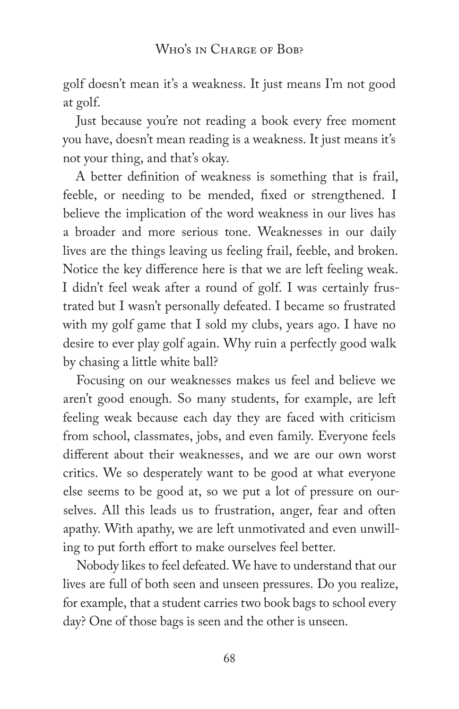golf doesn't mean it's a weakness. It just means I'm not good at golf.

Just because you're not reading a book every free moment you have, doesn't mean reading is a weakness. It just means it's not your thing, and that's okay.

A better definition of weakness is something that is frail, feeble, or needing to be mended, fixed or strengthened. I believe the implication of the word weakness in our lives has a broader and more serious tone. Weaknesses in our daily lives are the things leaving us feeling frail, feeble, and broken. Notice the key difference here is that we are left feeling weak. I didn't feel weak after a round of golf. I was certainly frustrated but I wasn't personally defeated. I became so frustrated with my golf game that I sold my clubs, years ago. I have no desire to ever play golf again. Why ruin a perfectly good walk by chasing a little white ball?

Focusing on our weaknesses makes us feel and believe we aren't good enough. So many students, for example, are left feeling weak because each day they are faced with criticism from school, classmates, jobs, and even family. Everyone feels different about their weaknesses, and we are our own worst critics. We so desperately want to be good at what everyone else seems to be good at, so we put a lot of pressure on ourselves. All this leads us to frustration, anger, fear and often apathy. With apathy, we are left unmotivated and even unwilling to put forth effort to make ourselves feel better.

Nobody likes to feel defeated. We have to understand that our lives are full of both seen and unseen pressures. Do you realize, for example, that a student carries two book bags to school every day? One of those bags is seen and the other is unseen.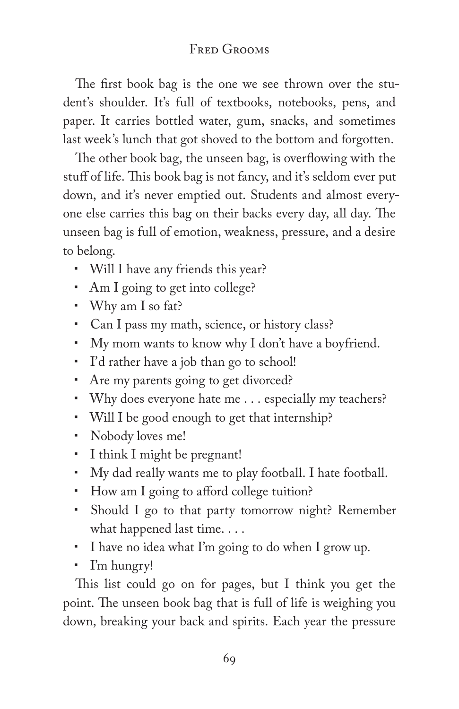The first book bag is the one we see thrown over the student's shoulder. It's full of textbooks, notebooks, pens, and paper. It carries bottled water, gum, snacks, and sometimes last week's lunch that got shoved to the bottom and forgotten.

The other book bag, the unseen bag, is overflowing with the stuff of life. This book bag is not fancy, and it's seldom ever put down, and it's never emptied out. Students and almost everyone else carries this bag on their backs every day, all day. The unseen bag is full of emotion, weakness, pressure, and a desire to belong.

- Will I have any friends this year?
- Am I going to get into college?
- Why am I so fat?
- Can I pass my math, science, or history class?
- My mom wants to know why I don't have a boyfriend.
- I'd rather have a job than go to school!
- Are my parents going to get divorced?
- Why does everyone hate me . . . especially my teachers?
- Will I be good enough to get that internship?
- Nobody loves me!
- I think I might be pregnant!
- My dad really wants me to play football. I hate football.
- How am I going to afford college tuition?
- Should I go to that party tomorrow night? Remember what happened last time. . . .
- I have no idea what I'm going to do when I grow up.
- I'm hungry!

This list could go on for pages, but I think you get the point. The unseen book bag that is full of life is weighing you down, breaking your back and spirits. Each year the pressure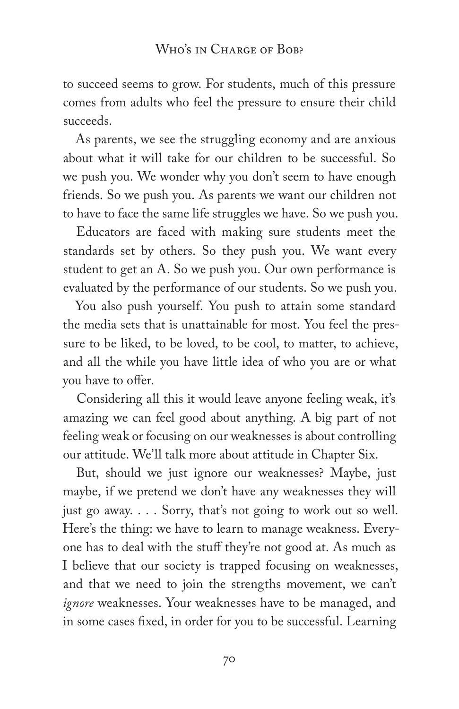to succeed seems to grow. For students, much of this pressure comes from adults who feel the pressure to ensure their child succeeds.

As parents, we see the struggling economy and are anxious about what it will take for our children to be successful. So we push you. We wonder why you don't seem to have enough friends. So we push you. As parents we want our children not to have to face the same life struggles we have. So we push you.

Educators are faced with making sure students meet the standards set by others. So they push you. We want every student to get an A. So we push you. Our own performance is evaluated by the performance of our students. So we push you.

You also push yourself. You push to attain some standard the media sets that is unattainable for most. You feel the pressure to be liked, to be loved, to be cool, to matter, to achieve, and all the while you have little idea of who you are or what you have to offer.

Considering all this it would leave anyone feeling weak, it's amazing we can feel good about anything. A big part of not feeling weak or focusing on our weaknesses is about controlling our attitude. We'll talk more about attitude in Chapter Six.

But, should we just ignore our weaknesses? Maybe, just maybe, if we pretend we don't have any weaknesses they will just go away. . . . Sorry, that's not going to work out so well. Here's the thing: we have to learn to manage weakness. Everyone has to deal with the stuff they're not good at. As much as I believe that our society is trapped focusing on weaknesses, and that we need to join the strengths movement, we can't *ignore* weaknesses. Your weaknesses have to be managed, and in some cases fixed, in order for you to be successful. Learning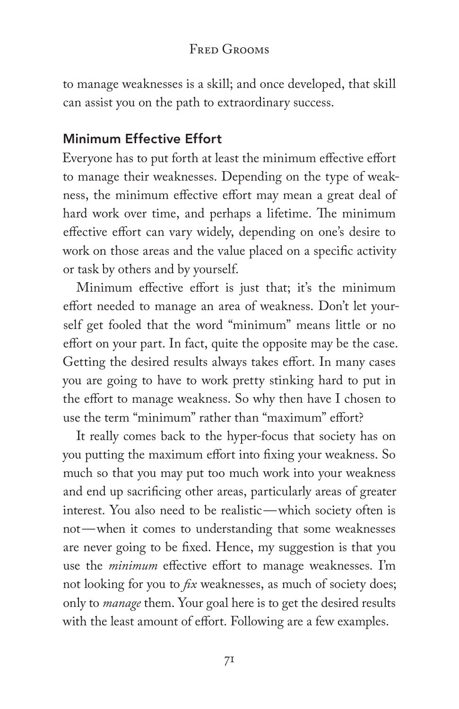to manage weaknesses is a skill; and once developed, that skill can assist you on the path to extraordinary success.

### Minimum Effective Effort

Everyone has to put forth at least the minimum effective effort to manage their weaknesses. Depending on the type of weakness, the minimum effective effort may mean a great deal of hard work over time, and perhaps a lifetime. The minimum effective effort can vary widely, depending on one's desire to work on those areas and the value placed on a specific activity or task by others and by yourself.

Minimum effective effort is just that; it's the minimum effort needed to manage an area of weakness. Don't let yourself get fooled that the word "minimum" means little or no effort on your part. In fact, quite the opposite may be the case. Getting the desired results always takes effort. In many cases you are going to have to work pretty stinking hard to put in the effort to manage weakness. So why then have I chosen to use the term "minimum" rather than "maximum" effort?

It really comes back to the hyper-focus that society has on you putting the maximum effort into fixing your weakness. So much so that you may put too much work into your weakness and end up sacrificing other areas, particularly areas of greater interest. You also need to be realistic—which society often is not—when it comes to understanding that some weaknesses are never going to be fixed. Hence, my suggestion is that you use the *minimum* effective effort to manage weaknesses. I'm not looking for you to *fix* weaknesses, as much of society does; only to *manage* them. Your goal here is to get the desired results with the least amount of effort. Following are a few examples.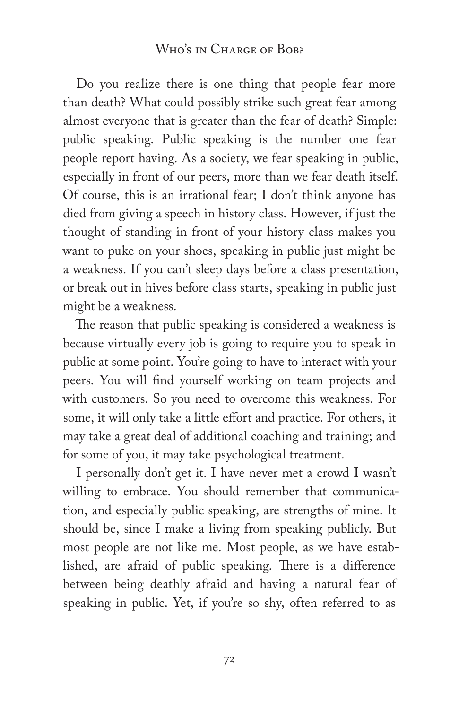#### WHO'S IN CHARGE OF BOB?

Do you realize there is one thing that people fear more than death? What could possibly strike such great fear among almost everyone that is greater than the fear of death? Simple: public speaking. Public speaking is the number one fear people report having. As a society, we fear speaking in public, especially in front of our peers, more than we fear death itself. Of course, this is an irrational fear; I don't think anyone has died from giving a speech in history class. However, if just the thought of standing in front of your history class makes you want to puke on your shoes, speaking in public just might be a weakness. If you can't sleep days before a class presentation, or break out in hives before class starts, speaking in public just might be a weakness.

The reason that public speaking is considered a weakness is because virtually every job is going to require you to speak in public at some point. You're going to have to interact with your peers. You will find yourself working on team projects and with customers. So you need to overcome this weakness. For some, it will only take a little effort and practice. For others, it may take a great deal of additional coaching and training; and for some of you, it may take psychological treatment.

I personally don't get it. I have never met a crowd I wasn't willing to embrace. You should remember that communication, and especially public speaking, are strengths of mine. It should be, since I make a living from speaking publicly. But most people are not like me. Most people, as we have established, are afraid of public speaking. There is a difference between being deathly afraid and having a natural fear of speaking in public. Yet, if you're so shy, often referred to as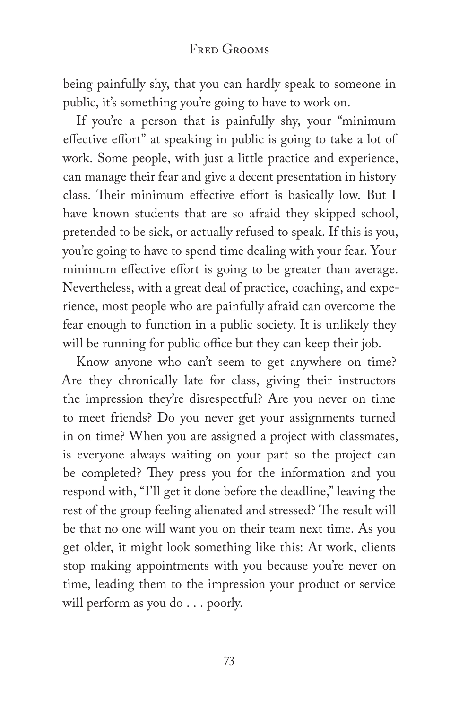being painfully shy, that you can hardly speak to someone in public, it's something you're going to have to work on.

If you're a person that is painfully shy, your "minimum effective effort" at speaking in public is going to take a lot of work. Some people, with just a little practice and experience, can manage their fear and give a decent presentation in history class. Their minimum effective effort is basically low. But I have known students that are so afraid they skipped school, pretended to be sick, or actually refused to speak. If this is you, you're going to have to spend time dealing with your fear. Your minimum effective effort is going to be greater than average. Nevertheless, with a great deal of practice, coaching, and experience, most people who are painfully afraid can overcome the fear enough to function in a public society. It is unlikely they will be running for public office but they can keep their job.

Know anyone who can't seem to get anywhere on time? Are they chronically late for class, giving their instructors the impression they're disrespectful? Are you never on time to meet friends? Do you never get your assignments turned in on time? When you are assigned a project with classmates, is everyone always waiting on your part so the project can be completed? They press you for the information and you respond with, "I'll get it done before the deadline," leaving the rest of the group feeling alienated and stressed? The result will be that no one will want you on their team next time. As you get older, it might look something like this: At work, clients stop making appointments with you because you're never on time, leading them to the impression your product or service will perform as you do . . . poorly.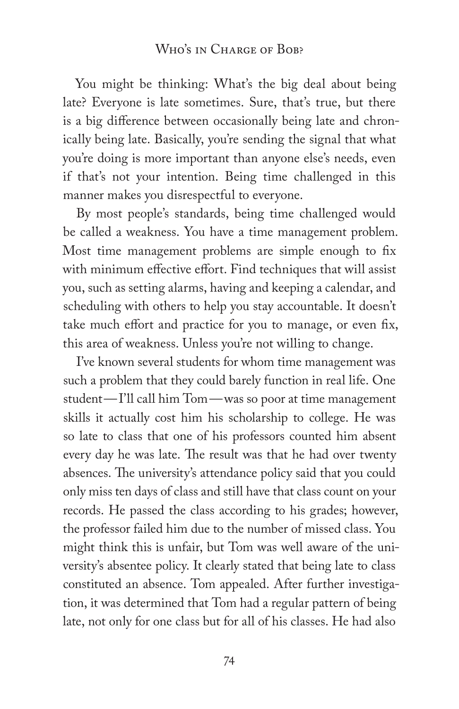#### WHO'S IN CHARGE OF BOB?

You might be thinking: What's the big deal about being late? Everyone is late sometimes. Sure, that's true, but there is a big difference between occasionally being late and chronically being late. Basically, you're sending the signal that what you're doing is more important than anyone else's needs, even if that's not your intention. Being time challenged in this manner makes you disrespectful to everyone.

By most people's standards, being time challenged would be called a weakness. You have a time management problem. Most time management problems are simple enough to fix with minimum effective effort. Find techniques that will assist you, such as setting alarms, having and keeping a calendar, and scheduling with others to help you stay accountable. It doesn't take much effort and practice for you to manage, or even fix, this area of weakness. Unless you're not willing to change.

I've known several students for whom time management was such a problem that they could barely function in real life. One student—I'll call him Tom—was so poor at time management skills it actually cost him his scholarship to college. He was so late to class that one of his professors counted him absent every day he was late. The result was that he had over twenty absences. The university's attendance policy said that you could only miss ten days of class and still have that class count on your records. He passed the class according to his grades; however, the professor failed him due to the number of missed class. You might think this is unfair, but Tom was well aware of the university's absentee policy. It clearly stated that being late to class constituted an absence. Tom appealed. After further investigation, it was determined that Tom had a regular pattern of being late, not only for one class but for all of his classes. He had also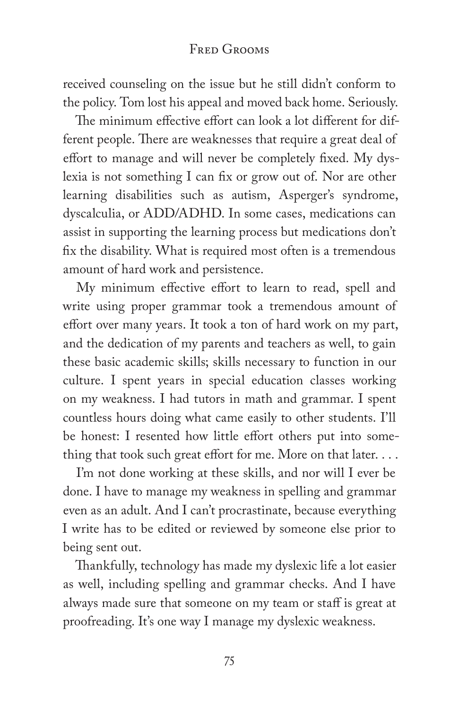received counseling on the issue but he still didn't conform to the policy. Tom lost his appeal and moved back home. Seriously.

The minimum effective effort can look a lot different for different people. There are weaknesses that require a great deal of effort to manage and will never be completely fixed. My dyslexia is not something I can fix or grow out of. Nor are other learning disabilities such as autism, Asperger's syndrome, dyscalculia, or ADD/ADHD. In some cases, medications can assist in supporting the learning process but medications don't fix the disability. What is required most often is a tremendous amount of hard work and persistence.

My minimum effective effort to learn to read, spell and write using proper grammar took a tremendous amount of effort over many years. It took a ton of hard work on my part, and the dedication of my parents and teachers as well, to gain these basic academic skills; skills necessary to function in our culture. I spent years in special education classes working on my weakness. I had tutors in math and grammar. I spent countless hours doing what came easily to other students. I'll be honest: I resented how little effort others put into something that took such great effort for me. More on that later. . . .

I'm not done working at these skills, and nor will I ever be done. I have to manage my weakness in spelling and grammar even as an adult. And I can't procrastinate, because everything I write has to be edited or reviewed by someone else prior to being sent out.

Thankfully, technology has made my dyslexic life a lot easier as well, including spelling and grammar checks. And I have always made sure that someone on my team or staff is great at proofreading. It's one way I manage my dyslexic weakness.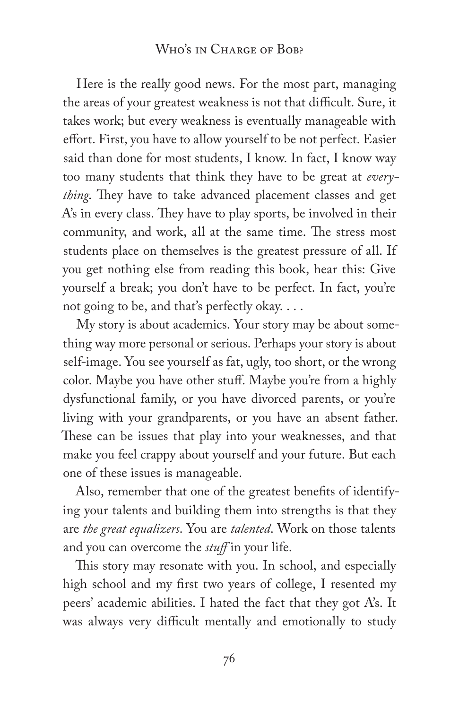#### WHO'S IN CHARGE OF BOB?

Here is the really good news. For the most part, managing the areas of your greatest weakness is not that difficult. Sure, it takes work; but every weakness is eventually manageable with effort. First, you have to allow yourself to be not perfect. Easier said than done for most students, I know. In fact, I know way too many students that think they have to be great at *everything*. They have to take advanced placement classes and get A's in every class. They have to play sports, be involved in their community, and work, all at the same time. The stress most students place on themselves is the greatest pressure of all. If you get nothing else from reading this book, hear this: Give yourself a break; you don't have to be perfect. In fact, you're not going to be, and that's perfectly okay. . . .

My story is about academics. Your story may be about something way more personal or serious. Perhaps your story is about self-image. You see yourself as fat, ugly, too short, or the wrong color. Maybe you have other stuff. Maybe you're from a highly dysfunctional family, or you have divorced parents, or you're living with your grandparents, or you have an absent father. These can be issues that play into your weaknesses, and that make you feel crappy about yourself and your future. But each one of these issues is manageable.

Also, remember that one of the greatest benefits of identifying your talents and building them into strengths is that they are *the great equalizers*. You are *talented*. Work on those talents and you can overcome the *stuff* in your life.

This story may resonate with you. In school, and especially high school and my first two years of college, I resented my peers' academic abilities. I hated the fact that they got A's. It was always very difficult mentally and emotionally to study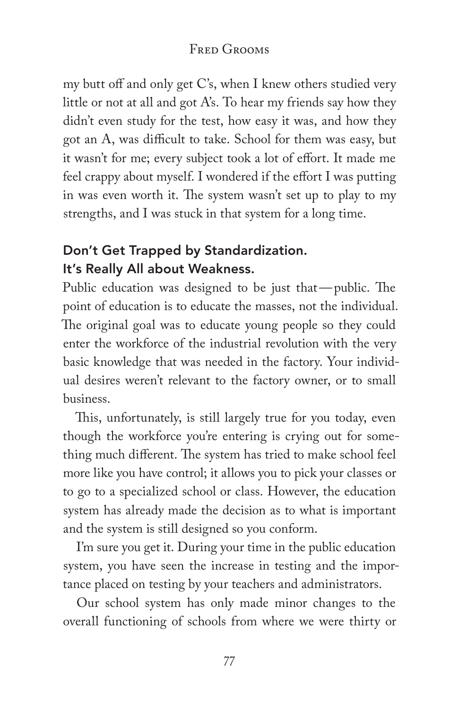my butt off and only get C's, when I knew others studied very little or not at all and got A's. To hear my friends say how they didn't even study for the test, how easy it was, and how they got an A, was difficult to take. School for them was easy, but it wasn't for me; every subject took a lot of effort. It made me feel crappy about myself. I wondered if the effort I was putting in was even worth it. The system wasn't set up to play to my strengths, and I was stuck in that system for a long time.

## Don't Get Trapped by Standardization. It's Really All about Weakness.

Public education was designed to be just that—public. The point of education is to educate the masses, not the individual. The original goal was to educate young people so they could enter the workforce of the industrial revolution with the very basic knowledge that was needed in the factory. Your individual desires weren't relevant to the factory owner, or to small business.

This, unfortunately, is still largely true for you today, even though the workforce you're entering is crying out for something much different. The system has tried to make school feel more like you have control; it allows you to pick your classes or to go to a specialized school or class. However, the education system has already made the decision as to what is important and the system is still designed so you conform.

I'm sure you get it. During your time in the public education system, you have seen the increase in testing and the importance placed on testing by your teachers and administrators.

Our school system has only made minor changes to the overall functioning of schools from where we were thirty or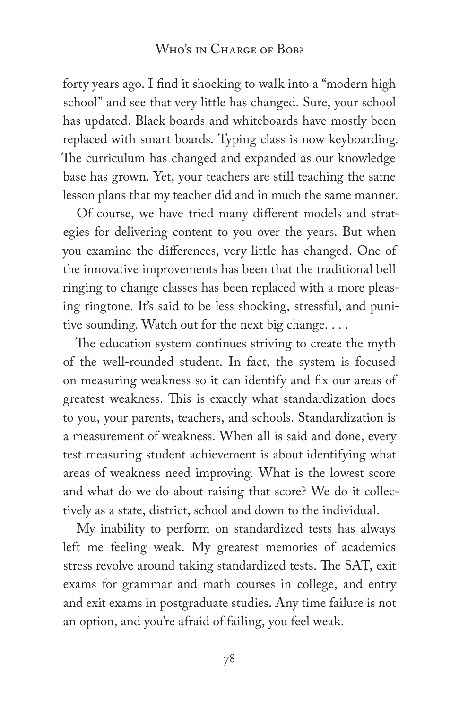#### WHO'S IN CHARGE OF BOB?

forty years ago. I find it shocking to walk into a "modern high school" and see that very little has changed. Sure, your school has updated. Black boards and whiteboards have mostly been replaced with smart boards. Typing class is now keyboarding. The curriculum has changed and expanded as our knowledge base has grown. Yet, your teachers are still teaching the same lesson plans that my teacher did and in much the same manner.

Of course, we have tried many different models and strategies for delivering content to you over the years. But when you examine the differences, very little has changed. One of the innovative improvements has been that the traditional bell ringing to change classes has been replaced with a more pleasing ringtone. It's said to be less shocking, stressful, and punitive sounding. Watch out for the next big change. . . .

The education system continues striving to create the myth of the well-rounded student. In fact, the system is focused on measuring weakness so it can identify and fix our areas of greatest weakness. This is exactly what standardization does to you, your parents, teachers, and schools. Standardization is a measurement of weakness. When all is said and done, every test measuring student achievement is about identifying what areas of weakness need improving. What is the lowest score and what do we do about raising that score? We do it collectively as a state, district, school and down to the individual.

My inability to perform on standardized tests has always left me feeling weak. My greatest memories of academics stress revolve around taking standardized tests. The SAT, exit exams for grammar and math courses in college, and entry and exit exams in postgraduate studies. Any time failure is not an option, and you're afraid of failing, you feel weak.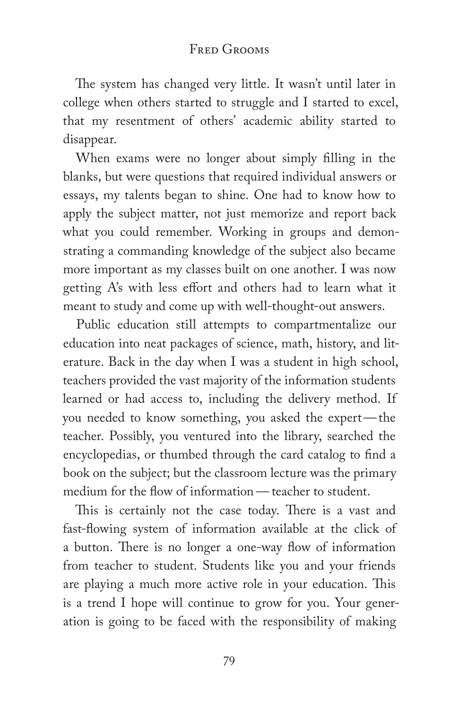The system has changed very little. It wasn't until later in college when others started to struggle and I started to excel, that my resentment of others' academic ability started to disappear.

When exams were no longer about simply filling in the blanks, but were questions that required individual answers or essays, my talents began to shine. One had to know how to apply the subject matter, not just memorize and report back what you could remember. Working in groups and demonstrating a commanding knowledge of the subject also became more important as my classes built on one another. I was now getting A's with less effort and others had to learn what it meant to study and come up with well-thought-out answers.

Public education still attempts to compartmentalize our education into neat packages of science, math, history, and literature. Back in the day when I was a student in high school, teachers provided the vast majority of the information students learned or had access to, including the delivery method. If you needed to know something, you asked the expert—the teacher. Possibly, you ventured into the library, searched the encyclopedias, or thumbed through the card catalog to find a book on the subject; but the classroom lecture was the primary medium for the flow of information — teacher to student.

This is certainly not the case today. There is a vast and fast-flowing system of information available at the click of a button. There is no longer a one-way flow of information from teacher to student. Students like you and your friends are playing a much more active role in your education. This is a trend I hope will continue to grow for you. Your generation is going to be faced with the responsibility of making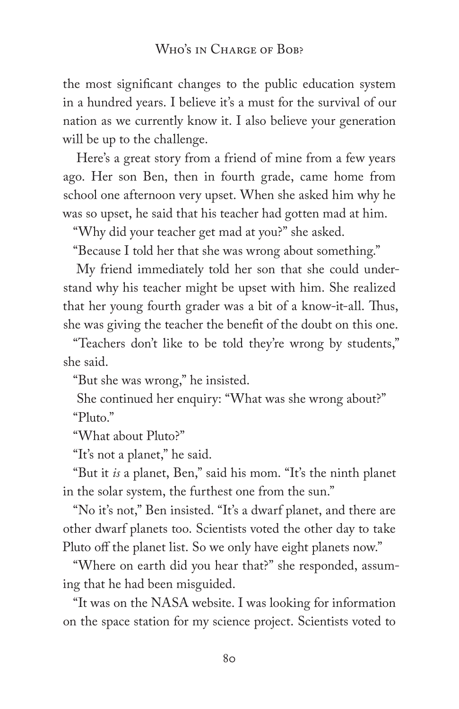#### WHO'S IN CHARGE OF BOB?

the most significant changes to the public education system in a hundred years. I believe it's a must for the survival of our nation as we currently know it. I also believe your generation will be up to the challenge.

Here's a great story from a friend of mine from a few years ago. Her son Ben, then in fourth grade, came home from school one afternoon very upset. When she asked him why he was so upset, he said that his teacher had gotten mad at him.

"Why did your teacher get mad at you?" she asked.

"Because I told her that she was wrong about something."

My friend immediately told her son that she could understand why his teacher might be upset with him. She realized that her young fourth grader was a bit of a know-it-all. Thus, she was giving the teacher the benefit of the doubt on this one.

"Teachers don't like to be told they're wrong by students," she said.

"But she was wrong," he insisted.

She continued her enquiry: "What was she wrong about?" "Pluto."

"What about Pluto?"

"It's not a planet," he said.

"But it *is* a planet, Ben," said his mom. "It's the ninth planet in the solar system, the furthest one from the sun."

"No it's not," Ben insisted. "It's a dwarf planet, and there are other dwarf planets too. Scientists voted the other day to take Pluto off the planet list. So we only have eight planets now."

"Where on earth did you hear that?" she responded, assuming that he had been misguided.

"It was on the NASA website. I was looking for information on the space station for my science project. Scientists voted to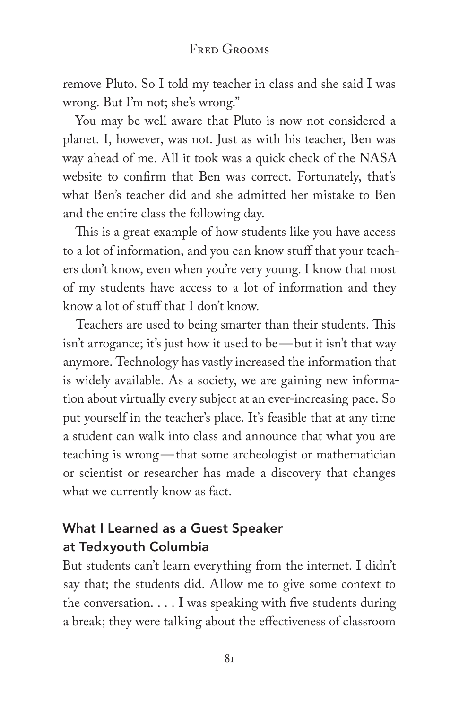remove Pluto. So I told my teacher in class and she said I was wrong. But I'm not; she's wrong."

You may be well aware that Pluto is now not considered a planet. I, however, was not. Just as with his teacher, Ben was way ahead of me. All it took was a quick check of the NASA website to confirm that Ben was correct. Fortunately, that's what Ben's teacher did and she admitted her mistake to Ben and the entire class the following day.

This is a great example of how students like you have access to a lot of information, and you can know stuff that your teachers don't know, even when you're very young. I know that most of my students have access to a lot of information and they know a lot of stuff that I don't know.

Teachers are used to being smarter than their students. This isn't arrogance; it's just how it used to be—but it isn't that way anymore. Technology has vastly increased the information that is widely available. As a society, we are gaining new information about virtually every subject at an ever-increasing pace. So put yourself in the teacher's place. It's feasible that at any time a student can walk into class and announce that what you are teaching is wrong—that some archeologist or mathematician or scientist or researcher has made a discovery that changes what we currently know as fact.

# What I Learned as a Guest Speaker at Tedxyouth Columbia

But students can't learn everything from the internet. I didn't say that; the students did. Allow me to give some context to the conversation. . . . I was speaking with five students during a break; they were talking about the effectiveness of classroom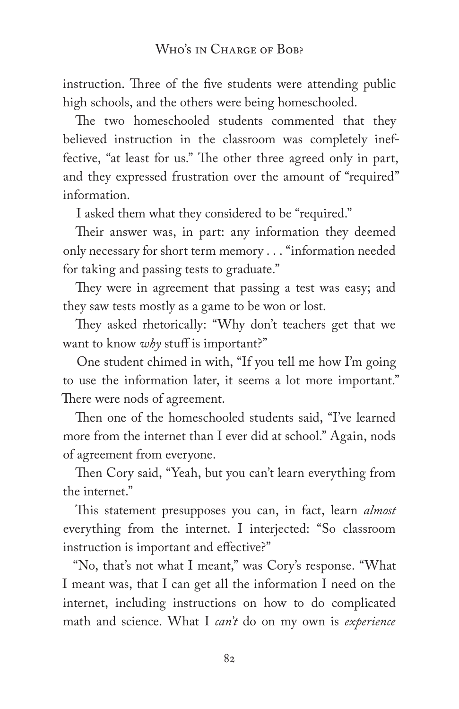instruction. Three of the five students were attending public high schools, and the others were being homeschooled.

The two homeschooled students commented that they believed instruction in the classroom was completely ineffective, "at least for us." The other three agreed only in part, and they expressed frustration over the amount of "required" information.

I asked them what they considered to be "required."

Their answer was, in part: any information they deemed only necessary for short term memory . . . "information needed for taking and passing tests to graduate."

They were in agreement that passing a test was easy; and they saw tests mostly as a game to be won or lost.

They asked rhetorically: "Why don't teachers get that we want to know *why* stuff is important?"

One student chimed in with, "If you tell me how I'm going to use the information later, it seems a lot more important." There were nods of agreement.

Then one of the homeschooled students said, "I've learned more from the internet than I ever did at school." Again, nods of agreement from everyone.

Then Cory said, "Yeah, but you can't learn everything from the internet."

This statement presupposes you can, in fact, learn *almost* everything from the internet. I interjected: "So classroom instruction is important and effective?"

"No, that's not what I meant," was Cory's response. "What I meant was, that I can get all the information I need on the internet, including instructions on how to do complicated math and science. What I *can't* do on my own is *experience*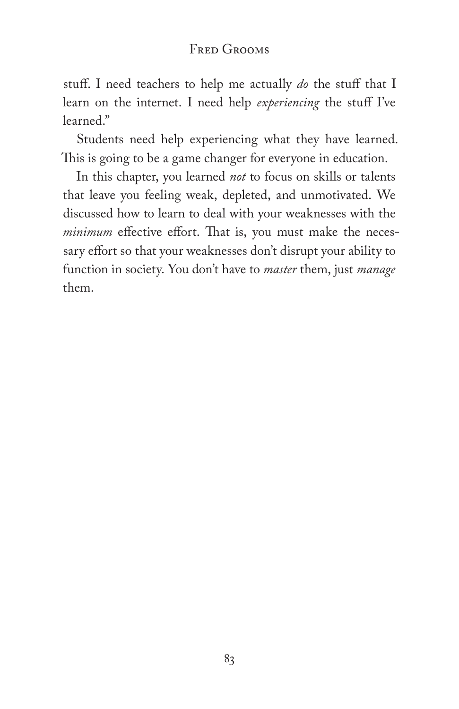### Fred Grooms

stuff. I need teachers to help me actually *do* the stuff that I learn on the internet. I need help *experiencing* the stuff I've learned."

Students need help experiencing what they have learned. This is going to be a game changer for everyone in education.

In this chapter, you learned *not* to focus on skills or talents that leave you feeling weak, depleted, and unmotivated. We discussed how to learn to deal with your weaknesses with the *minimum* effective effort. That is, you must make the necessary effort so that your weaknesses don't disrupt your ability to function in society. You don't have to *master* them, just *manage* them.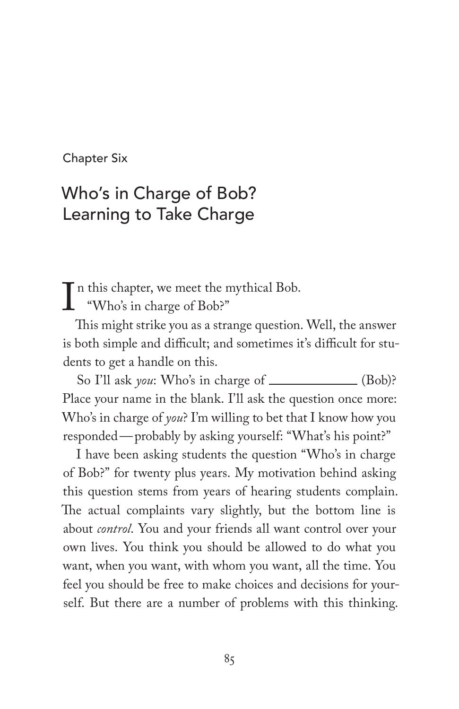Chapter Six

# Who's in Charge of Bob? Learning to Take Charge

In this chapter, we meet the mythical Bob.<br>
"Who's in charge of Bob?"<br>
This might strike you as a strange question "Who's in charge of Bob?"

This might strike you as a strange question. Well, the answer is both simple and difficult; and sometimes it's difficult for students to get a handle on this.

So I'll ask *you*: Who's in charge of \_\_\_\_\_\_\_\_\_\_\_\_\_ (Bob)? Place your name in the blank. I'll ask the question once more: Who's in charge of *you*? I'm willing to bet that I know how you responded—probably by asking yourself: "What's his point?"

I have been asking students the question "Who's in charge of Bob?" for twenty plus years. My motivation behind asking this question stems from years of hearing students complain. The actual complaints vary slightly, but the bottom line is about *control*. You and your friends all want control over your own lives. You think you should be allowed to do what you want, when you want, with whom you want, all the time. You feel you should be free to make choices and decisions for yourself. But there are a number of problems with this thinking.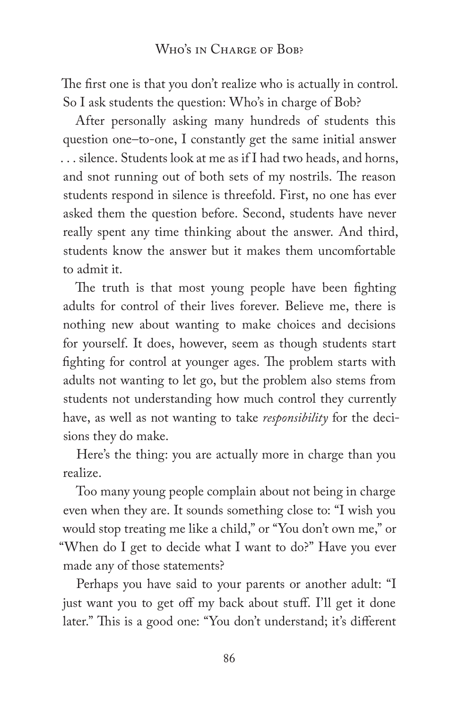The first one is that you don't realize who is actually in control. So I ask students the question: Who's in charge of Bob?

After personally asking many hundreds of students this question one–to-one, I constantly get the same initial answer . . . silence. Students look at me as if I had two heads, and horns, and snot running out of both sets of my nostrils. The reason students respond in silence is threefold. First, no one has ever asked them the question before. Second, students have never really spent any time thinking about the answer. And third, students know the answer but it makes them uncomfortable to admit it.

The truth is that most young people have been fighting adults for control of their lives forever. Believe me, there is nothing new about wanting to make choices and decisions for yourself. It does, however, seem as though students start fighting for control at younger ages. The problem starts with adults not wanting to let go, but the problem also stems from students not understanding how much control they currently have, as well as not wanting to take *responsibility* for the decisions they do make.

Here's the thing: you are actually more in charge than you realize.

Too many young people complain about not being in charge even when they are. It sounds something close to: "I wish you would stop treating me like a child," or "You don't own me," or "When do I get to decide what I want to do?" Have you ever made any of those statements?

Perhaps you have said to your parents or another adult: "I just want you to get off my back about stuff. I'll get it done later." This is a good one: "You don't understand; it's different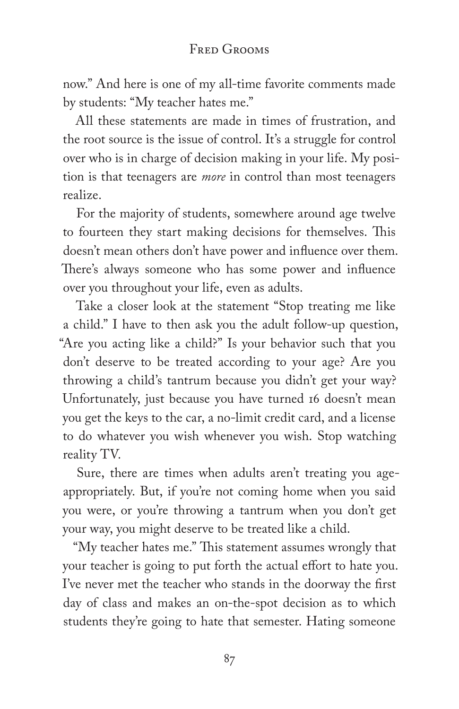now." And here is one of my all-time favorite comments made by students: "My teacher hates me."

All these statements are made in times of frustration, and the root source is the issue of control. It's a struggle for control over who is in charge of decision making in your life. My position is that teenagers are *more* in control than most teenagers realize.

For the majority of students, somewhere around age twelve to fourteen they start making decisions for themselves. This doesn't mean others don't have power and influence over them. There's always someone who has some power and influence over you throughout your life, even as adults.

Take a closer look at the statement "Stop treating me like a child." I have to then ask you the adult follow-up question, "Are you acting like a child?" Is your behavior such that you don't deserve to be treated according to your age? Are you throwing a child's tantrum because you didn't get your way? Unfortunately, just because you have turned 16 doesn't mean you get the keys to the car, a no-limit credit card, and a license to do whatever you wish whenever you wish. Stop watching reality TV.

Sure, there are times when adults aren't treating you ageappropriately. But, if you're not coming home when you said you were, or you're throwing a tantrum when you don't get your way, you might deserve to be treated like a child.

"My teacher hates me." This statement assumes wrongly that your teacher is going to put forth the actual effort to hate you. I've never met the teacher who stands in the doorway the first day of class and makes an on-the-spot decision as to which students they're going to hate that semester. Hating someone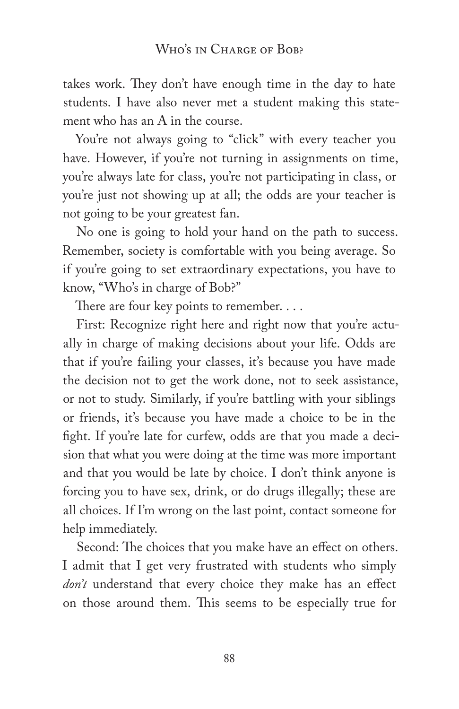takes work. They don't have enough time in the day to hate students. I have also never met a student making this statement who has an A in the course.

You're not always going to "click" with every teacher you have. However, if you're not turning in assignments on time, you're always late for class, you're not participating in class, or you're just not showing up at all; the odds are your teacher is not going to be your greatest fan.

No one is going to hold your hand on the path to success. Remember, society is comfortable with you being average. So if you're going to set extraordinary expectations, you have to know, "Who's in charge of Bob?"

There are four key points to remember. . . .

First: Recognize right here and right now that you're actually in charge of making decisions about your life. Odds are that if you're failing your classes, it's because you have made the decision not to get the work done, not to seek assistance, or not to study. Similarly, if you're battling with your siblings or friends, it's because you have made a choice to be in the fight. If you're late for curfew, odds are that you made a decision that what you were doing at the time was more important and that you would be late by choice. I don't think anyone is forcing you to have sex, drink, or do drugs illegally; these are all choices. If I'm wrong on the last point, contact someone for help immediately.

Second: The choices that you make have an effect on others. I admit that I get very frustrated with students who simply *don't* understand that every choice they make has an effect on those around them. This seems to be especially true for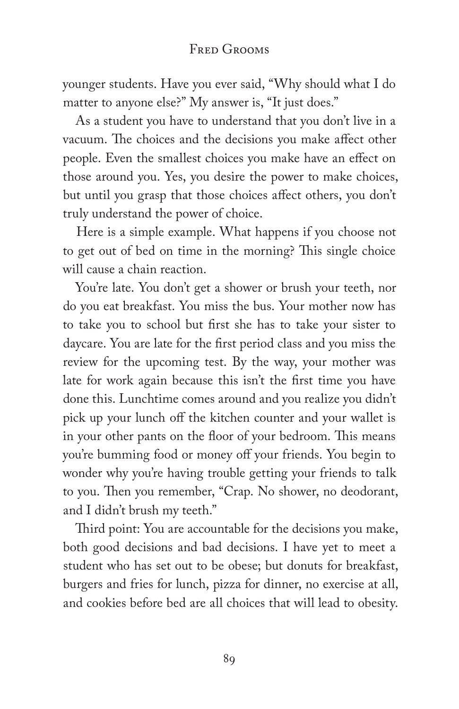younger students. Have you ever said, "Why should what I do matter to anyone else?" My answer is, "It just does."

As a student you have to understand that you don't live in a vacuum. The choices and the decisions you make affect other people. Even the smallest choices you make have an effect on those around you. Yes, you desire the power to make choices, but until you grasp that those choices affect others, you don't truly understand the power of choice.

Here is a simple example. What happens if you choose not to get out of bed on time in the morning? This single choice will cause a chain reaction.

You're late. You don't get a shower or brush your teeth, nor do you eat breakfast. You miss the bus. Your mother now has to take you to school but first she has to take your sister to daycare. You are late for the first period class and you miss the review for the upcoming test. By the way, your mother was late for work again because this isn't the first time you have done this. Lunchtime comes around and you realize you didn't pick up your lunch off the kitchen counter and your wallet is in your other pants on the floor of your bedroom. This means you're bumming food or money off your friends. You begin to wonder why you're having trouble getting your friends to talk to you. Then you remember, "Crap. No shower, no deodorant, and I didn't brush my teeth."

Third point: You are accountable for the decisions you make, both good decisions and bad decisions. I have yet to meet a student who has set out to be obese; but donuts for breakfast, burgers and fries for lunch, pizza for dinner, no exercise at all, and cookies before bed are all choices that will lead to obesity.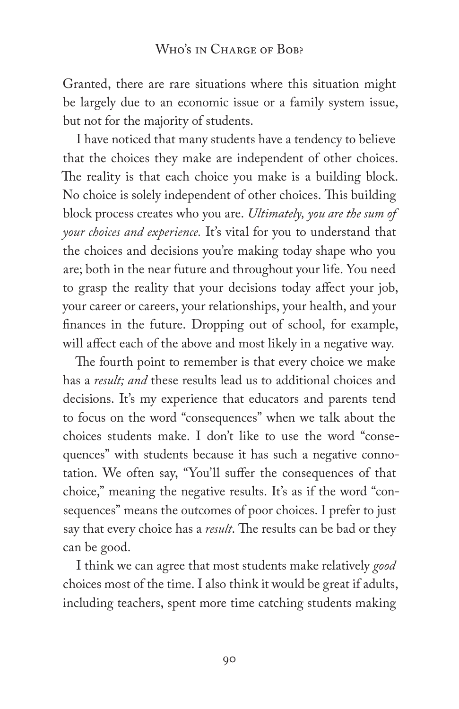Granted, there are rare situations where this situation might be largely due to an economic issue or a family system issue, but not for the majority of students.

I have noticed that many students have a tendency to believe that the choices they make are independent of other choices. The reality is that each choice you make is a building block. No choice is solely independent of other choices. This building block process creates who you are. *Ultimately, you are the sum of your choices and experience.* It's vital for you to understand that the choices and decisions you're making today shape who you are; both in the near future and throughout your life. You need to grasp the reality that your decisions today affect your job, your career or careers, your relationships, your health, and your finances in the future. Dropping out of school, for example, will affect each of the above and most likely in a negative way.

The fourth point to remember is that every choice we make has a *result; and* these results lead us to additional choices and decisions. It's my experience that educators and parents tend to focus on the word "consequences" when we talk about the choices students make. I don't like to use the word "consequences" with students because it has such a negative connotation. We often say, "You'll suffer the consequences of that choice," meaning the negative results. It's as if the word "consequences" means the outcomes of poor choices. I prefer to just say that every choice has a *result*. The results can be bad or they can be good.

I think we can agree that most students make relatively *good* choices most of the time. I also think it would be great if adults, including teachers, spent more time catching students making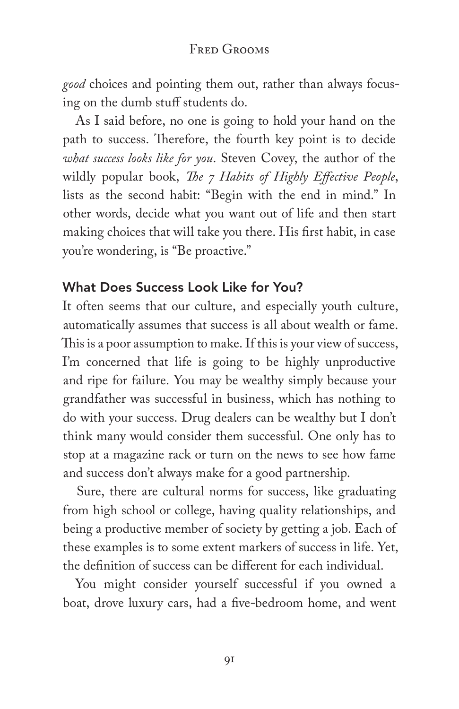*good* choices and pointing them out, rather than always focusing on the dumb stuff students do.

As I said before, no one is going to hold your hand on the path to success. Therefore, the fourth key point is to decide *what success looks like for you*. Steven Covey, the author of the wildly popular book, *The 7 Habits of Highly Effective People*, lists as the second habit: "Begin with the end in mind." In other words, decide what you want out of life and then start making choices that will take you there. His first habit, in case you're wondering, is "Be proactive."

### What Does Success Look Like for You?

It often seems that our culture, and especially youth culture, automatically assumes that success is all about wealth or fame. This is a poor assumption to make. If this is your view of success, I'm concerned that life is going to be highly unproductive and ripe for failure. You may be wealthy simply because your grandfather was successful in business, which has nothing to do with your success. Drug dealers can be wealthy but I don't think many would consider them successful. One only has to stop at a magazine rack or turn on the news to see how fame and success don't always make for a good partnership.

Sure, there are cultural norms for success, like graduating from high school or college, having quality relationships, and being a productive member of society by getting a job. Each of these examples is to some extent markers of success in life. Yet, the definition of success can be different for each individual.

You might consider yourself successful if you owned a boat, drove luxury cars, had a five-bedroom home, and went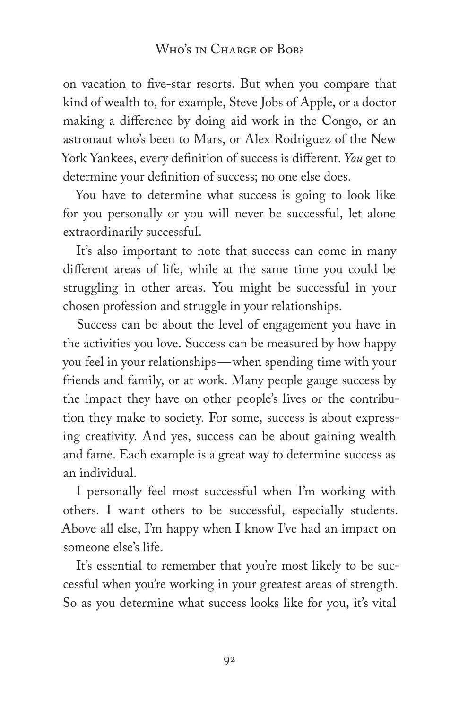#### WHO'S IN CHARGE OF BOB?

on vacation to five-star resorts. But when you compare that kind of wealth to, for example, Steve Jobs of Apple, or a doctor making a difference by doing aid work in the Congo, or an astronaut who's been to Mars, or Alex Rodriguez of the New York Yankees, every definition of success is different. *You* get to determine your definition of success; no one else does.

You have to determine what success is going to look like for you personally or you will never be successful, let alone extraordinarily successful.

It's also important to note that success can come in many different areas of life, while at the same time you could be struggling in other areas. You might be successful in your chosen profession and struggle in your relationships.

Success can be about the level of engagement you have in the activities you love. Success can be measured by how happy you feel in your relationships—when spending time with your friends and family, or at work. Many people gauge success by the impact they have on other people's lives or the contribution they make to society. For some, success is about expressing creativity. And yes, success can be about gaining wealth and fame. Each example is a great way to determine success as an individual.

I personally feel most successful when I'm working with others. I want others to be successful, especially students. Above all else, I'm happy when I know I've had an impact on someone else's life.

It's essential to remember that you're most likely to be successful when you're working in your greatest areas of strength. So as you determine what success looks like for you, it's vital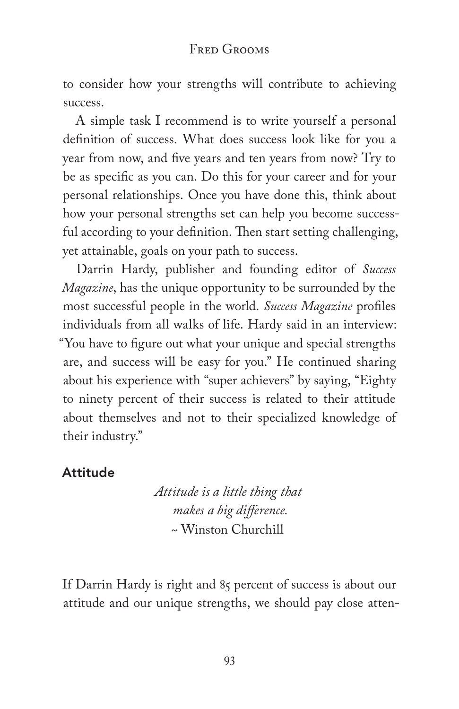to consider how your strengths will contribute to achieving success.

A simple task I recommend is to write yourself a personal definition of success. What does success look like for you a year from now, and five years and ten years from now? Try to be as specific as you can. Do this for your career and for your personal relationships. Once you have done this, think about how your personal strengths set can help you become successful according to your definition. Then start setting challenging, yet attainable, goals on your path to success.

Darrin Hardy, publisher and founding editor of *Success Magazine*, has the unique opportunity to be surrounded by the most successful people in the world. *Success Magazine* profiles individuals from all walks of life. Hardy said in an interview: "You have to figure out what your unique and special strengths are, and success will be easy for you." He continued sharing about his experience with "super achievers" by saying, "Eighty to ninety percent of their success is related to their attitude about themselves and not to their specialized knowledge of their industry."

### Attitude

*Attitude is a little thing that makes a big difference.* ~ Winston Churchill

If Darrin Hardy is right and 85 percent of success is about our attitude and our unique strengths, we should pay close atten-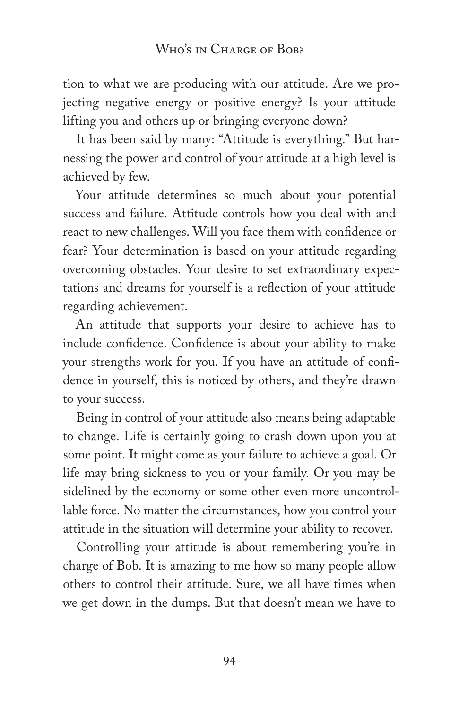tion to what we are producing with our attitude. Are we projecting negative energy or positive energy? Is your attitude lifting you and others up or bringing everyone down?

It has been said by many: "Attitude is everything." But harnessing the power and control of your attitude at a high level is achieved by few.

Your attitude determines so much about your potential success and failure. Attitude controls how you deal with and react to new challenges. Will you face them with confidence or fear? Your determination is based on your attitude regarding overcoming obstacles. Your desire to set extraordinary expectations and dreams for yourself is a reflection of your attitude regarding achievement.

An attitude that supports your desire to achieve has to include confidence. Confidence is about your ability to make your strengths work for you. If you have an attitude of confidence in yourself, this is noticed by others, and they're drawn to your success.

Being in control of your attitude also means being adaptable to change. Life is certainly going to crash down upon you at some point. It might come as your failure to achieve a goal. Or life may bring sickness to you or your family. Or you may be sidelined by the economy or some other even more uncontrollable force. No matter the circumstances, how you control your attitude in the situation will determine your ability to recover.

Controlling your attitude is about remembering you're in charge of Bob. It is amazing to me how so many people allow others to control their attitude. Sure, we all have times when we get down in the dumps. But that doesn't mean we have to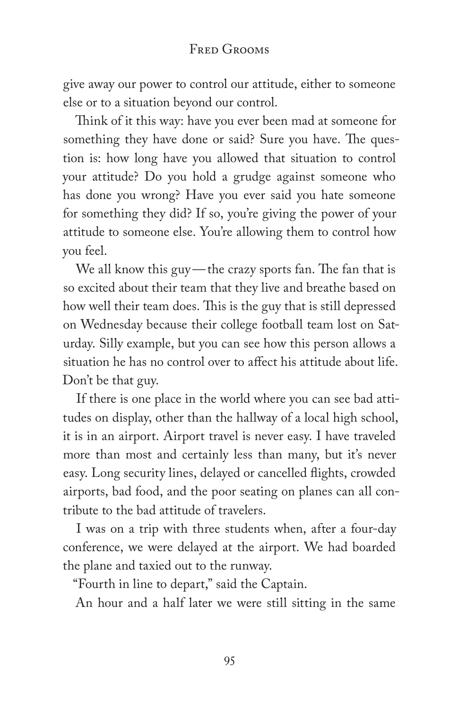### FRED GROOMS

give away our power to control our attitude, either to someone else or to a situation beyond our control.

Think of it this way: have you ever been mad at someone for something they have done or said? Sure you have. The question is: how long have you allowed that situation to control your attitude? Do you hold a grudge against someone who has done you wrong? Have you ever said you hate someone for something they did? If so, you're giving the power of your attitude to someone else. You're allowing them to control how you feel.

We all know this guy—the crazy sports fan. The fan that is so excited about their team that they live and breathe based on how well their team does. This is the guy that is still depressed on Wednesday because their college football team lost on Saturday. Silly example, but you can see how this person allows a situation he has no control over to affect his attitude about life. Don't be that guy.

If there is one place in the world where you can see bad attitudes on display, other than the hallway of a local high school, it is in an airport. Airport travel is never easy. I have traveled more than most and certainly less than many, but it's never easy. Long security lines, delayed or cancelled flights, crowded airports, bad food, and the poor seating on planes can all contribute to the bad attitude of travelers.

I was on a trip with three students when, after a four-day conference, we were delayed at the airport. We had boarded the plane and taxied out to the runway.

"Fourth in line to depart," said the Captain.

An hour and a half later we were still sitting in the same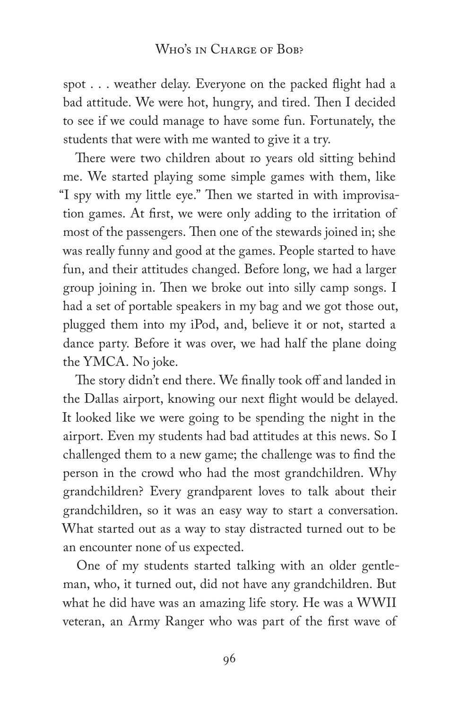spot . . . weather delay. Everyone on the packed flight had a bad attitude. We were hot, hungry, and tired. Then I decided to see if we could manage to have some fun. Fortunately, the students that were with me wanted to give it a try.

There were two children about 10 years old sitting behind me. We started playing some simple games with them, like "I spy with my little eye." Then we started in with improvisation games. At first, we were only adding to the irritation of most of the passengers. Then one of the stewards joined in; she was really funny and good at the games. People started to have fun, and their attitudes changed. Before long, we had a larger group joining in. Then we broke out into silly camp songs. I had a set of portable speakers in my bag and we got those out, plugged them into my iPod, and, believe it or not, started a dance party. Before it was over, we had half the plane doing the YMCA. No joke.

The story didn't end there. We finally took off and landed in the Dallas airport, knowing our next flight would be delayed. It looked like we were going to be spending the night in the airport. Even my students had bad attitudes at this news. So I challenged them to a new game; the challenge was to find the person in the crowd who had the most grandchildren. Why grandchildren? Every grandparent loves to talk about their grandchildren, so it was an easy way to start a conversation. What started out as a way to stay distracted turned out to be an encounter none of us expected.

One of my students started talking with an older gentleman, who, it turned out, did not have any grandchildren. But what he did have was an amazing life story. He was a WWII veteran, an Army Ranger who was part of the first wave of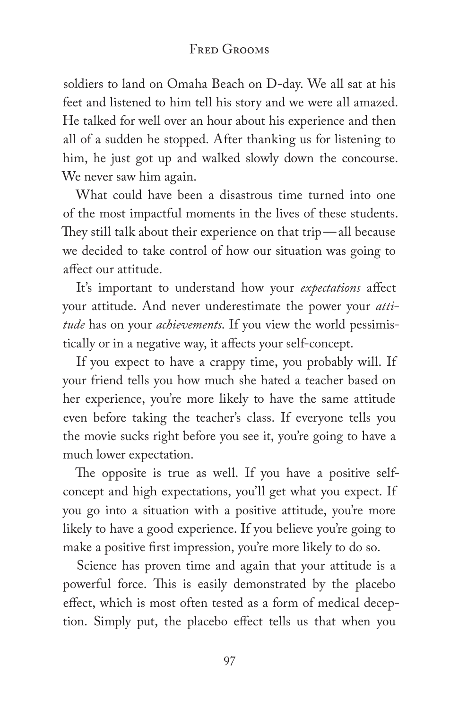### FRED GROOMS

soldiers to land on Omaha Beach on D-day. We all sat at his feet and listened to him tell his story and we were all amazed. He talked for well over an hour about his experience and then all of a sudden he stopped. After thanking us for listening to him, he just got up and walked slowly down the concourse. We never saw him again.

What could have been a disastrous time turned into one of the most impactful moments in the lives of these students. They still talk about their experience on that trip—all because we decided to take control of how our situation was going to affect our attitude.

It's important to understand how your *expectations* affect your attitude. And never underestimate the power your *attitude* has on your *achievements*. If you view the world pessimistically or in a negative way, it affects your self-concept.

If you expect to have a crappy time, you probably will. If your friend tells you how much she hated a teacher based on her experience, you're more likely to have the same attitude even before taking the teacher's class. If everyone tells you the movie sucks right before you see it, you're going to have a much lower expectation.

The opposite is true as well. If you have a positive selfconcept and high expectations, you'll get what you expect. If you go into a situation with a positive attitude, you're more likely to have a good experience. If you believe you're going to make a positive first impression, you're more likely to do so.

Science has proven time and again that your attitude is a powerful force. This is easily demonstrated by the placebo effect, which is most often tested as a form of medical deception. Simply put, the placebo effect tells us that when you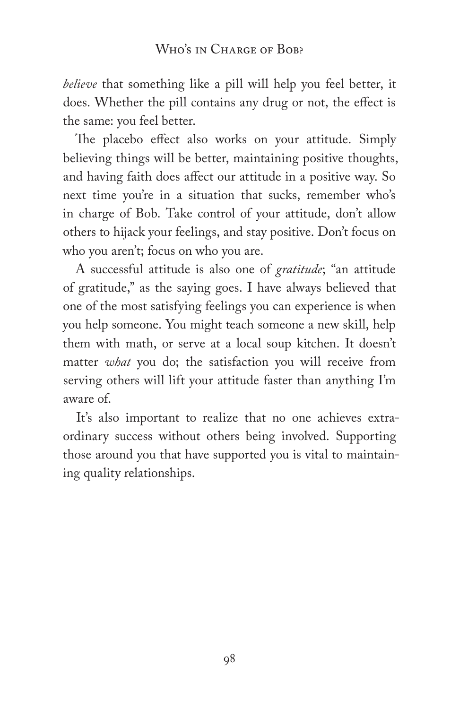*believe* that something like a pill will help you feel better, it does. Whether the pill contains any drug or not, the effect is the same: you feel better.

The placebo effect also works on your attitude. Simply believing things will be better, maintaining positive thoughts, and having faith does affect our attitude in a positive way. So next time you're in a situation that sucks, remember who's in charge of Bob. Take control of your attitude, don't allow others to hijack your feelings, and stay positive. Don't focus on who you aren't; focus on who you are.

A successful attitude is also one of *gratitude*; "an attitude of gratitude," as the saying goes. I have always believed that one of the most satisfying feelings you can experience is when you help someone. You might teach someone a new skill, help them with math, or serve at a local soup kitchen. It doesn't matter *what* you do; the satisfaction you will receive from serving others will lift your attitude faster than anything I'm aware of.

It's also important to realize that no one achieves extraordinary success without others being involved. Supporting those around you that have supported you is vital to maintaining quality relationships.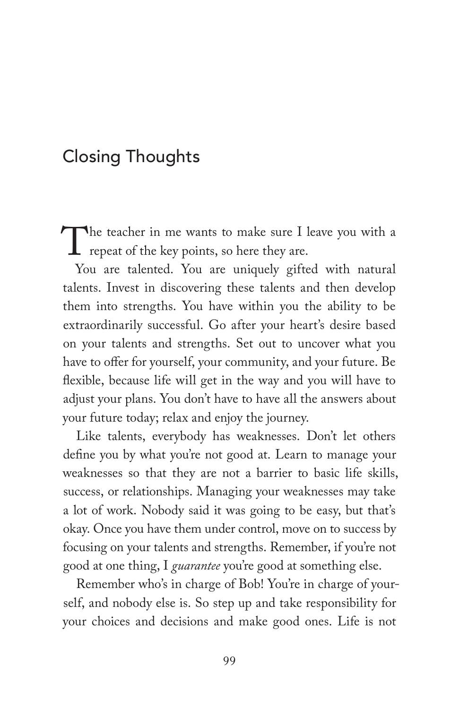# Closing Thoughts

The teacher in me wants to make sure I leave you with a<br>repeat of the key points, so here they are.<br>You are talented. You are uniquely gifted with natural repeat of the key points, so here they are.

You are talented. You are uniquely gifted with natural talents. Invest in discovering these talents and then develop them into strengths. You have within you the ability to be extraordinarily successful. Go after your heart's desire based on your talents and strengths. Set out to uncover what you have to offer for yourself, your community, and your future. Be flexible, because life will get in the way and you will have to adjust your plans. You don't have to have all the answers about your future today; relax and enjoy the journey.

Like talents, everybody has weaknesses. Don't let others define you by what you're not good at. Learn to manage your weaknesses so that they are not a barrier to basic life skills, success, or relationships. Managing your weaknesses may take a lot of work. Nobody said it was going to be easy, but that's okay. Once you have them under control, move on to success by focusing on your talents and strengths. Remember, if you're not good at one thing, I *guarantee* you're good at something else.

Remember who's in charge of Bob! You're in charge of yourself, and nobody else is. So step up and take responsibility for your choices and decisions and make good ones. Life is not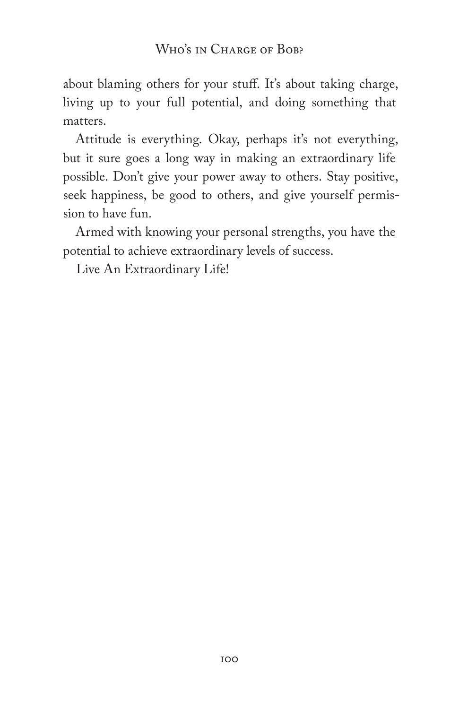about blaming others for your stuff. It's about taking charge, living up to your full potential, and doing something that matters.

Attitude is everything. Okay, perhaps it's not everything, but it sure goes a long way in making an extraordinary life possible. Don't give your power away to others. Stay positive, seek happiness, be good to others, and give yourself permission to have fun.

Armed with knowing your personal strengths, you have the potential to achieve extraordinary levels of success.

Live An Extraordinary Life!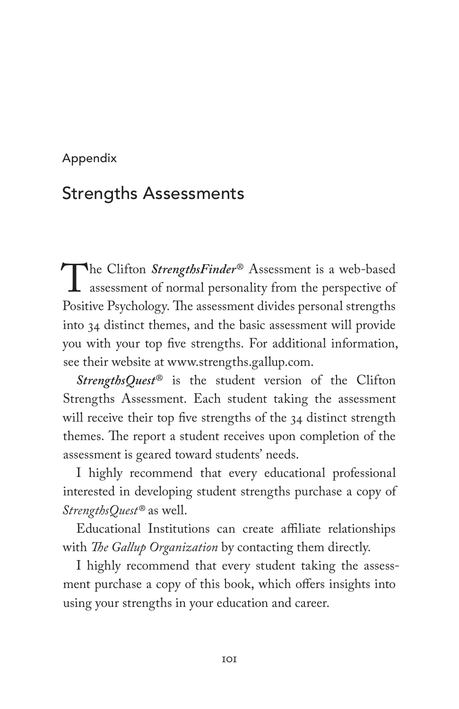### Appendix

## Strengths Assessments

The Clifton *StrengthsFinder*<sup>®</sup> Assessment is a web-based<br>assessment of normal personality from the perspective of<br>Positive Psychology The assessment divides personal strengths assessment of normal personality from the perspective of Positive Psychology. The assessment divides personal strengths into 34 distinct themes, and the basic assessment will provide you with your top five strengths. For additional information, see their website at www.strengths.gallup.com.

*StrengthsQuest*® is the student version of the Clifton Strengths Assessment. Each student taking the assessment will receive their top five strengths of the 34 distinct strength themes. The report a student receives upon completion of the assessment is geared toward students' needs.

I highly recommend that every educational professional interested in developing student strengths purchase a copy of *StrengthsQuest®* as well.

Educational Institutions can create affiliate relationships with *The Gallup Organization* by contacting them directly.

I highly recommend that every student taking the assessment purchase a copy of this book, which offers insights into using your strengths in your education and career.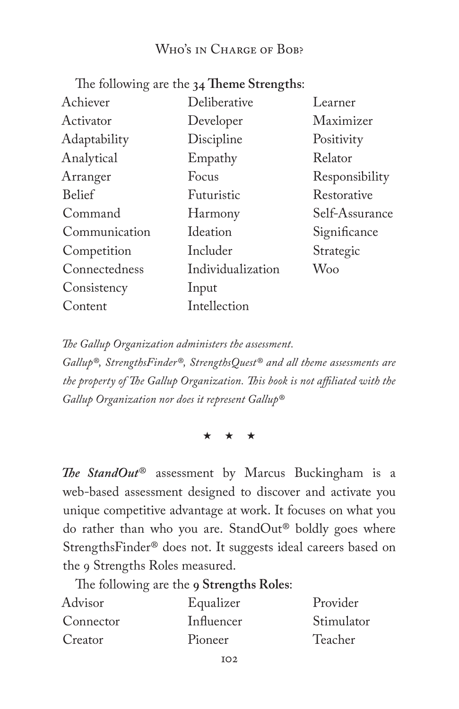#### Who's in Charge of Bob?

The following are the **34 Theme Strengths**:

| Achiever      | Deliberative      | Learner        |
|---------------|-------------------|----------------|
| Activator     | Developer         | Maximizer      |
| Adaptability  | Discipline        | Positivity     |
| Analytical    | Empathy           | Relator        |
| Arranger      | Focus             | Responsibility |
| <b>Belief</b> | Futuristic        | Restorative    |
| Command       | Harmony           | Self-Assurance |
| Communication | Ideation          | Significance   |
| Competition   | Includer          | Strategic      |
| Connectedness | Individualization | Woo            |
| Consistency   | Input             |                |
| Content       | Intellection      |                |
|               |                   |                |

*The Gallup Organization administers the assessment.* 

*Gallup®, StrengthsFinder®, StrengthsQuest® and all theme assessments are the property of The Gallup Organization. This book is not affiliated with the Gallup Organization nor does it represent Gallup®*

\* \* \*

*The StandOut*® assessment by Marcus Buckingham is a web-based assessment designed to discover and activate you unique competitive advantage at work. It focuses on what you do rather than who you are. StandOut® boldly goes where StrengthsFinder® does not. It suggests ideal careers based on the 9 Strengths Roles measured.

The following are the **9 Strengths Roles**:

| Advisor   | Equalizer  | Provider   |
|-----------|------------|------------|
| Connector | Influencer | Stimulator |
| Creator   | Pioneer    | Teacher    |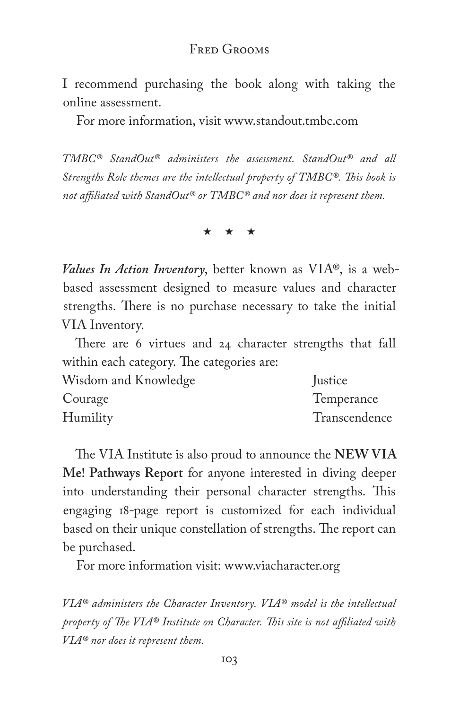#### Fred Grooms

I recommend purchasing the book along with taking the online assessment.

For more information, visit www.standout.tmbc.com

*TMBC® StandOut® administers the assessment. StandOut® and all Strengths Role themes are the intellectual property of TMBC®. This book is not affiliated with StandOut® or TMBC® and nor does it represent them.*

\* \* \*

*Values In Action Inventory*, better known as VIA®, is a webbased assessment designed to measure values and character strengths. There is no purchase necessary to take the initial VIA Inventory.

There are 6 virtues and 24 character strengths that fall within each category. The categories are:

| Wisdom and Knowledge | Justice       |
|----------------------|---------------|
| Courage              | Temperance    |
| Humility             | Transcendence |

The VIA Institute is also proud to announce the **NEW VIA Me! Pathways Report** for anyone interested in diving deeper into understanding their personal character strengths. This engaging 18-page report is customized for each individual based on their unique constellation of strengths. The report can be purchased.

For more information visit: www.viacharacter.org

*VIA® administers the Character Inventory. VIA® model is the intellectual property of The VIA® Institute on Character. This site is not affiliated with VIA® nor does it represent them.*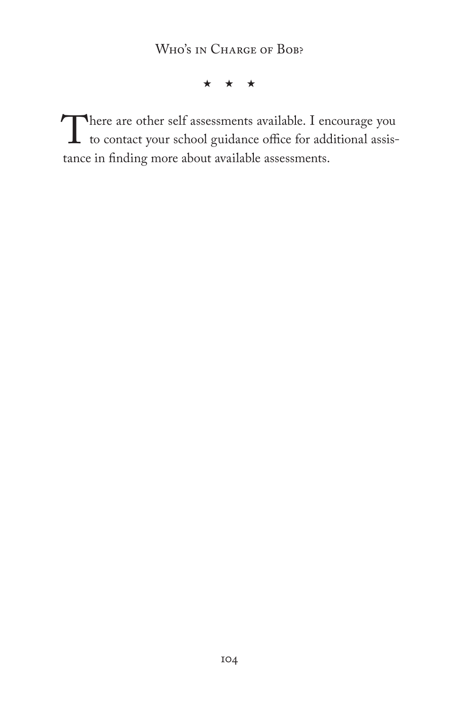\* \* \*

There are other self assessments available. I encourage you<br>to contact your school guidance office for additional assis-<br>tance in finding more about available assessments to contact your school guidance office for additional assistance in finding more about available assessments.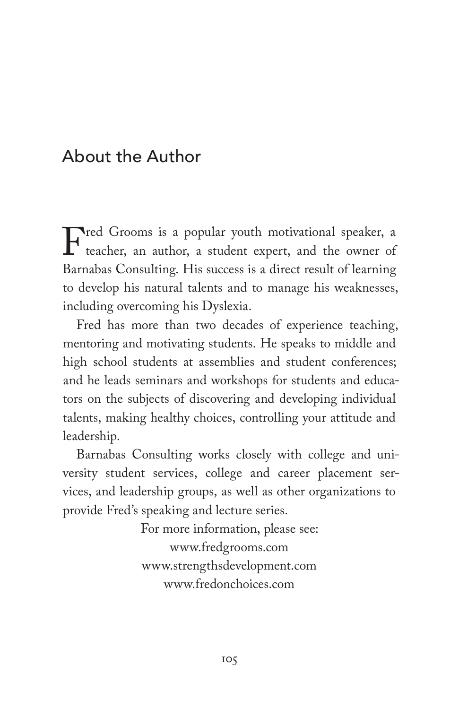# About the Author

Fred Grooms is a popular youth motivational speaker, a<br>teacher, an author, a student expert, and the owner of<br>Barnabas Consulting His success is a direct result of learning teacher, an author, a student expert, and the owner of Barnabas Consulting. His success is a direct result of learning to develop his natural talents and to manage his weaknesses, including overcoming his Dyslexia.

Fred has more than two decades of experience teaching, mentoring and motivating students. He speaks to middle and high school students at assemblies and student conferences; and he leads seminars and workshops for students and educators on the subjects of discovering and developing individual talents, making healthy choices, controlling your attitude and leadership.

Barnabas Consulting works closely with college and university student services, college and career placement services, and leadership groups, as well as other organizations to provide Fred's speaking and lecture series.

> For more information, please see: www.fredgrooms.com www.strengthsdevelopment.com www.fredonchoices.com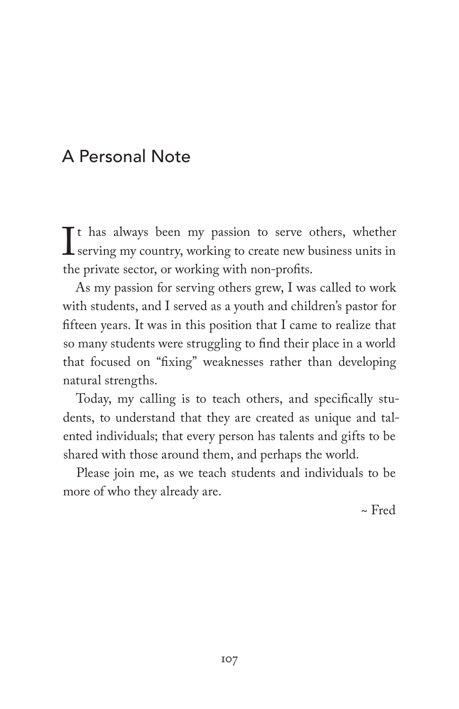# A Personal Note

 $\prod_{\text{th}}$ Tt has always been my passion to serve others, whether serving my country, working to create new business units in the private sector, or working with non-profits.

As my passion for serving others grew, I was called to work with students, and I served as a youth and children's pastor for fifteen years. It was in this position that I came to realize that so many students were struggling to find their place in a world that focused on "fixing" weaknesses rather than developing natural strengths.

Today, my calling is to teach others, and specifically students, to understand that they are created as unique and talented individuals; that every person has talents and gifts to be shared with those around them, and perhaps the world.

Please join me, as we teach students and individuals to be more of who they already are.

~ Fred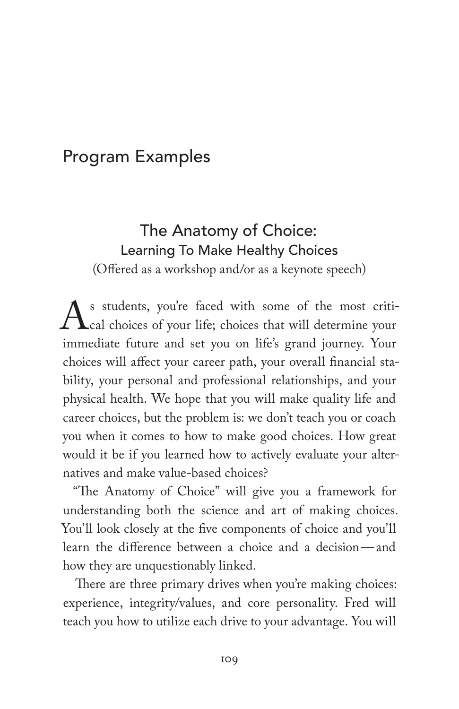# Program Examples

## The Anatomy of Choice: Learning To Make Healthy Choices

(Offered as a workshop and/or as a keynote speech)

As students, you're faced with some of the most criti-<br>cal choices of your life; choices that will determine your<br>immediate future and set you on life's grand journey. Your cal choices of your life; choices that will determine your immediate future and set you on life's grand journey. Your choices will affect your career path, your overall financial stability, your personal and professional relationships, and your physical health. We hope that you will make quality life and career choices, but the problem is: we don't teach you or coach you when it comes to how to make good choices. How great would it be if you learned how to actively evaluate your alternatives and make value-based choices?

"The Anatomy of Choice" will give you a framework for understanding both the science and art of making choices. You'll look closely at the five components of choice and you'll learn the difference between a choice and a decision—and how they are unquestionably linked.

There are three primary drives when you're making choices: experience, integrity/values, and core personality. Fred will teach you how to utilize each drive to your advantage. You will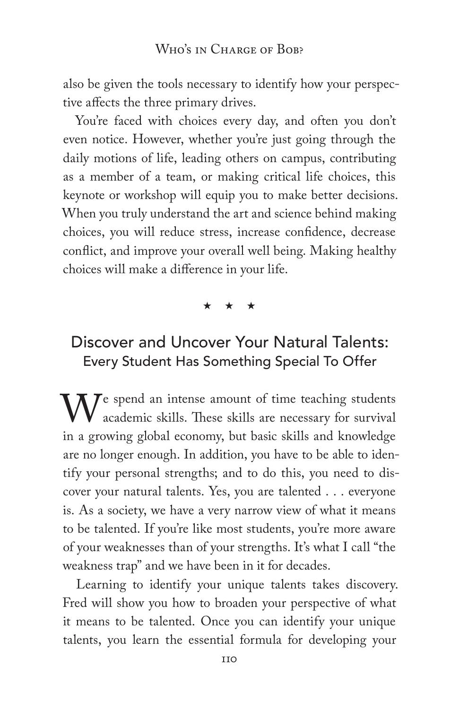also be given the tools necessary to identify how your perspective affects the three primary drives.

You're faced with choices every day, and often you don't even notice. However, whether you're just going through the daily motions of life, leading others on campus, contributing as a member of a team, or making critical life choices, this keynote or workshop will equip you to make better decisions. When you truly understand the art and science behind making choices, you will reduce stress, increase confidence, decrease conflict, and improve your overall well being. Making healthy choices will make a difference in your life.

#### \* \* \*

### Discover and Uncover Your Natural Talents: Every Student Has Something Special To Offer

 $M^e$  spend an intense amount of time teaching students academic skills. These skills are necessary for survival in a growing global economy, but basic skills and knowledge are no longer enough. In addition, you have to be able to identify your personal strengths; and to do this, you need to discover your natural talents. Yes, you are talented . . . everyone is. As a society, we have a very narrow view of what it means to be talented. If you're like most students, you're more aware of your weaknesses than of your strengths. It's what I call "the weakness trap" and we have been in it for decades.

Learning to identify your unique talents takes discovery. Fred will show you how to broaden your perspective of what it means to be talented. Once you can identify your unique talents, you learn the essential formula for developing your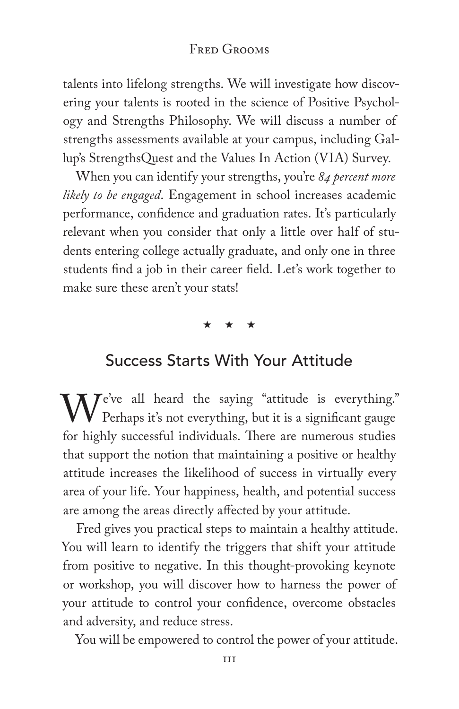#### FRED GROOMS

talents into lifelong strengths. We will investigate how discovering your talents is rooted in the science of Positive Psychology and Strengths Philosophy. We will discuss a number of strengths assessments available at your campus, including Gallup's StrengthsQuest and the Values In Action (VIA) Survey.

When you can identify your strengths, you're *84 percent more likely to be engaged*. Engagement in school increases academic performance, confidence and graduation rates. It's particularly relevant when you consider that only a little over half of students entering college actually graduate, and only one in three students find a job in their career field. Let's work together to make sure these aren't your stats!

\* \* \*

### Success Starts With Your Attitude

We've all heard the saying "attitude is everything."<br>Perhaps it's not everything, but it is a significant gauge<br>for highly successful individuals. There are numerous studies Perhaps it's not everything, but it is a significant gauge for highly successful individuals. There are numerous studies that support the notion that maintaining a positive or healthy attitude increases the likelihood of success in virtually every area of your life. Your happiness, health, and potential success are among the areas directly affected by your attitude.

Fred gives you practical steps to maintain a healthy attitude. You will learn to identify the triggers that shift your attitude from positive to negative. In this thought-provoking keynote or workshop, you will discover how to harness the power of your attitude to control your confidence, overcome obstacles and adversity, and reduce stress.

You will be empowered to control the power of your attitude.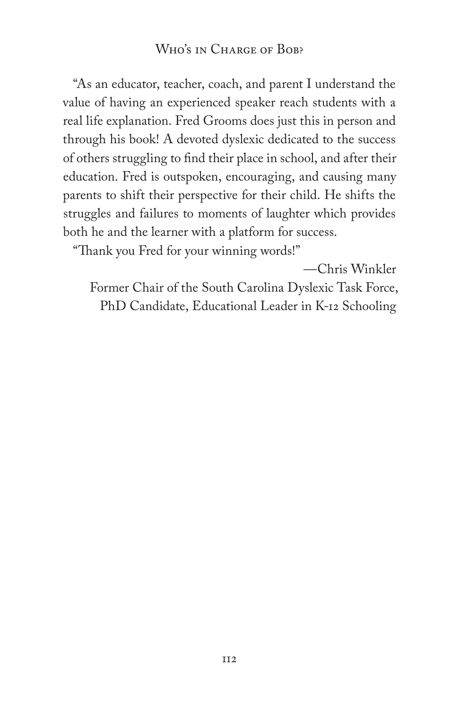#### WHO'S IN CHARGE OF BOB?

"As an educator, teacher, coach, and parent I understand the value of having an experienced speaker reach students with a real life explanation. Fred Grooms does just this in person and through his book! A devoted dyslexic dedicated to the success of others struggling to find their place in school, and after their education. Fred is outspoken, encouraging, and causing many parents to shift their perspective for their child. He shifts the struggles and failures to moments of laughter which provides both he and the learner with a platform for success.

"Thank you Fred for your winning words!"

—Chris Winkler

Former Chair of the South Carolina Dyslexic Task Force, PhD Candidate, Educational Leader in K-12 Schooling